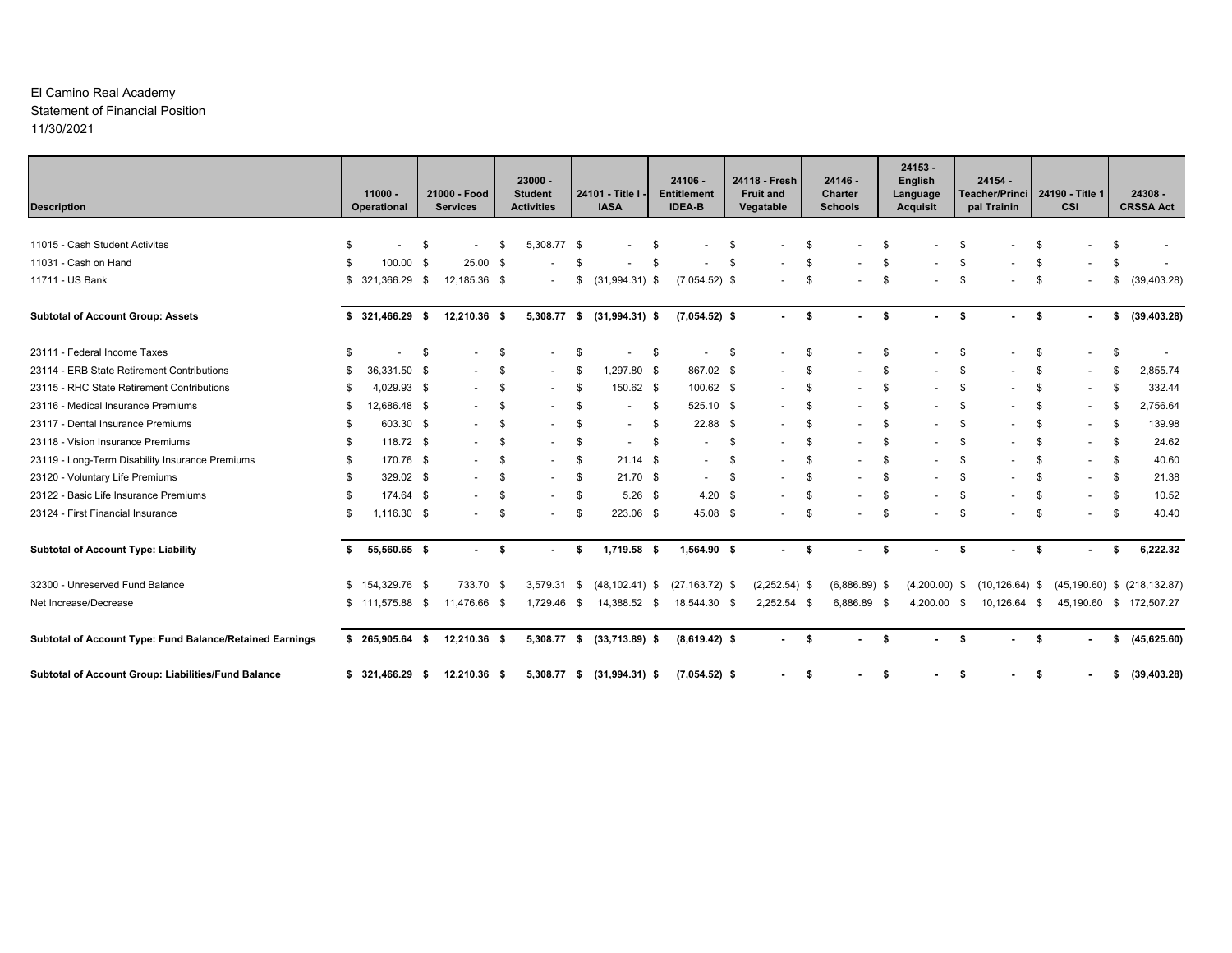# El Camino Real Academy Statement of Financial Position 11/30/2021

| <b>Description</b>                                       |      | $11000 -$<br>Operational    |    | 21000 - Food<br><b>Services</b> |    | $23000 -$<br><b>Student</b><br><b>Activities</b> |    | 24101 - Title I<br><b>IASA</b> | $24106 -$<br><b>Entitlement</b><br><b>IDEA-B</b> |    | 24118 - Fresh<br><b>Fruit and</b><br>Vegatable |     | $24146 -$<br>Charter<br><b>Schools</b> |      | $24153 -$<br><b>English</b><br>Language<br><b>Acquisit</b> |      | 24154 -<br>Teacher/Princi 24190 - Title 1<br>pal Trainin |      | CSI                      |      | $24308 -$<br><b>CRSSA Act</b> |
|----------------------------------------------------------|------|-----------------------------|----|---------------------------------|----|--------------------------------------------------|----|--------------------------------|--------------------------------------------------|----|------------------------------------------------|-----|----------------------------------------|------|------------------------------------------------------------|------|----------------------------------------------------------|------|--------------------------|------|-------------------------------|
| 11015 - Cash Student Activites                           |      |                             |    |                                 |    |                                                  |    |                                |                                                  |    |                                                |     |                                        |      |                                                            |      |                                                          |      |                          |      |                               |
| 11031 - Cash on Hand                                     | - \$ | $\blacksquare$<br>100.00 \$ | -S | $25.00$ \$                      | -S | 5,308.77 \$                                      | \$ |                                |                                                  | S  |                                                | S   |                                        |      |                                                            |      |                                                          |      |                          |      |                               |
| 11711 - US Bank                                          | S.   | 321,366.29 \$               |    | 12,185.36 \$                    |    |                                                  | S. | $(31,994.31)$ \$               | $(7,054.52)$ \$                                  |    |                                                | \$. |                                        |      |                                                            |      |                                                          | -S   |                          | - 35 | (39, 403.28)                  |
| <b>Subtotal of Account Group: Assets</b>                 |      | 321,466.29 \$               |    | 12,210.36 \$                    |    | 5,308.77 \$                                      |    | $(31,994.31)$ \$               | $(7,054.52)$ \$                                  |    | $\sim 100$                                     | \$  | $\sim$                                 | - \$ | $\sim 100$                                                 | \$   |                                                          | - \$ |                          | \$   | (39, 403.28)                  |
| 23111 - Federal Income Taxes                             |      | $\blacksquare$              | \$ |                                 | \$ |                                                  | \$ |                                | \$<br>$\overline{\phantom{a}}$                   | \$ |                                                | \$  | $\overline{\phantom{a}}$               | \$   |                                                            | - \$ |                                                          | \$   |                          | \$   |                               |
| 23114 - ERB State Retirement Contributions               | - 35 | 36,331.50 \$                |    |                                 | \$ |                                                  | \$ | 1,297.80 \$                    | 867.02 \$                                        |    |                                                | \$  |                                        | \$   |                                                            | \$.  |                                                          | \$   |                          | \$   | 2,855.74                      |
| 23115 - RHC State Retirement Contributions               |      | 4,029.93 \$                 |    |                                 | \$ |                                                  | \$ | 150.62 \$                      | 100.62 \$                                        |    | $\overline{\phantom{a}}$                       | S   |                                        | -S   |                                                            | \$   |                                                          | \$.  |                          | -S   | 332.44                        |
| 23116 - Medical Insurance Premiums                       | - 35 | 12,686.48 \$                |    |                                 | \$ |                                                  | \$ |                                | \$<br>525.10 \$                                  |    |                                                | \$  |                                        | \$   |                                                            |      |                                                          | \$   |                          |      | 2,756.64                      |
| 23117 - Dental Insurance Premiums                        | -35  | 603.30 \$                   |    |                                 | \$ |                                                  | \$ |                                | \$<br>$22.88$ \$                                 |    | $\overline{\phantom{a}}$                       | \$  |                                        |      |                                                            |      |                                                          | \$   |                          | \$   | 139.98                        |
| 23118 - Vision Insurance Premiums                        | -S   | 118.72 \$                   |    |                                 | \$ |                                                  | \$ |                                | \$                                               | \$ |                                                | \$  |                                        | \$   |                                                            |      |                                                          | \$   |                          | \$   | 24.62                         |
| 23119 - Long-Term Disability Insurance Premiums          | - \$ | 170.76 \$                   |    |                                 | \$ |                                                  | \$ | 21.14                          | \$<br>$\overline{\phantom{a}}$                   | \$ |                                                | \$  |                                        | -S   |                                                            |      |                                                          | \$.  | $\overline{\phantom{a}}$ | \$   | 40.60                         |
| 23120 - Voluntary Life Premiums                          | -35  | 329.02 \$                   |    |                                 | \$ |                                                  | \$ | $21.70$ \$                     | $\overline{\phantom{a}}$                         | Ŝ. |                                                | \$  |                                        |      |                                                            |      |                                                          | \$   |                          | \$   | 21.38                         |
| 23122 - Basic Life Insurance Premiums                    | - \$ | 174.64 \$                   |    |                                 | \$ |                                                  | \$ | $5.26$ \$                      | $4.20$ \$                                        |    |                                                | \$  |                                        | \$   |                                                            |      |                                                          | \$   |                          | \$   | 10.52                         |
| 23124 - First Financial Insurance                        | \$   | 1,116.30 \$                 |    |                                 | \$ |                                                  | \$ | 223.06 \$                      | 45.08 \$                                         |    |                                                | \$  |                                        | . ጽ  |                                                            | \$   |                                                          | \$   |                          | Ŝ.   | 40.40                         |
| <b>Subtotal of Account Type: Liability</b>               | \$   | 55,560.65 \$                |    | $\sim$                          | \$ |                                                  | \$ | 1,719.58 \$                    | 1,564.90 \$                                      |    | $\sim$                                         | \$  | ٠                                      | Ŝ.   | ٠                                                          | \$   |                                                          | \$   |                          |      | 6,222.32                      |
| 32300 - Unreserved Fund Balance                          |      | $$154,329.76$ \$            |    | 733.70 \$                       |    | 3,579.31                                         | \$ | $(48, 102.41)$ \$              | $(27, 163.72)$ \$                                |    | $(2,252.54)$ \$                                |     | $(6,886.89)$ \$                        |      | $(4,200.00)$ \$                                            |      | $(10, 126.64)$ \$                                        |      | (45, 190.60)             |      | $$$ (218,132.87)              |
| Net Increase/Decrease                                    |      | $$111,575.88$ \$            |    | 11,476.66 \$                    |    | 1,729.46 \$                                      |    | 14,388.52 \$                   | 18,544.30 \$                                     |    | $2,252.54$ \$                                  |     | 6,886.89 \$                            |      | 4,200.00                                                   | - \$ | 10,126.64 \$                                             |      |                          |      | 45,190.60 \$ 172,507.27       |
| Subtotal of Account Type: Fund Balance/Retained Earnings |      | $$265,905.64$ \$            |    | 12,210.36 \$                    |    | 5,308.77 \$                                      |    | $(33,713.89)$ \$               | $(8,619.42)$ \$                                  |    | $\sim$                                         | \$  |                                        | - \$ |                                                            | \$   |                                                          | \$   |                          | \$   | (45, 625.60)                  |
| Subtotal of Account Group: Liabilities/Fund Balance      |      | $$321,466.29$ \$            |    | 12,210.36 \$                    |    | 5,308.77 \$                                      |    | $(31,994.31)$ \$               | $(7,054.52)$ \$                                  |    |                                                | \$  |                                        | -S   |                                                            | \$   |                                                          | -\$  |                          | \$   | (39, 403.28)                  |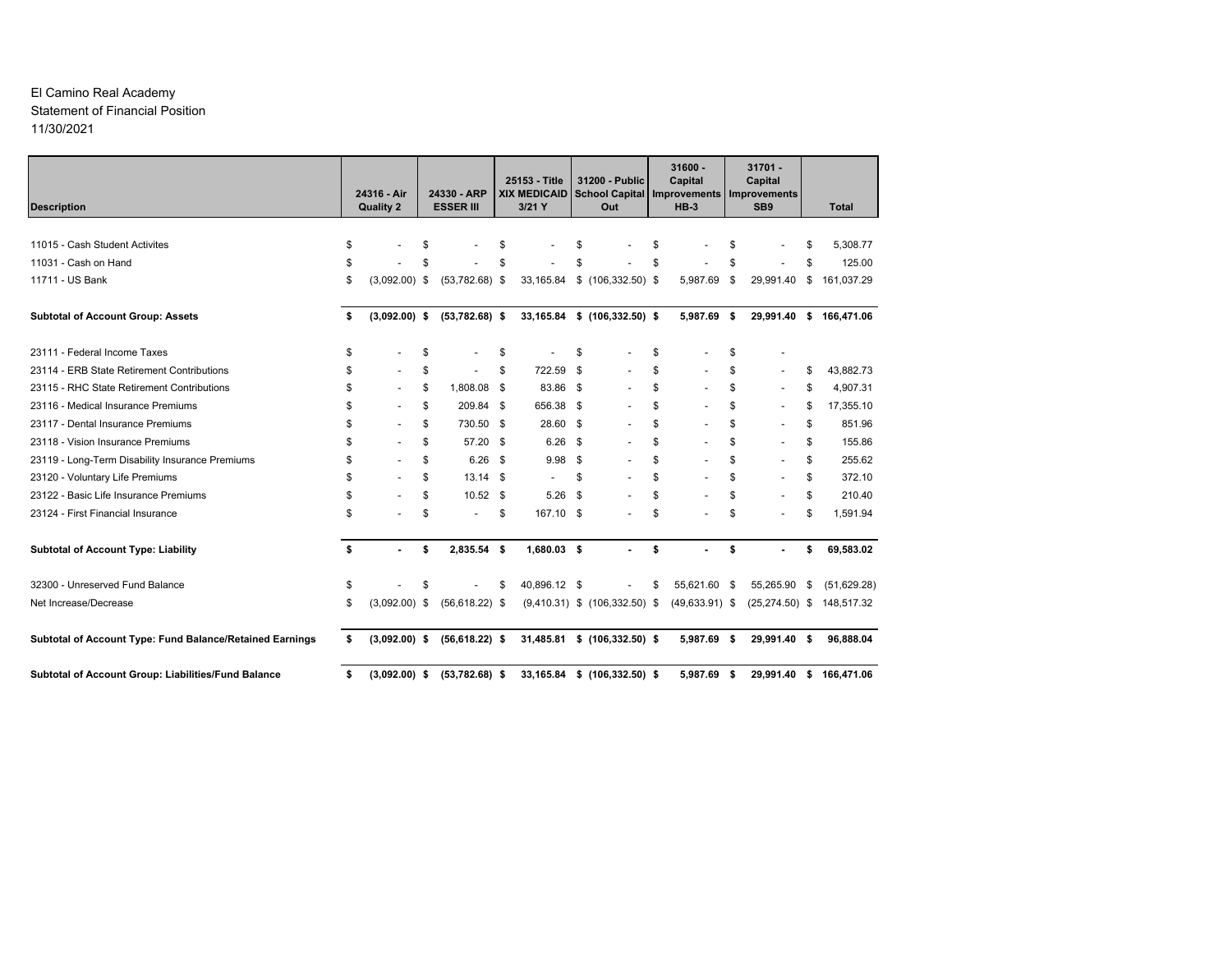# El Camino Real Academy Statement of Financial Position 11/30/2021

| <b>Description</b>                                       | 24316 - Air<br><b>Quality 2</b> |    | 24330 - ARP<br><b>ESSER III</b> |      | 25153 - Title<br><b>XIX MEDICAID</b><br>$3/21$ Y |      | 31200 - Public<br><b>School Capital</b><br>Out | $31600 -$<br>Capital<br>Improvements<br>$HB-3$ |      | $31701 -$<br>Capital<br>Improvements<br>SB <sub>9</sub> |    | <b>Total</b>            |
|----------------------------------------------------------|---------------------------------|----|---------------------------------|------|--------------------------------------------------|------|------------------------------------------------|------------------------------------------------|------|---------------------------------------------------------|----|-------------------------|
|                                                          |                                 |    |                                 |      |                                                  |      |                                                |                                                |      |                                                         |    |                         |
| 11015 - Cash Student Activites                           | \$                              | S  |                                 | \$   |                                                  | \$   |                                                | \$                                             | \$   |                                                         |    | 5,308.77                |
| 11031 - Cash on Hand                                     | \$                              |    |                                 | \$   |                                                  |      |                                                | \$                                             | \$   |                                                         |    | 125.00                  |
| 11711 - US Bank                                          | \$<br>$(3,092.00)$ \$           |    | $(53,782.68)$ \$                |      | 33,165.84                                        |      | $$$ (106,332.50) \$                            | 5,987.69                                       | \$   | 29,991.40                                               | \$ | 161,037.29              |
| <b>Subtotal of Account Group: Assets</b>                 | \$<br>$(3,092.00)$ \$           |    | $(53,782.68)$ \$                |      |                                                  |      | 33,165.84 \$ (106,332.50) \$                   | 5,987.69 \$                                    |      |                                                         |    | 29,991.40 \$ 166,471.06 |
| 23111 - Federal Income Taxes                             | \$                              | \$ |                                 | \$   |                                                  | \$   |                                                | \$                                             | S    |                                                         |    |                         |
| 23114 - ERB State Retirement Contributions               | \$                              | \$ |                                 | \$   | 722.59 \$                                        |      |                                                | \$                                             | \$   | $\overline{\phantom{a}}$                                | S  | 43.882.73               |
| 23115 - RHC State Retirement Contributions               | \$                              | \$ | 1,808.08 \$                     |      | 83.86 \$                                         |      |                                                | \$                                             | \$   | $\overline{\phantom{a}}$                                |    | 4,907.31                |
| 23116 - Medical Insurance Premiums                       | \$                              | \$ | 209.84                          | -\$  | 656.38 \$                                        |      |                                                | \$                                             | \$   |                                                         | S  | 17,355.10               |
| 23117 - Dental Insurance Premiums                        | \$                              | \$ | 730.50                          | - \$ | 28.60 \$                                         |      |                                                | \$<br>$\overline{\phantom{a}}$                 | \$   | $\blacksquare$                                          | \$ | 851.96                  |
| 23118 - Vision Insurance Premiums                        | \$                              | \$ | 57.20 \$                        |      | $6.26$ \$                                        |      |                                                | \$                                             | \$   |                                                         | \$ | 155.86                  |
| 23119 - Long-Term Disability Insurance Premiums          | \$                              | \$ | $6.26$ \$                       |      | 9.98 <sup>5</sup>                                |      |                                                | \$<br>$\overline{\phantom{a}}$                 | \$   | $\blacksquare$                                          | \$ | 255.62                  |
| 23120 - Voluntary Life Premiums                          | \$                              | \$ | $13.14$ \$                      |      | $\sim$                                           | \$   |                                                | \$                                             | \$   |                                                         | \$ | 372.10                  |
| 23122 - Basic Life Insurance Premiums                    | \$                              | \$ | $10.52$ \$                      |      | 5.26                                             | - \$ |                                                | \$                                             | \$   |                                                         | \$ | 210.40                  |
| 23124 - First Financial Insurance                        | \$                              | \$ |                                 | \$   | 167.10 \$                                        |      |                                                | \$                                             | \$   |                                                         | \$ | 1,591.94                |
| <b>Subtotal of Account Type: Liability</b>               | \$                              | \$ | 2,835.54 \$                     |      | 1,680.03 \$                                      |      |                                                | \$                                             | \$   |                                                         | \$ | 69,583.02               |
| 32300 - Unreserved Fund Balance                          | \$                              | \$ |                                 | \$   | 40,896.12 \$                                     |      |                                                | \$<br>55,621.60 \$                             |      | 55,265.90                                               | \$ | (51,629.28)             |
| Net Increase/Decrease                                    | \$<br>$(3,092.00)$ \$           |    | $(56, 618.22)$ \$               |      |                                                  |      | $(9,410.31)$ \$ $(106,332.50)$ \$              | $(49, 633.91)$ \$                              |      | $(25, 274.50)$ \$                                       |    | 148,517.32              |
| Subtotal of Account Type: Fund Balance/Retained Earnings | \$<br>$(3,092.00)$ \$           |    | $(56, 618.22)$ \$               |      |                                                  |      | 31,485.81 \$ (106,332.50) \$                   | 5,987.69 \$                                    |      | 29,991.40 \$                                            |    | 96,888.04               |
| Subtotal of Account Group: Liabilities/Fund Balance      | \$<br>$(3,092.00)$ \$           |    | $(53,782.68)$ \$                |      |                                                  |      | 33,165.84 \$ (106,332.50) \$                   | 5.987.69                                       | - \$ |                                                         |    | 29,991.40 \$ 166,471.06 |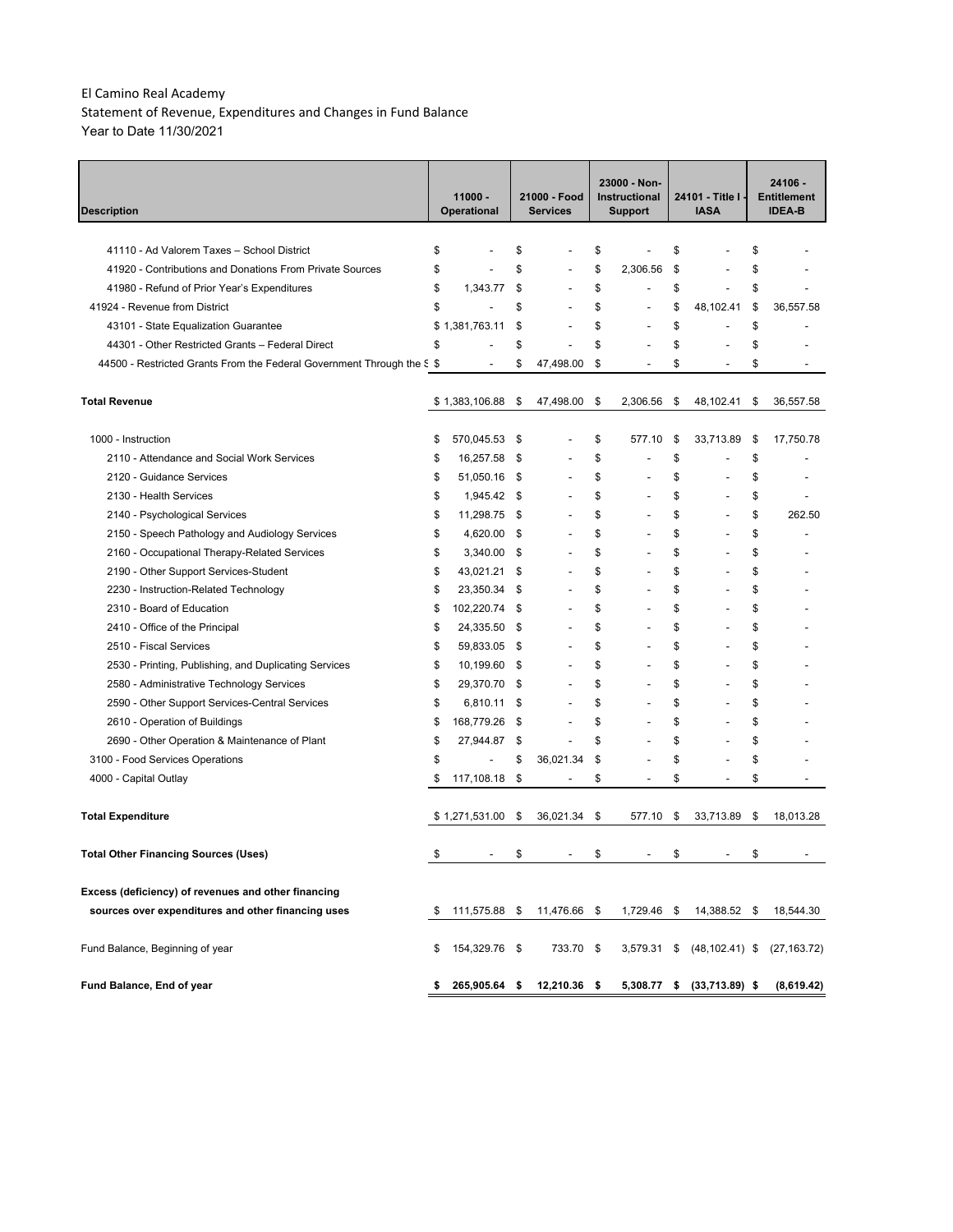Statement of Revenue, Expenditures and Changes in Fund Balance Year to Date 11/30/2021

| Description                                                            | 11000 -<br><b>Operational</b> |      | 21000 - Food<br><b>Services</b> | 23000 - Non-<br>Instructional<br><b>Support</b> | 24101 - Title I -<br><b>IASA</b> | 24106 -<br><b>Entitlement</b><br><b>IDEA-B</b> |
|------------------------------------------------------------------------|-------------------------------|------|---------------------------------|-------------------------------------------------|----------------------------------|------------------------------------------------|
|                                                                        |                               |      |                                 |                                                 |                                  |                                                |
| 41110 - Ad Valorem Taxes - School District                             | \$                            | \$   |                                 | \$                                              | \$                               | \$                                             |
| 41920 - Contributions and Donations From Private Sources               | \$                            | \$   |                                 | \$<br>2,306.56                                  | \$                               | \$                                             |
| 41980 - Refund of Prior Year's Expenditures                            | \$<br>1,343.77                | \$   | $\overline{a}$                  | \$<br>$\overline{a}$                            | \$<br>$\overline{\phantom{a}}$   | \$                                             |
| 41924 - Revenue from District                                          | \$                            | \$   |                                 | \$<br>$\overline{a}$                            | \$<br>48,102.41                  | \$<br>36,557.58                                |
| 43101 - State Equalization Guarantee                                   | \$<br>1,381,763.11            | \$   |                                 | \$<br>$\overline{a}$                            | \$<br>$\overline{a}$             | \$                                             |
| 44301 - Other Restricted Grants – Federal Direct                       | \$                            | \$   |                                 | \$<br>$\overline{a}$                            | \$                               | \$                                             |
| 44500 - Restricted Grants From the Federal Government Through the S \$ | $\overline{a}$                | \$   | 47,498.00                       | \$<br>$\overline{a}$                            | \$<br>$\overline{a}$             | \$                                             |
| <b>Total Revenue</b>                                                   | \$1,383,106.88                | \$   | 47,498.00                       | \$<br>2,306.56                                  | \$<br>48,102.41                  | \$<br>36,557.58                                |
| 1000 - Instruction                                                     | \$<br>570,045.53              | \$   |                                 | \$<br>577.10                                    | \$<br>33,713.89                  | \$<br>17,750.78                                |
| 2110 - Attendance and Social Work Services                             | \$<br>16,257.58               | \$   |                                 | \$                                              | \$                               | \$                                             |
| 2120 - Guidance Services                                               | \$<br>51,050.16               | \$   |                                 | \$                                              | \$                               | \$                                             |
| 2130 - Health Services                                                 | \$<br>1,945.42                | \$   |                                 | \$<br>Ĭ.                                        | \$                               | \$                                             |
| 2140 - Psychological Services                                          | \$<br>11,298.75               | - \$ |                                 | \$<br>$\overline{a}$                            | \$                               | \$<br>262.50                                   |
| 2150 - Speech Pathology and Audiology Services                         | \$<br>4,620.00                | \$   |                                 | \$<br>$\overline{a}$                            | \$                               | \$                                             |
| 2160 - Occupational Therapy-Related Services                           | \$<br>3,340.00                | \$   |                                 | \$<br>$\overline{a}$                            | \$                               | \$                                             |
| 2190 - Other Support Services-Student                                  | \$<br>43,021.21               | \$   |                                 | \$<br>$\overline{a}$                            | \$                               | \$                                             |
| 2230 - Instruction-Related Technology                                  | \$<br>23,350.34               | \$   |                                 | \$<br>$\overline{a}$                            | \$                               | \$                                             |
| 2310 - Board of Education                                              | \$<br>102,220.74 \$           |      |                                 | \$<br>$\overline{a}$                            | \$                               | \$                                             |
| 2410 - Office of the Principal                                         | \$<br>24,335.50               | - \$ |                                 | \$<br>$\overline{a}$                            | \$                               | \$                                             |
| 2510 - Fiscal Services                                                 | \$<br>59,833.05               | - \$ |                                 | \$<br>$\overline{a}$                            | \$                               | \$                                             |
| 2530 - Printing, Publishing, and Duplicating Services                  | \$<br>10,199.60 \$            |      |                                 | \$<br>$\overline{a}$                            | \$                               | \$                                             |
| 2580 - Administrative Technology Services                              | \$<br>29,370.70               | - \$ | $\overline{\phantom{a}}$        | \$<br>$\overline{a}$                            | \$                               | \$                                             |
| 2590 - Other Support Services-Central Services                         | \$<br>6,810.11                | - \$ | $\overline{\phantom{a}}$        | \$<br>$\overline{a}$                            | \$                               | \$                                             |
| 2610 - Operation of Buildings                                          | \$<br>168,779.26              | \$   | $\overline{a}$                  | \$<br>$\overline{a}$                            | \$                               | \$                                             |
| 2690 - Other Operation & Maintenance of Plant                          | \$<br>27,944.87               | \$   | $\overline{\phantom{a}}$        | \$<br>$\overline{a}$                            | \$                               | \$                                             |
| 3100 - Food Services Operations                                        | \$<br>$\overline{a}$          | \$   | 36,021.34                       | \$<br>$\overline{a}$                            | \$                               | \$                                             |
| 4000 - Capital Outlay                                                  | \$<br>117,108.18 \$           |      | $\overline{\phantom{a}}$        | \$<br>$\overline{\phantom{a}}$                  | \$<br>$\overline{\phantom{a}}$   | \$                                             |
| <b>Total Expenditure</b>                                               | \$1,271,531.00                | \$   | 36,021.34                       | \$<br>577.10                                    | \$<br>33,713.89                  | \$<br>18,013.28                                |
| Total Other Financing Sources (Uses)                                   | \$                            | \$   |                                 | \$                                              | \$                               | \$                                             |
| Excess (deficiency) of revenues and other financing                    |                               |      |                                 |                                                 |                                  |                                                |
| sources over expenditures and other financing uses                     | \$<br>111,575.88 \$           |      | 11,476.66 \$                    | 1,729.46 \$                                     | 14,388.52 \$                     | 18,544.30                                      |
| Fund Balance, Beginning of year                                        | \$<br>154,329.76 \$           |      | 733.70 \$                       | 3,579.31                                        | \$<br>$(48, 102.41)$ \$          | (27, 163.72)                                   |
| Fund Balance, End of year                                              | \$<br>265,905.64 \$           |      | 12,210.36 \$                    | 5,308.77                                        | \$<br>$(33,713.89)$ \$           | (8,619.42)                                     |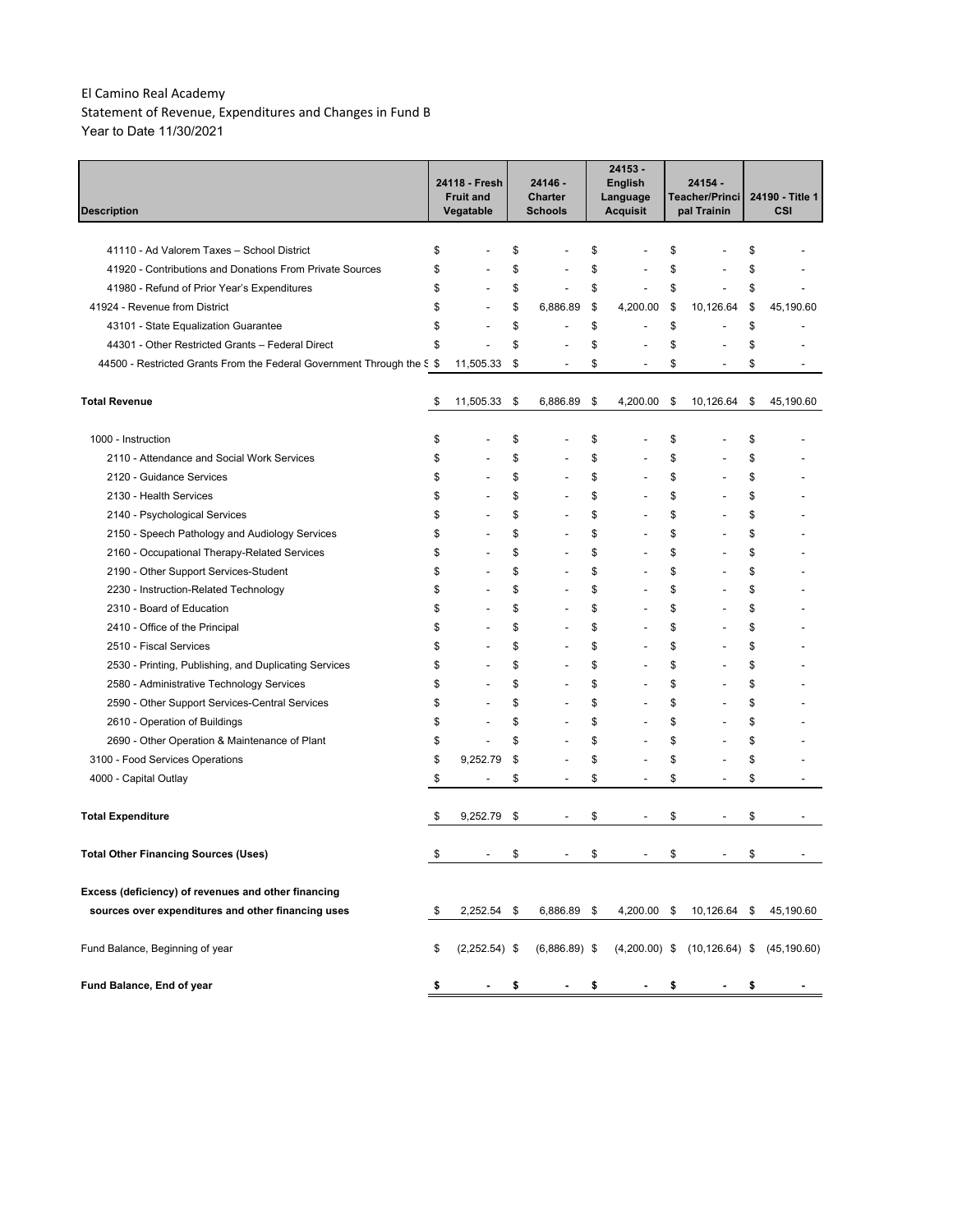Statement of Revenue, Expenditures and Changes in Fund B Year to Date 11/30/2021

| <b>Description</b>                                                     | 24118 - Fresh<br><b>Fruit and</b><br>Vegatable |    | 24146 -<br><b>Charter</b><br><b>Schools</b> | 24153 -<br><b>English</b><br>Language<br><b>Acquisit</b> | 24154 -<br>Teacher/Princi<br>pal Trainin | 24190 - Title 1<br>CSI |
|------------------------------------------------------------------------|------------------------------------------------|----|---------------------------------------------|----------------------------------------------------------|------------------------------------------|------------------------|
|                                                                        |                                                |    |                                             |                                                          |                                          |                        |
| 41110 - Ad Valorem Taxes - School District                             | \$                                             | \$ |                                             | \$                                                       | \$                                       | \$                     |
| 41920 - Contributions and Donations From Private Sources               | \$                                             | \$ |                                             | \$                                                       | \$                                       | \$                     |
| 41980 - Refund of Prior Year's Expenditures                            | \$<br>$\overline{a}$                           | \$ | L,                                          | \$<br>$\overline{a}$                                     | \$                                       | \$                     |
| 41924 - Revenue from District                                          | \$<br>L,                                       | \$ | 6,886.89                                    | \$<br>4,200.00                                           | \$<br>10,126.64                          | \$<br>45,190.60        |
| 43101 - State Equalization Guarantee                                   | \$<br>$\overline{a}$                           | \$ | ÷                                           | \$<br>$\overline{\phantom{a}}$                           | \$                                       | \$                     |
| 44301 - Other Restricted Grants - Federal Direct                       | \$<br>$\overline{a}$                           | \$ |                                             | \$                                                       | \$                                       | \$                     |
| 44500 - Restricted Grants From the Federal Government Through the S \$ | 11,505.33                                      | \$ | $\overline{a}$                              | \$<br>$\overline{a}$                                     | \$<br>$\overline{\phantom{a}}$           | \$                     |
| <b>Total Revenue</b>                                                   | \$<br>11,505.33                                | \$ | 6,886.89                                    | \$<br>4,200.00                                           | \$<br>10,126.64                          | \$<br>45,190.60        |
| 1000 - Instruction                                                     | \$                                             | \$ |                                             | \$                                                       | \$                                       | \$                     |
| 2110 - Attendance and Social Work Services                             | \$                                             | \$ |                                             | \$                                                       | \$                                       | \$                     |
| 2120 - Guidance Services                                               | \$                                             | \$ | L,                                          | \$                                                       | \$                                       | \$                     |
| 2130 - Health Services                                                 | \$                                             | \$ |                                             | \$                                                       | \$                                       | \$                     |
| 2140 - Psychological Services                                          | \$<br>L,                                       | \$ |                                             | \$                                                       | \$                                       | \$                     |
| 2150 - Speech Pathology and Audiology Services                         | \$<br>$\overline{a}$                           | \$ |                                             | \$                                                       | \$                                       | \$                     |
| 2160 - Occupational Therapy-Related Services                           | \$<br>$\overline{a}$                           | \$ | $\overline{a}$                              | \$                                                       | \$                                       | \$                     |
| 2190 - Other Support Services-Student                                  | \$<br>Ĭ.                                       | \$ | ÷                                           | \$                                                       | \$                                       | \$                     |
| 2230 - Instruction-Related Technology                                  | \$<br>$\overline{a}$                           | \$ | ÷                                           | \$                                                       | \$                                       | \$                     |
| 2310 - Board of Education                                              | \$<br>$\overline{a}$                           | \$ | ÷                                           | \$<br>$\overline{\phantom{a}}$                           | \$                                       | \$                     |
| 2410 - Office of the Principal                                         | \$<br>$\overline{a}$                           | \$ | ÷                                           | \$                                                       | \$                                       | \$                     |
| 2510 - Fiscal Services                                                 | \$                                             | \$ | ÷                                           | \$                                                       | \$                                       | \$                     |
| 2530 - Printing, Publishing, and Duplicating Services                  | \$<br>$\overline{a}$                           | \$ | ÷                                           | \$                                                       | \$                                       | \$                     |
| 2580 - Administrative Technology Services                              | \$<br>L,                                       | \$ | ÷                                           | \$                                                       | \$                                       | \$                     |
| 2590 - Other Support Services-Central Services                         | \$<br>$\overline{a}$                           | \$ | ÷                                           | \$                                                       | \$                                       | \$                     |
| 2610 - Operation of Buildings                                          | \$<br>L,                                       | \$ | ÷                                           | \$                                                       | \$                                       | \$                     |
| 2690 - Other Operation & Maintenance of Plant                          | \$<br>$\overline{a}$                           | \$ | L,                                          | \$                                                       | \$                                       | \$                     |
| 3100 - Food Services Operations                                        | \$<br>9,252.79                                 | \$ |                                             | \$                                                       | \$                                       | \$                     |
| 4000 - Capital Outlay                                                  | \$<br>$\qquad \qquad \blacksquare$             | \$ | $\overline{\phantom{a}}$                    | \$<br>$\overline{\phantom{a}}$                           | \$<br>$\overline{\phantom{a}}$           | \$                     |
| Total Expenditure                                                      | \$<br>9,252.79                                 | \$ |                                             | \$                                                       | \$                                       | \$                     |
| <b>Total Other Financing Sources (Uses)</b>                            | \$                                             | S  |                                             | \$                                                       | \$                                       | \$                     |
| Excess (deficiency) of revenues and other financing                    |                                                |    |                                             |                                                          |                                          |                        |
| sources over expenditures and other financing uses                     | \$<br>$2,252.54$ \$                            |    | 6,886.89 \$                                 | 4,200.00 \$                                              | 10,126.64                                | \$<br>45,190.60        |
| Fund Balance, Beginning of year                                        | \$<br>$(2,252.54)$ \$                          |    | $(6,886.89)$ \$                             | $(4,200.00)$ \$                                          | $(10, 126.64)$ \$                        | (45, 190.60)           |
| Fund Balance, End of year                                              | \$                                             | \$ |                                             | \$                                                       | \$                                       | \$                     |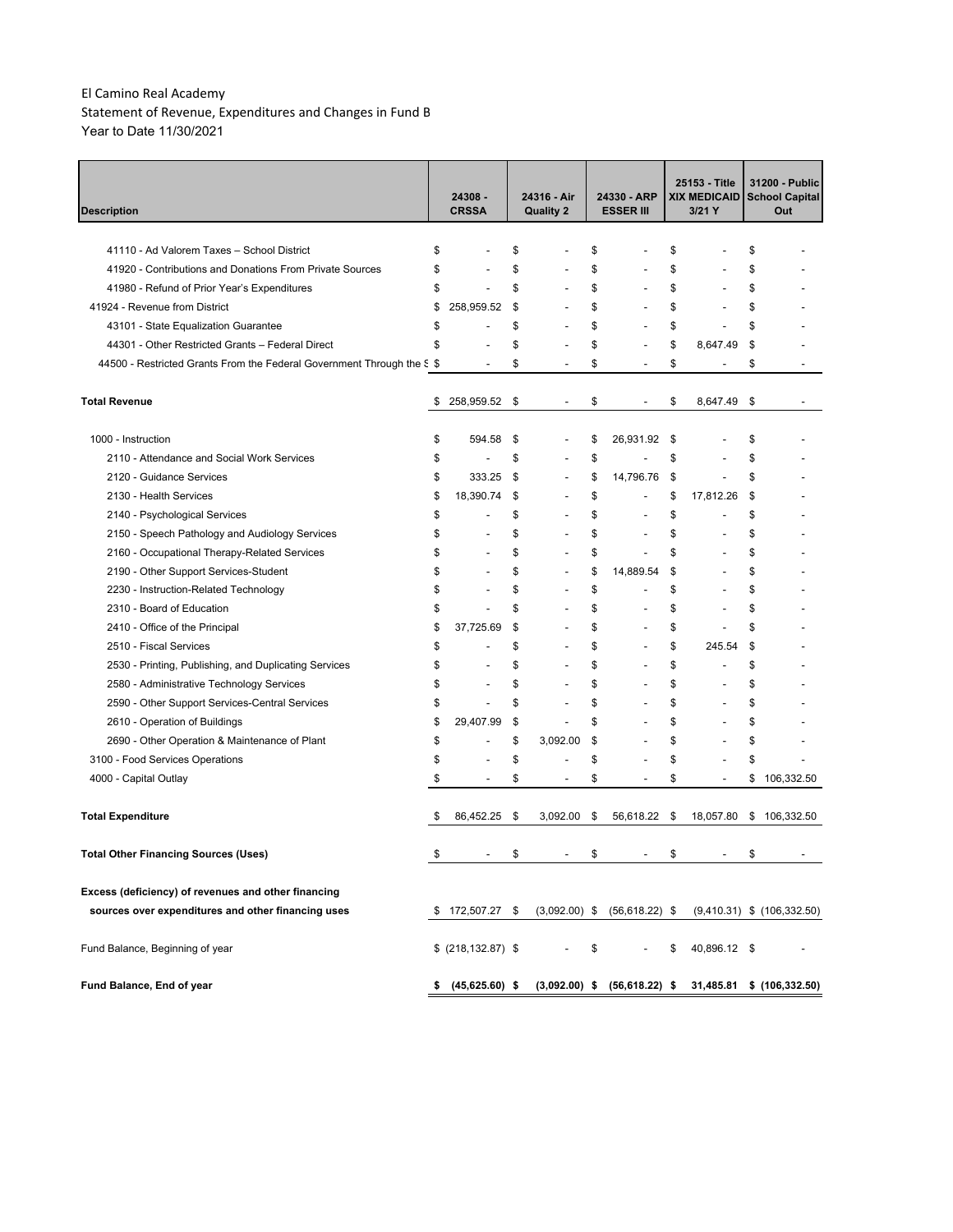Statement of Revenue, Expenditures and Changes in Fund B Year to Date 11/30/2021

| <b>Description</b>                                                     | 24308 -<br><b>CRSSA</b> |                          |      | 24316 - Air<br><b>Quality 2</b> | 24330 - ARP<br><b>ESSER III</b>  |     | 25153 - Title<br><b>XIX MEDICAID</b><br>3/21 Y | 31200 - Public<br><b>School Capital</b><br>Out |
|------------------------------------------------------------------------|-------------------------|--------------------------|------|---------------------------------|----------------------------------|-----|------------------------------------------------|------------------------------------------------|
|                                                                        |                         |                          |      |                                 |                                  |     |                                                |                                                |
| 41110 - Ad Valorem Taxes - School District                             | \$                      |                          | \$   |                                 | \$                               | \$  |                                                | \$                                             |
| 41920 - Contributions and Donations From Private Sources               | \$                      |                          | \$   | ÷                               | \$                               | \$  |                                                | \$                                             |
| 41980 - Refund of Prior Year's Expenditures                            | \$                      | $\overline{a}$           | \$   | L,                              | \$<br>L.                         | \$  |                                                | \$                                             |
| 41924 - Revenue from District                                          | \$                      | 258,959.52               | \$   | $\overline{a}$                  | \$                               | \$  |                                                | \$                                             |
| 43101 - State Equalization Guarantee                                   | \$                      |                          | \$   | $\overline{a}$                  | \$<br>L.                         | \$  |                                                | \$                                             |
| 44301 - Other Restricted Grants - Federal Direct                       | \$                      |                          | \$   |                                 | \$                               | \$  | 8.647.49                                       | \$                                             |
| 44500 - Restricted Grants From the Federal Government Through the S \$ |                         |                          | \$   |                                 | \$                               | \$  |                                                | \$                                             |
| <b>Total Revenue</b>                                                   | \$                      | 258,959.52               | - \$ | $\overline{a}$                  | \$                               | \$  | 8,647.49                                       | \$                                             |
| 1000 - Instruction                                                     | \$                      | 594.58                   | \$   |                                 | \$<br>26,931.92                  | \$  |                                                | \$                                             |
| 2110 - Attendance and Social Work Services                             | \$                      |                          | \$   | ÷                               | \$                               | \$  |                                                | \$                                             |
| 2120 - Guidance Services                                               | \$                      | 333.25                   | \$   | $\overline{a}$                  | \$<br>14,796.76                  | \$  |                                                | \$                                             |
| 2130 - Health Services                                                 | \$                      | 18,390.74                | \$   | $\overline{a}$                  | \$<br>÷                          | \$  | 17,812.26                                      | \$                                             |
| 2140 - Psychological Services                                          | \$                      |                          | \$   | ÷                               | \$                               | \$  |                                                | \$                                             |
| 2150 - Speech Pathology and Audiology Services                         | \$                      |                          | \$   | ÷                               | \$<br>$\overline{a}$             | \$  |                                                | \$                                             |
| 2160 - Occupational Therapy-Related Services                           | \$                      |                          | \$   | $\overline{a}$                  | \$<br>$\overline{a}$             | \$  |                                                | \$                                             |
| 2190 - Other Support Services-Student                                  | \$                      | $\overline{a}$           | \$   | $\overline{a}$                  | \$<br>14,889.54                  | \$  |                                                | \$                                             |
| 2230 - Instruction-Related Technology                                  | \$                      | $\overline{a}$           | \$   | $\overline{a}$                  | \$<br>Ĭ.                         | \$  |                                                | \$                                             |
| 2310 - Board of Education                                              | \$                      | $\overline{a}$           | \$   | $\overline{a}$                  | \$                               | \$  |                                                | \$                                             |
| 2410 - Office of the Principal                                         | \$                      | 37,725.69                | \$   | $\overline{a}$                  | \$<br>$\overline{a}$             | \$  |                                                | \$                                             |
| 2510 - Fiscal Services                                                 | \$                      |                          | \$   | $\overline{a}$                  | \$<br>$\overline{a}$             | \$  | 245.54                                         | \$                                             |
| 2530 - Printing, Publishing, and Duplicating Services                  | \$                      | $\overline{a}$           | \$   | $\overline{a}$                  | \$<br>÷,                         | \$  | $\overline{\phantom{a}}$                       | \$                                             |
| 2580 - Administrative Technology Services                              | \$                      | $\overline{a}$           | \$   | $\overline{\phantom{0}}$        | \$<br>$\overline{\phantom{a}}$   | \$  |                                                | \$                                             |
| 2590 - Other Support Services-Central Services                         | \$                      | $\overline{\phantom{a}}$ | \$   | $\overline{a}$                  | \$<br>$\overline{a}$             | \$  | $\overline{\phantom{a}}$                       | \$                                             |
| 2610 - Operation of Buildings                                          | \$                      | 29,407.99                | \$   | $\overline{a}$                  | \$<br>$\overline{a}$             | \$  |                                                | \$                                             |
| 2690 - Other Operation & Maintenance of Plant                          | \$                      | $\overline{a}$           | \$   | 3,092.00                        | \$<br>$\overline{a}$             | \$  |                                                | \$                                             |
| 3100 - Food Services Operations                                        | \$                      | $\overline{a}$           | \$   | Ĭ.                              | \$                               | \$  |                                                | \$                                             |
| 4000 - Capital Outlay                                                  | \$                      | $\overline{\phantom{a}}$ | \$   | $\overline{a}$                  | \$<br>$\overline{a}$             | \$  | $\overline{a}$                                 | \$<br>106,332.50                               |
| <b>Total Expenditure</b>                                               | \$                      | 86,452.25                | \$   | 3,092.00                        | \$<br>56,618.22                  | -\$ | 18,057.80                                      | \$<br>106,332.50                               |
| Total Other Financing Sources (Uses)                                   |                         |                          | \$   |                                 | \$                               | \$  |                                                | \$                                             |
| Excess (deficiency) of revenues and other financing                    |                         |                          |      |                                 |                                  |     |                                                |                                                |
| sources over expenditures and other financing uses                     | \$                      | 172,507.27 \$            |      |                                 | $(3,092.00)$ \$ $(56,618.22)$ \$ |     |                                                | $(9,410.31)$ \$ $(106,332.50)$                 |
| Fund Balance, Beginning of year                                        |                         | \$ (218, 132.87) \$      |      |                                 | \$                               | \$  | 40,896.12 \$                                   |                                                |
| Fund Balance, End of year                                              |                         | \$ (45,625.60) \$        |      |                                 | $(3,092.00)$ \$ $(56,618.22)$ \$ |     | 31,485.81                                      | \$(106, 332.50)                                |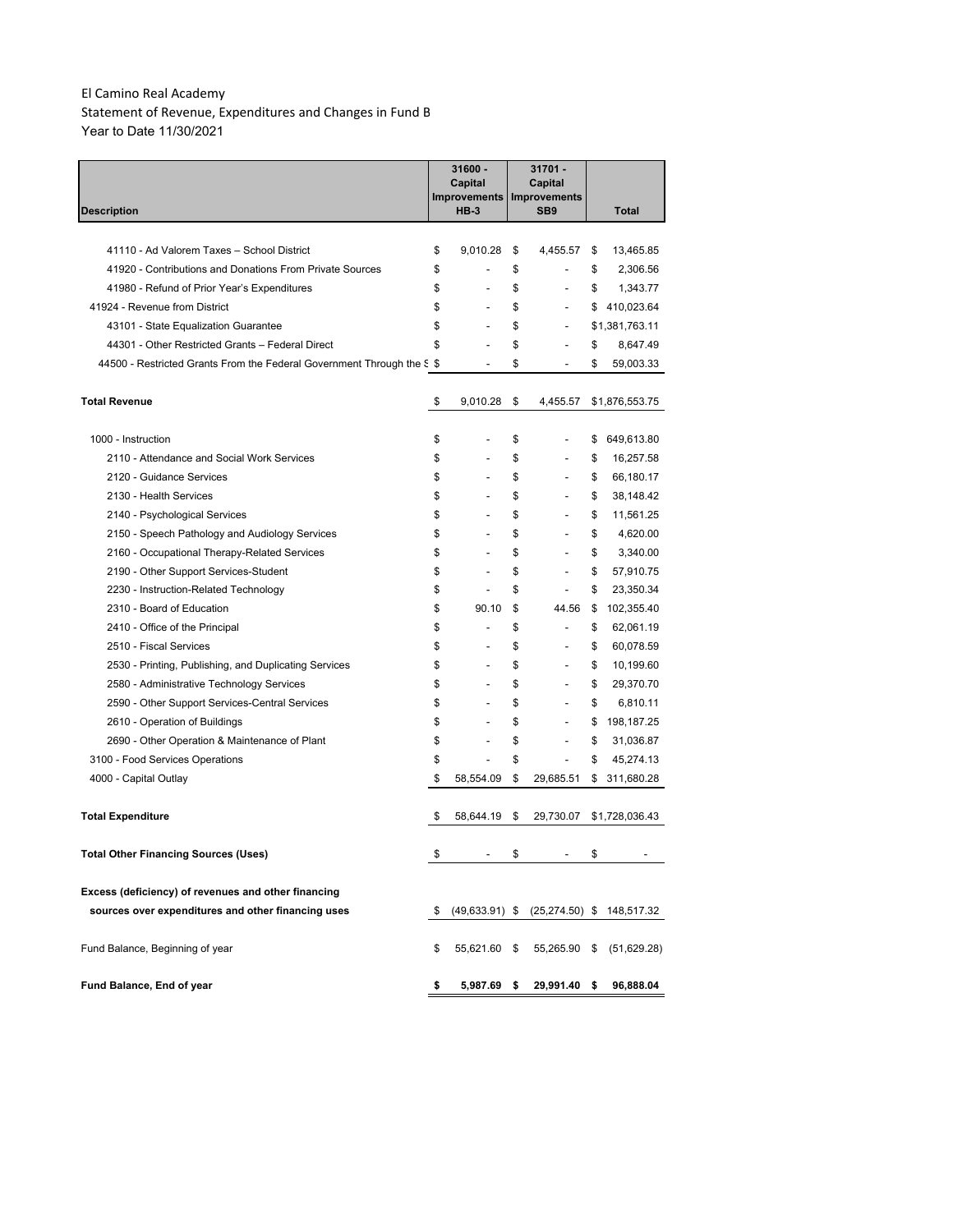Statement of Revenue, Expenditures and Changes in Fund B Year to Date 11/30/2021

|                                                                        | 31600 -<br>Capital<br>Improvements | 31701 -<br>Capital<br><b>Improvements</b> |                           |
|------------------------------------------------------------------------|------------------------------------|-------------------------------------------|---------------------------|
| Description                                                            | <b>HB-3</b>                        | SB <sub>9</sub>                           | Total                     |
|                                                                        |                                    |                                           |                           |
| 41110 - Ad Valorem Taxes - School District                             | \$<br>9,010.28                     | \$<br>4,455.57                            | \$<br>13,465.85           |
| 41920 - Contributions and Donations From Private Sources               | \$                                 | \$                                        | \$<br>2,306.56            |
| 41980 - Refund of Prior Year's Expenditures                            | \$                                 | \$<br>$\overline{a}$                      | \$<br>1,343.77            |
| 41924 - Revenue from District                                          | \$<br>$\overline{\phantom{0}}$     | \$                                        | \$<br>410,023.64          |
| 43101 - State Equalization Guarantee                                   | \$<br>$\overline{\phantom{a}}$     | \$<br>$\overline{\phantom{a}}$            | \$1,381,763.11            |
| 44301 - Other Restricted Grants - Federal Direct                       | \$                                 | \$<br>$\overline{a}$                      | \$<br>8,647.49            |
| 44500 - Restricted Grants From the Federal Government Through the S \$ | $\overline{\phantom{a}}$           | \$<br>$\overline{\phantom{a}}$            | \$<br>59,003.33           |
| <b>Total Revenue</b>                                                   | \$<br>9,010.28                     | \$<br>4,455.57                            | \$1,876,553.75            |
| 1000 - Instruction                                                     | \$                                 | \$                                        | \$<br>649,613.80          |
| 2110 - Attendance and Social Work Services                             | \$<br>$\overline{a}$               | \$<br>$\overline{a}$                      | \$<br>16,257.58           |
| 2120 - Guidance Services                                               | \$<br>$\overline{\phantom{a}}$     | \$<br>$\overline{a}$                      | \$<br>66,180.17           |
| 2130 - Health Services                                                 | \$<br>$\overline{a}$               | \$<br>$\overline{a}$                      | \$<br>38,148.42           |
| 2140 - Psychological Services                                          | \$                                 | \$                                        | \$<br>11,561.25           |
| 2150 - Speech Pathology and Audiology Services                         | \$                                 | \$                                        | \$<br>4,620.00            |
| 2160 - Occupational Therapy-Related Services                           | \$                                 | \$                                        | \$<br>3,340.00            |
| 2190 - Other Support Services-Student                                  | \$                                 | \$                                        | \$<br>57,910.75           |
| 2230 - Instruction-Related Technology                                  | \$                                 | \$                                        | \$<br>23,350.34           |
| 2310 - Board of Education                                              | \$<br>90.10                        | \$<br>44.56                               | \$<br>102,355.40          |
| 2410 - Office of the Principal                                         | \$                                 | \$<br>$\overline{a}$                      | \$<br>62,061.19           |
| 2510 - Fiscal Services                                                 | \$                                 | \$                                        | \$<br>60,078.59           |
| 2530 - Printing, Publishing, and Duplicating Services                  | \$<br>$\overline{\phantom{a}}$     | \$<br>$\overline{a}$                      | \$<br>10,199.60           |
| 2580 - Administrative Technology Services                              | \$                                 | \$                                        | \$<br>29,370.70           |
| 2590 - Other Support Services-Central Services                         | \$                                 | \$                                        | \$<br>6,810.11            |
| 2610 - Operation of Buildings                                          | \$                                 | \$                                        | \$<br>198,187.25          |
| 2690 - Other Operation & Maintenance of Plant                          | \$                                 | \$<br>$\overline{a}$                      | \$<br>31,036.87           |
| 3100 - Food Services Operations                                        | \$                                 | \$                                        | \$<br>45,274.13           |
| 4000 - Capital Outlay                                                  | \$<br>58,554.09                    | \$<br>29,685.51                           | \$<br>311,680.28          |
| <b>Total Expenditure</b>                                               | \$<br>58,644.19                    | \$<br>29,730.07                           | \$1,728,036.43            |
| Total Other Financing Sources (Uses)                                   | \$                                 | \$                                        | \$                        |
|                                                                        |                                    |                                           |                           |
| Excess (deficiency) of revenues and other financing                    |                                    |                                           |                           |
| sources over expenditures and other financing uses                     | \$<br>$(49, 633.91)$ \$            |                                           | (25,274.50) \$ 148,517.32 |
| Fund Balance, Beginning of year                                        | \$<br>55,621.60                    | \$<br>55,265.90                           | \$<br>(51,629.28)         |
| Fund Balance, End of year                                              | \$<br>5,987.69                     | \$<br>29,991.40                           | \$<br>96,888.04           |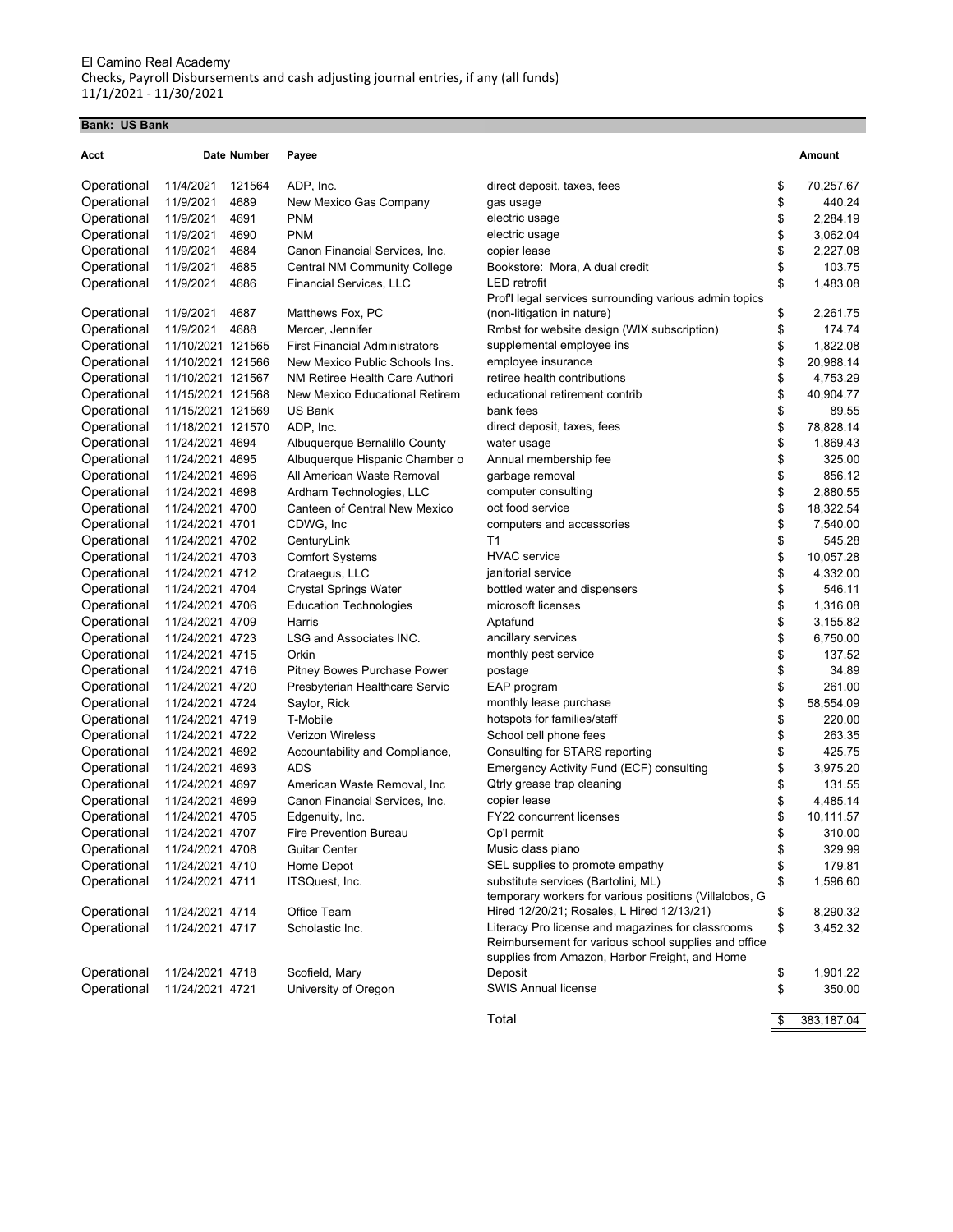# **Bank: US Bank**

| Acct        |                   | Date Number | Payee                                 |                                                        | Amount           |
|-------------|-------------------|-------------|---------------------------------------|--------------------------------------------------------|------------------|
| Operational | 11/4/2021         | 121564      | ADP, Inc.                             | direct deposit, taxes, fees                            | \$<br>70,257.67  |
| Operational | 11/9/2021         | 4689        | New Mexico Gas Company                | gas usage                                              | \$<br>440.24     |
| Operational | 11/9/2021         | 4691        | <b>PNM</b>                            | electric usage                                         | \$<br>2,284.19   |
| Operational | 11/9/2021         | 4690        | <b>PNM</b>                            | electric usage                                         | \$<br>3,062.04   |
| Operational | 11/9/2021         | 4684        | Canon Financial Services, Inc.        | copier lease                                           | \$<br>2,227.08   |
| Operational | 11/9/2021         | 4685        | Central NM Community College          | Bookstore: Mora, A dual credit                         | \$<br>103.75     |
| Operational | 11/9/2021         | 4686        | Financial Services, LLC               | <b>LED</b> retrofit                                    | \$<br>1,483.08   |
|             |                   |             |                                       | Prof'l legal services surrounding various admin topics |                  |
| Operational | 11/9/2021         | 4687        | Matthews Fox, PC                      | (non-litigation in nature)                             | \$<br>2,261.75   |
| Operational | 11/9/2021         | 4688        | Mercer, Jennifer                      | Rmbst for website design (WIX subscription)            | \$<br>174.74     |
| Operational | 11/10/2021 121565 |             | <b>First Financial Administrators</b> | supplemental employee ins                              | \$<br>1,822.08   |
| Operational | 11/10/2021 121566 |             | New Mexico Public Schools Ins.        | employee insurance                                     | \$<br>20,988.14  |
| Operational | 11/10/2021 121567 |             | NM Retiree Health Care Authori        | retiree health contributions                           | \$<br>4,753.29   |
| Operational | 11/15/2021 121568 |             | New Mexico Educational Retirem        | educational retirement contrib                         | \$<br>40,904.77  |
| Operational | 11/15/2021 121569 |             | <b>US Bank</b>                        | bank fees                                              | \$<br>89.55      |
| Operational | 11/18/2021 121570 |             | ADP, Inc.                             | direct deposit, taxes, fees                            | \$<br>78,828.14  |
| Operational | 11/24/2021 4694   |             | Albuquerque Bernalillo County         | water usage                                            | \$<br>1,869.43   |
| Operational | 11/24/2021 4695   |             | Albuquerque Hispanic Chamber o        | Annual membership fee                                  | \$<br>325.00     |
| Operational | 11/24/2021 4696   |             | All American Waste Removal            | garbage removal                                        | \$<br>856.12     |
| Operational | 11/24/2021 4698   |             | Ardham Technologies, LLC              | computer consulting                                    | \$<br>2,880.55   |
| Operational | 11/24/2021 4700   |             | Canteen of Central New Mexico         | oct food service                                       | \$<br>18,322.54  |
| Operational | 11/24/2021 4701   |             | CDWG, Inc.                            | computers and accessories                              | \$<br>7,540.00   |
| Operational | 11/24/2021 4702   |             | CenturyLink                           | T <sub>1</sub>                                         | \$<br>545.28     |
| Operational | 11/24/2021 4703   |             | <b>Comfort Systems</b>                | <b>HVAC</b> service                                    | \$<br>10,057.28  |
| Operational | 11/24/2021 4712   |             | Crataegus, LLC                        | janitorial service                                     | \$<br>4,332.00   |
| Operational | 11/24/2021 4704   |             | <b>Crystal Springs Water</b>          | bottled water and dispensers                           | \$<br>546.11     |
| Operational | 11/24/2021 4706   |             | <b>Education Technologies</b>         | microsoft licenses                                     | \$<br>1,316.08   |
| Operational | 11/24/2021 4709   |             | Harris                                | Aptafund                                               | \$<br>3,155.82   |
| Operational | 11/24/2021 4723   |             | LSG and Associates INC.               | ancillary services                                     | \$<br>6,750.00   |
| Operational | 11/24/2021 4715   |             | Orkin                                 | monthly pest service                                   | \$<br>137.52     |
| Operational | 11/24/2021 4716   |             | Pitney Bowes Purchase Power           | postage                                                | \$<br>34.89      |
| Operational | 11/24/2021 4720   |             | Presbyterian Healthcare Servic        | EAP program                                            | \$<br>261.00     |
| Operational | 11/24/2021 4724   |             | Saylor, Rick                          | monthly lease purchase                                 | \$<br>58,554.09  |
| Operational | 11/24/2021 4719   |             | T-Mobile                              | hotspots for families/staff                            | \$<br>220.00     |
| Operational | 11/24/2021 4722   |             | <b>Verizon Wireless</b>               | School cell phone fees                                 | \$<br>263.35     |
| Operational | 11/24/2021 4692   |             | Accountability and Compliance,        | Consulting for STARS reporting                         | \$<br>425.75     |
| Operational | 11/24/2021 4693   |             | <b>ADS</b>                            | Emergency Activity Fund (ECF) consulting               | \$<br>3,975.20   |
| Operational | 11/24/2021 4697   |             | American Waste Removal, Inc.          | Qtrly grease trap cleaning                             | \$<br>131.55     |
| Operational | 11/24/2021 4699   |             | Canon Financial Services, Inc.        | copier lease                                           | \$<br>4,485.14   |
| Operational | 11/24/2021 4705   |             | Edgenuity, Inc.                       | <b>FY22 concurrent licenses</b>                        | \$<br>10,111.57  |
| Operational | 11/24/2021 4707   |             | Fire Prevention Bureau                | Op'l permit                                            | \$<br>310.00     |
| Operational | 11/24/2021 4708   |             | Guitar Center                         | Music class piano                                      | \$<br>329.99     |
| Operational | 11/24/2021 4710   |             | Home Depot                            | SEL supplies to promote empathy                        | \$<br>179.81     |
| Operational | 11/24/2021 4711   |             | ITSQuest, Inc.                        | substitute services (Bartolini, ML)                    | \$<br>1,596.60   |
|             |                   |             |                                       | temporary workers for various positions (Villalobos, G |                  |
| Operational | 11/24/2021 4714   |             | Office Team                           | Hired 12/20/21; Rosales, L Hired 12/13/21)             | \$<br>8,290.32   |
| Operational | 11/24/2021 4717   |             | Scholastic Inc.                       | Literacy Pro license and magazines for classrooms      | \$<br>3,452.32   |
|             |                   |             |                                       | Reimbursement for various school supplies and office   |                  |
|             |                   |             |                                       | supplies from Amazon, Harbor Freight, and Home         |                  |
| Operational | 11/24/2021 4718   |             | Scofield, Mary                        | Deposit                                                | \$<br>1,901.22   |
| Operational | 11/24/2021 4721   |             | University of Oregon                  | <b>SWIS Annual license</b>                             | \$<br>350.00     |
|             |                   |             |                                       | Total                                                  | \$<br>383,187.04 |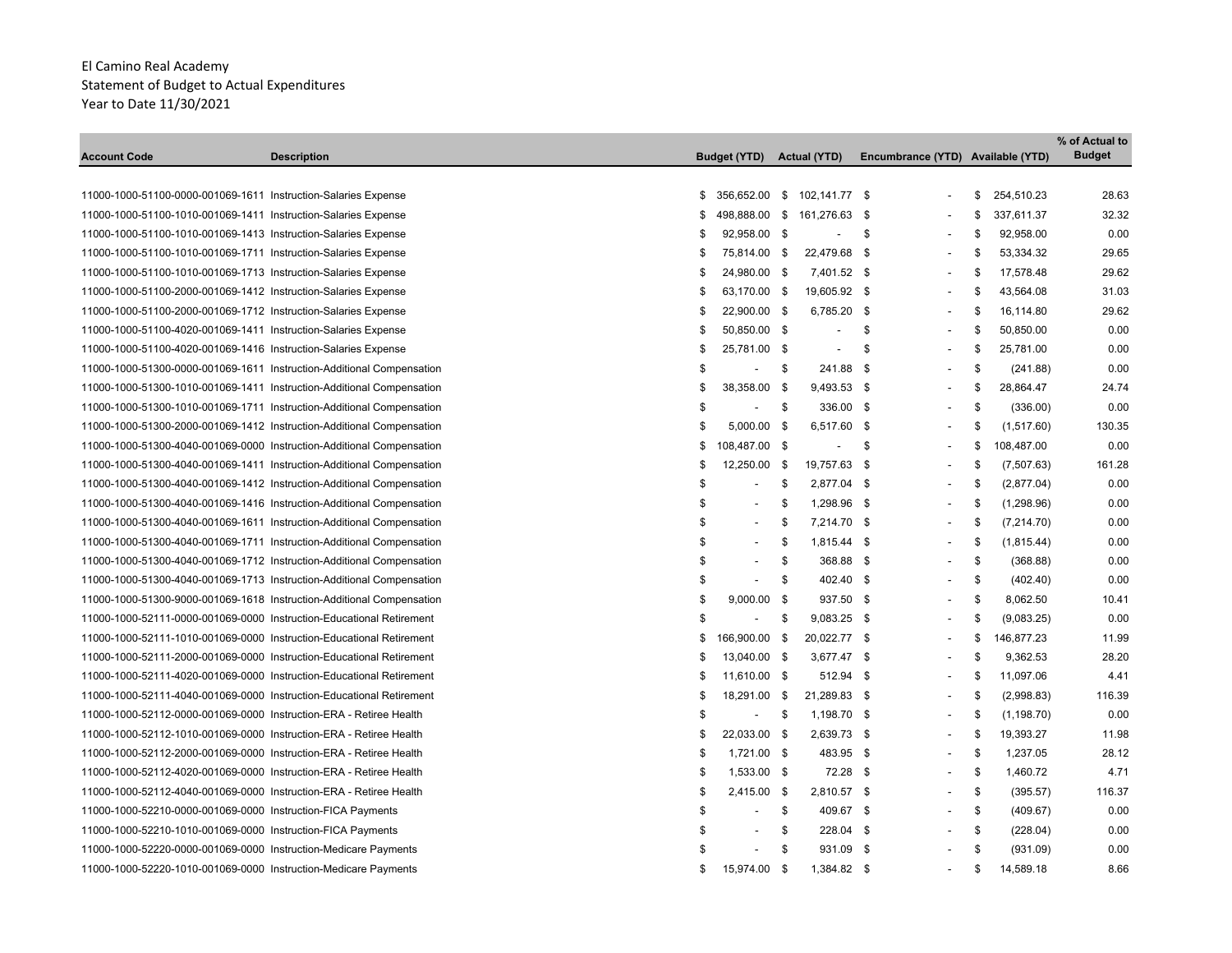\_\_\_\_\_\_\_

|                                                                       |                    |    |                          |      |                             |                                   |     |             | % of Actual to |
|-----------------------------------------------------------------------|--------------------|----|--------------------------|------|-----------------------------|-----------------------------------|-----|-------------|----------------|
| <b>Account Code</b>                                                   | <b>Description</b> |    | <b>Budget (YTD)</b>      |      | <b>Actual (YTD)</b>         | Encumbrance (YTD) Available (YTD) |     |             | <b>Budget</b>  |
|                                                                       |                    |    |                          |      |                             |                                   |     |             |                |
| 11000-1000-51100-0000-001069-1611 Instruction-Salaries Expense        |                    | S  |                          |      | 356,652.00 \$ 102,141.77 \$ |                                   | \$  | 254,510.23  | 28.63          |
| 11000-1000-51100-1010-001069-1411 Instruction-Salaries Expense        |                    | S  | 498,888.00 \$            |      | 161,276.63 \$               |                                   | \$  | 337,611.37  | 32.32          |
| 11000-1000-51100-1010-001069-1413 Instruction-Salaries Expense        |                    | S  | 92,958.00 \$             |      | $\overline{\phantom{a}}$    | \$                                | \$  | 92,958.00   | 0.00           |
| 11000-1000-51100-1010-001069-1711 Instruction-Salaries Expense        |                    | S  | 75,814.00 \$             |      | 22,479.68 \$                |                                   | \$  | 53,334.32   | 29.65          |
| 11000-1000-51100-1010-001069-1713 Instruction-Salaries Expense        |                    | S  | 24,980.00 \$             |      | 7,401.52 \$                 |                                   | \$  | 17,578.48   | 29.62          |
| 11000-1000-51100-2000-001069-1412 Instruction-Salaries Expense        |                    | S  | 63,170.00 \$             |      | 19,605.92 \$                |                                   | \$. | 43,564.08   | 31.03          |
| 11000-1000-51100-2000-001069-1712 Instruction-Salaries Expense        |                    | S  | 22,900.00 \$             |      | 6,785.20 \$                 |                                   | \$  | 16,114.80   | 29.62          |
| 11000-1000-51100-4020-001069-1411 Instruction-Salaries Expense        |                    | \$ | 50,850.00 \$             |      | $\blacksquare$              | \$                                | \$. | 50,850.00   | 0.00           |
| 11000-1000-51100-4020-001069-1416 Instruction-Salaries Expense        |                    | S  | 25,781.00 \$             |      | $\blacksquare$              | \$                                | \$. | 25,781.00   | 0.00           |
| 11000-1000-51300-0000-001069-1611 Instruction-Additional Compensation |                    | S  | $\overline{\phantom{a}}$ | \$   | 241.88 \$                   |                                   | \$  | (241.88)    | 0.00           |
| 11000-1000-51300-1010-001069-1411 Instruction-Additional Compensation |                    | S  | 38,358.00                | - \$ | 9,493.53 \$                 |                                   | \$  | 28,864.47   | 24.74          |
| 11000-1000-51300-1010-001069-1711 Instruction-Additional Compensation |                    | S  |                          | \$   | 336.00 \$                   |                                   | \$  | (336.00)    | 0.00           |
| 11000-1000-51300-2000-001069-1412 Instruction-Additional Compensation |                    | \$ | 5,000.00 \$              |      | 6,517.60 \$                 |                                   | \$  | (1,517.60)  | 130.35         |
| 11000-1000-51300-4040-001069-0000 Instruction-Additional Compensation |                    | \$ | 108,487.00 \$            |      |                             | \$                                | \$  | 108,487.00  | 0.00           |
| 11000-1000-51300-4040-001069-1411 Instruction-Additional Compensation |                    | \$ | 12,250.00 \$             |      | 19,757.63 \$                |                                   | \$  | (7,507.63)  | 161.28         |
| 11000-1000-51300-4040-001069-1412 Instruction-Additional Compensation |                    | \$ | $\overline{\phantom{a}}$ | \$   | 2,877.04 \$                 |                                   | \$  | (2,877.04)  | 0.00           |
| 11000-1000-51300-4040-001069-1416 Instruction-Additional Compensation |                    | \$ | $\blacksquare$           | \$   | 1,298.96 \$                 |                                   | \$  | (1,298.96)  | 0.00           |
| 11000-1000-51300-4040-001069-1611 Instruction-Additional Compensation |                    | \$ |                          | \$   | 7,214.70 \$                 |                                   | \$  | (7,214.70)  | 0.00           |
| 11000-1000-51300-4040-001069-1711 Instruction-Additional Compensation |                    | \$ |                          | \$   | 1,815.44 \$                 |                                   | \$  | (1,815.44)  | 0.00           |
| 11000-1000-51300-4040-001069-1712 Instruction-Additional Compensation |                    | \$ | $\overline{\phantom{a}}$ | \$   | 368.88 \$                   |                                   | \$  | (368.88)    | 0.00           |
| 11000-1000-51300-4040-001069-1713 Instruction-Additional Compensation |                    | \$ | $\overline{\phantom{a}}$ | \$   | 402.40 \$                   |                                   | \$  | (402.40)    | 0.00           |
| 11000-1000-51300-9000-001069-1618 Instruction-Additional Compensation |                    | \$ | 9,000.00                 | -\$  | 937.50 \$                   |                                   | \$  | 8,062.50    | 10.41          |
| 11000-1000-52111-0000-001069-0000 Instruction-Educational Retirement  |                    | \$ | $\overline{\phantom{a}}$ | \$   | $9,083.25$ \$               |                                   | \$  | (9,083.25)  | 0.00           |
| 11000-1000-52111-1010-001069-0000 Instruction-Educational Retirement  |                    | \$ | 166,900.00 \$            |      | 20,022.77 \$                |                                   | \$  | 146,877.23  | 11.99          |
| 11000-1000-52111-2000-001069-0000 Instruction-Educational Retirement  |                    | S. | 13,040.00 \$             |      | 3,677.47 \$                 |                                   | \$  | 9,362.53    | 28.20          |
| 11000-1000-52111-4020-001069-0000 Instruction-Educational Retirement  |                    | S  | 11,610.00 \$             |      | 512.94 \$                   |                                   | \$  | 11,097.06   | 4.41           |
| 11000-1000-52111-4040-001069-0000 Instruction-Educational Retirement  |                    | £  | 18,291.00 \$             |      | 21,289.83 \$                |                                   | £.  | (2,998.83)  | 116.39         |
| 11000-1000-52112-0000-001069-0000 Instruction-ERA - Retiree Health    |                    | S  | $\overline{\phantom{a}}$ | - \$ | 1,198.70 \$                 |                                   | \$  | (1, 198.70) | 0.00           |
| 11000-1000-52112-1010-001069-0000 Instruction-ERA - Retiree Health    |                    | S  | 22,033.00                | - \$ | 2,639.73 \$                 |                                   | \$  | 19,393.27   | 11.98          |
| 11000-1000-52112-2000-001069-0000 Instruction-ERA - Retiree Health    |                    | \$ | 1,721.00 \$              |      | 483.95 \$                   |                                   | \$  | 1,237.05    | 28.12          |
| 11000-1000-52112-4020-001069-0000 Instruction-ERA - Retiree Health    |                    | \$ | 1,533.00 \$              |      | 72.28 \$                    |                                   | \$  | 1,460.72    | 4.71           |
| 11000-1000-52112-4040-001069-0000 Instruction-ERA - Retiree Health    |                    | \$ | 2,415.00 \$              |      | 2,810.57 \$                 |                                   | \$  | (395.57)    | 116.37         |
| 11000-1000-52210-0000-001069-0000 Instruction-FICA Payments           |                    | \$ | $\blacksquare$           | \$   | 409.67 \$                   | $\overline{\phantom{a}}$          | \$  | (409.67)    | 0.00           |
| 11000-1000-52210-1010-001069-0000 Instruction-FICA Payments           |                    |    | $\blacksquare$           | \$   | 228.04 \$                   |                                   | \$  | (228.04)    | 0.00           |
| 11000-1000-52220-0000-001069-0000 Instruction-Medicare Payments       |                    |    |                          | \$   | 931.09 \$                   |                                   | \$  | (931.09)    | 0.00           |
| 11000-1000-52220-1010-001069-0000 Instruction-Medicare Payments       |                    | \$ | 15,974.00                | -\$  | 1,384.82 \$                 |                                   | \$  | 14,589.18   | 8.66           |
|                                                                       |                    |    |                          |      |                             |                                   |     |             |                |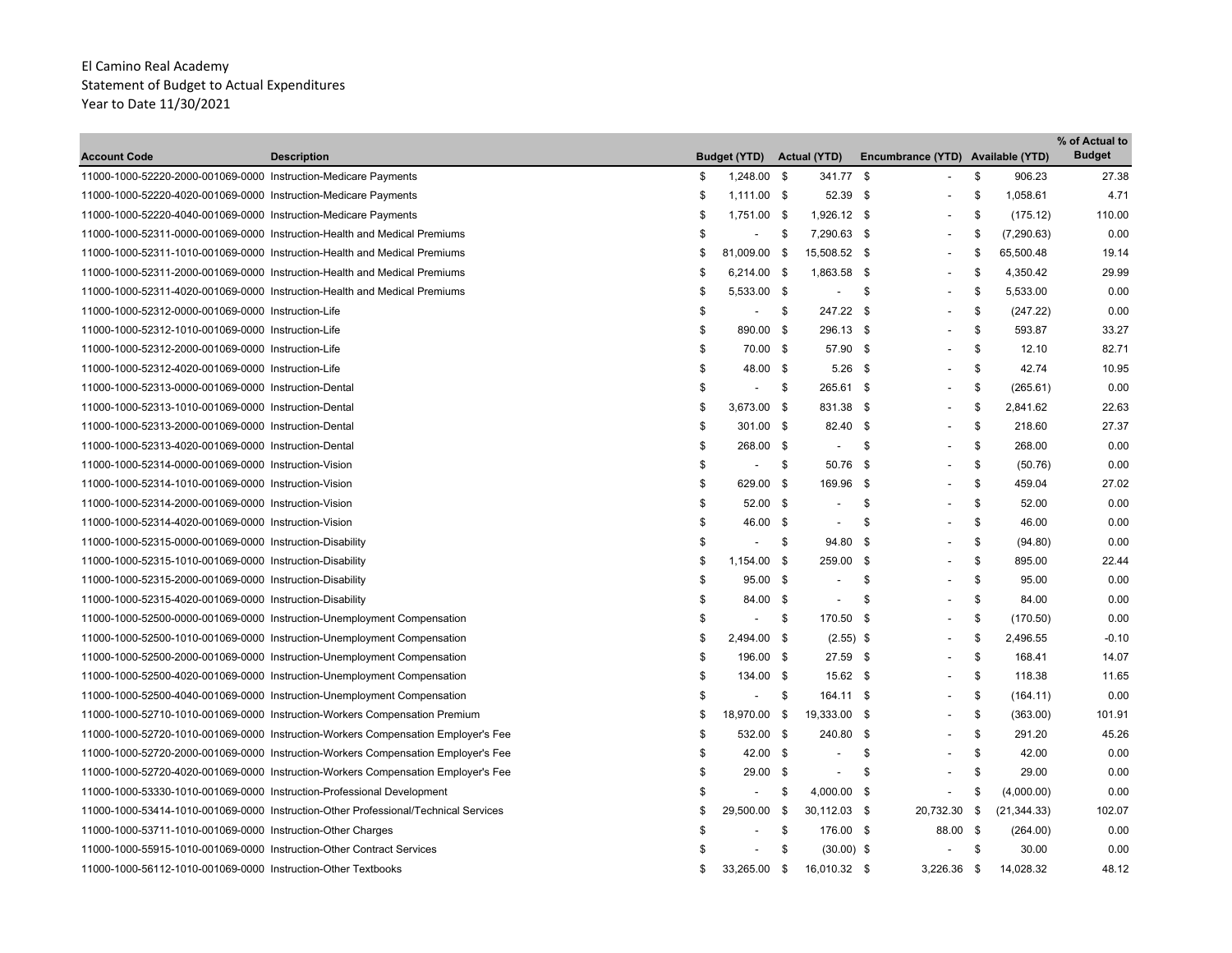| <b>Account Code</b>                                                    | <b>Description</b>                                                                  |     | <b>Budget (YTD)</b>      |          | <b>Actual (YTD)</b>      | Encumbrance (YTD) Available (YTD) |               |              | % of Actual to<br><b>Budget</b> |
|------------------------------------------------------------------------|-------------------------------------------------------------------------------------|-----|--------------------------|----------|--------------------------|-----------------------------------|---------------|--------------|---------------------------------|
| 11000-1000-52220-2000-001069-0000 Instruction-Medicare Payments        |                                                                                     | \$  | 1,248.00 \$              |          | 341.77 \$                |                                   | \$            | 906.23       | 27.38                           |
| 11000-1000-52220-4020-001069-0000 Instruction-Medicare Payments        |                                                                                     | \$  | $1,111.00$ \$            |          | 52.39 \$                 |                                   | \$            | 1,058.61     | 4.71                            |
| 11000-1000-52220-4040-001069-0000 Instruction-Medicare Payments        |                                                                                     | \$  | 1,751.00 \$              |          | 1,926.12 \$              | $\blacksquare$                    | \$            | (175.12)     | 110.00                          |
|                                                                        | 11000-1000-52311-0000-001069-0000 Instruction-Health and Medical Premiums           | \$  | $\overline{\phantom{a}}$ | -\$      | 7,290.63 \$              | $\overline{\phantom{a}}$          | \$            | (7,290.63)   | 0.00                            |
|                                                                        | 11000-1000-52311-1010-001069-0000 Instruction-Health and Medical Premiums           | \$  | 81,009.00                | - \$     | 15,508.52 \$             | $\overline{a}$                    | \$            | 65,500.48    | 19.14                           |
|                                                                        | 11000-1000-52311-2000-001069-0000 Instruction-Health and Medical Premiums           | \$  | 6,214.00 \$              |          | 1,863.58 \$              | $\blacksquare$                    | \$            | 4,350.42     | 29.99                           |
|                                                                        | 11000-1000-52311-4020-001069-0000 Instruction-Health and Medical Premiums           | \$  | 5,533.00 \$              |          | $\overline{\phantom{a}}$ | \$                                | \$            | 5,533.00     | 0.00                            |
| 11000-1000-52312-0000-001069-0000 Instruction-Life                     |                                                                                     | \$  | $\blacksquare$           | -\$      | 247.22 \$                |                                   | \$            | (247.22)     | 0.00                            |
| 11000-1000-52312-1010-001069-0000 Instruction-Life                     |                                                                                     | \$  | 890.00                   | \$       | 296.13 \$                |                                   | -\$           | 593.87       | 33.27                           |
| 11000-1000-52312-2000-001069-0000 Instruction-Life                     |                                                                                     | \$  | 70.00 \$                 |          | 57.90 \$                 |                                   | \$            | 12.10        | 82.71                           |
| 11000-1000-52312-4020-001069-0000 Instruction-Life                     |                                                                                     | \$  | 48.00 \$                 |          | $5.26$ \$                | $\overline{\phantom{a}}$          | \$            | 42.74        | 10.95                           |
| 11000-1000-52313-0000-001069-0000 Instruction-Dental                   |                                                                                     | \$  | $\sim$                   | - \$     | 265.61 \$                | $\overline{\phantom{a}}$          | \$            | (265.61)     | 0.00                            |
| 11000-1000-52313-1010-001069-0000 Instruction-Dental                   |                                                                                     | \$  | 3,673.00                 | <b>S</b> | 831.38 \$                | $\overline{a}$                    | \$            | 2,841.62     | 22.63                           |
| 11000-1000-52313-2000-001069-0000 Instruction-Dental                   |                                                                                     | \$  | 301.00 \$                |          | 82.40 \$                 |                                   | \$            | 218.60       | 27.37                           |
| 11000-1000-52313-4020-001069-0000 Instruction-Dental                   |                                                                                     | \$  | 268.00 \$                |          | $\overline{\phantom{a}}$ | \$                                | \$            | 268.00       | 0.00                            |
| 11000-1000-52314-0000-001069-0000 Instruction-Vision                   |                                                                                     | \$  | $\blacksquare$           | \$       | 50.76 \$                 |                                   | \$            | (50.76)      | 0.00                            |
| 11000-1000-52314-1010-001069-0000 Instruction-Vision                   |                                                                                     | \$  | 629.00                   | - \$     | 169.96 \$                |                                   | \$            | 459.04       | 27.02                           |
| 11000-1000-52314-2000-001069-0000 Instruction-Vision                   |                                                                                     | \$  | 52.00 \$                 |          |                          | \$                                | \$            | 52.00        | 0.00                            |
| 11000-1000-52314-4020-001069-0000 Instruction-Vision                   |                                                                                     | \$  | 46.00 \$                 |          | $\overline{\phantom{a}}$ | \$                                | \$            | 46.00        | 0.00                            |
| 11000-1000-52315-0000-001069-0000 Instruction-Disability               |                                                                                     | \$  |                          | -\$      | 94.80 \$                 |                                   | \$            | (94.80)      | 0.00                            |
| 11000-1000-52315-1010-001069-0000 Instruction-Disability               |                                                                                     | \$  | 1,154.00                 | - \$     | 259.00 \$                |                                   | \$            | 895.00       | 22.44                           |
| 11000-1000-52315-2000-001069-0000 Instruction-Disability               |                                                                                     | \$  | 95.00 \$                 |          | $\overline{\phantom{a}}$ | \$                                | $\mathfrak s$ | 95.00        | 0.00                            |
| 11000-1000-52315-4020-001069-0000 Instruction-Disability               |                                                                                     | \$  | 84.00 \$                 |          | $\overline{\phantom{a}}$ | \$                                | \$            | 84.00        | 0.00                            |
|                                                                        | 11000-1000-52500-0000-001069-0000 Instruction-Unemployment Compensation             | \$  | $\blacksquare$           | \$       | 170.50 \$                |                                   | \$            | (170.50)     | 0.00                            |
|                                                                        | 11000-1000-52500-1010-001069-0000 Instruction-Unemployment Compensation             | \$  | 2,494.00                 | - \$     | $(2.55)$ \$              |                                   | \$            | 2,496.55     | $-0.10$                         |
|                                                                        | 11000-1000-52500-2000-001069-0000 Instruction-Unemployment Compensation             | \$  | 196.00 \$                |          | 27.59 \$                 |                                   | \$            | 168.41       | 14.07                           |
|                                                                        | 11000-1000-52500-4020-001069-0000 Instruction-Unemployment Compensation             | \$  | 134.00 \$                |          | 15.62 \$                 |                                   | \$            | 118.38       | 11.65                           |
|                                                                        | 11000-1000-52500-4040-001069-0000 Instruction-Unemployment Compensation             | \$  | $\overline{\phantom{a}}$ | \$       | 164.11 \$                |                                   | \$            | (164.11)     | 0.00                            |
|                                                                        | 11000-1000-52710-1010-001069-0000 Instruction-Workers Compensation Premium          | \$  | 18,970.00                | \$       | 19,333.00 \$             | $\overline{\phantom{a}}$          | \$            | (363.00)     | 101.91                          |
|                                                                        | 11000-1000-52720-1010-001069-0000 Instruction-Workers Compensation Employer's Fee   | \$  | 532.00 \$                |          | 240.80 \$                |                                   | \$            | 291.20       | 45.26                           |
|                                                                        | 11000-1000-52720-2000-001069-0000 Instruction-Workers Compensation Employer's Fee   | \$  | 42.00 \$                 |          |                          | \$                                | \$            | 42.00        | 0.00                            |
|                                                                        | 11000-1000-52720-4020-001069-0000 Instruction-Workers Compensation Employer's Fee   | \$  | 29.00                    | - \$     |                          | \$                                | \$            | 29.00        | 0.00                            |
| 11000-1000-53330-1010-001069-0000 Instruction-Professional Development |                                                                                     | \$  |                          | \$       | 4,000.00 \$              |                                   | \$            | (4,000.00)   | 0.00                            |
|                                                                        | 11000-1000-53414-1010-001069-0000 Instruction-Other Professional/Technical Services | \$  | 29,500.00                | - \$     | 30,112.03 \$             | 20,732.30                         | \$            | (21, 344.33) | 102.07                          |
| 11000-1000-53711-1010-001069-0000 Instruction-Other Charges            |                                                                                     | \$  |                          | \$       | 176.00 \$                | 88.00 \$                          |               | (264.00)     | 0.00                            |
| 11000-1000-55915-1010-001069-0000 Instruction-Other Contract Services  |                                                                                     |     |                          | \$       | $(30.00)$ \$             |                                   | \$            | 30.00        | 0.00                            |
| 11000-1000-56112-1010-001069-0000 Instruction-Other Textbooks          |                                                                                     | \$. | 33,265.00                | - \$     | 16,010.32 \$             | 3,226.36                          | \$            | 14,028.32    | 48.12                           |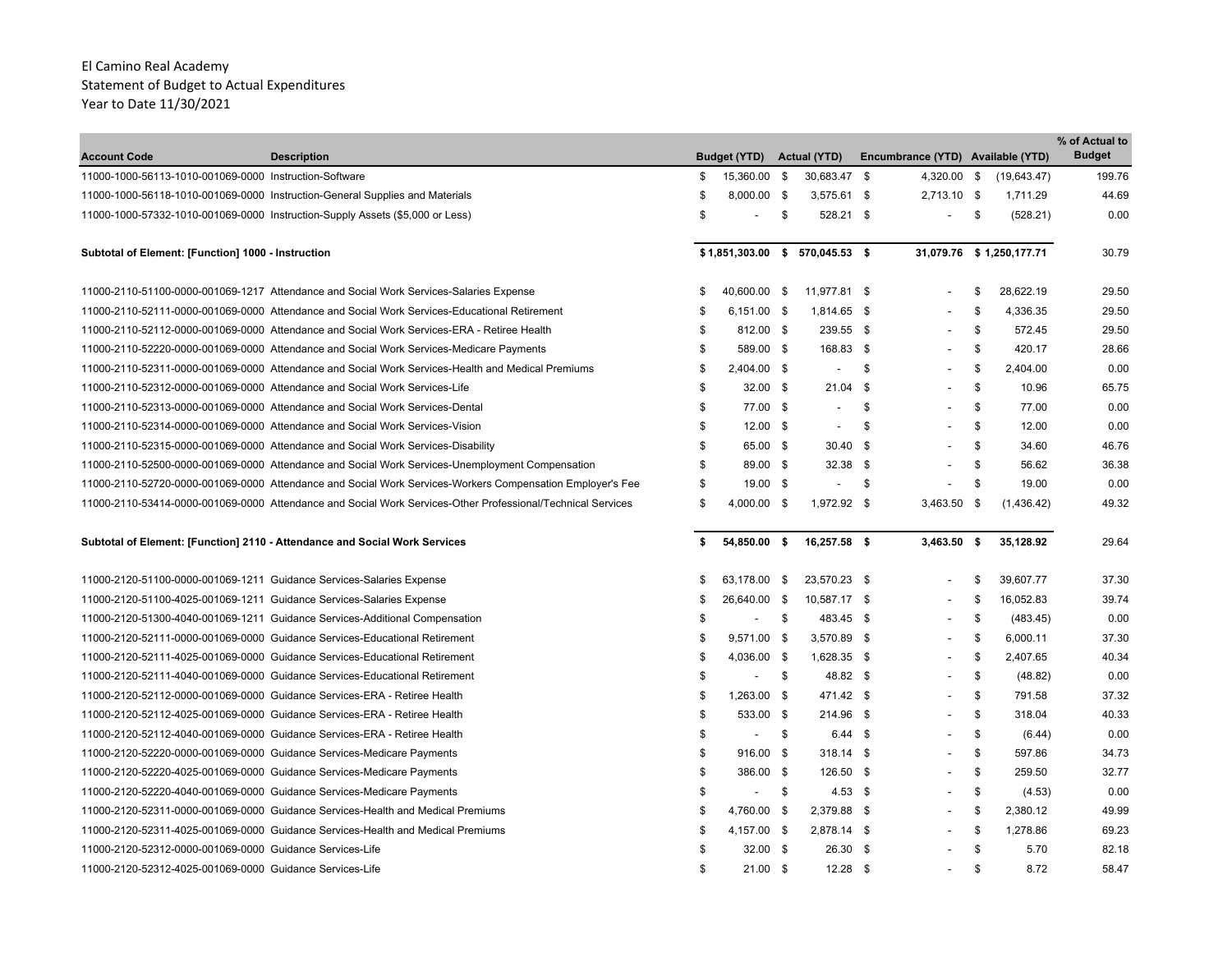| <b>Account Code</b>                                                  | <b>Description</b>                                                                                          |     | <b>Budget (YTD)</b> |      | <b>Actual (YTD)</b>              | Encumbrance (YTD) Available (YTD) |                           | % of Actual to<br><b>Budget</b> |
|----------------------------------------------------------------------|-------------------------------------------------------------------------------------------------------------|-----|---------------------|------|----------------------------------|-----------------------------------|---------------------------|---------------------------------|
| 11000-1000-56113-1010-001069-0000 Instruction-Software               |                                                                                                             | \$  | 15,360.00           | - \$ | 30,683.47 \$                     | 4,320.00 \$                       | (19,643.47)               | 199.76                          |
|                                                                      | 11000-1000-56118-1010-001069-0000 Instruction-General Supplies and Materials                                | \$  | 8,000.00 \$         |      | 3,575.61 \$                      | 2,713.10 \$                       | 1,711.29                  | 44.69                           |
|                                                                      | 11000-1000-57332-1010-001069-0000 Instruction-Supply Assets (\$5,000 or Less)                               | \$  |                     | \$   | 528.21 \$                        |                                   | \$<br>(528.21)            | 0.00                            |
| Subtotal of Element: [Function] 1000 - Instruction                   |                                                                                                             |     |                     |      | $$1,851,303.00$ \$ 570,045.53 \$ |                                   | 31,079.76 \$ 1,250,177.71 | 30.79                           |
|                                                                      | 11000-2110-51100-0000-001069-1217 Attendance and Social Work Services-Salaries Expense                      | S   | 40,600.00 \$        |      | 11,977.81 \$                     |                                   | \$<br>28,622.19           | 29.50                           |
|                                                                      | 11000-2110-52111-0000-001069-0000 Attendance and Social Work Services-Educational Retirement                | \$  | 6,151.00 \$         |      | 1,814.65 \$                      |                                   | \$<br>4,336.35            | 29.50                           |
|                                                                      | 11000-2110-52112-0000-001069-0000 Attendance and Social Work Services-ERA - Retiree Health                  | \$  | 812.00 \$           |      | 239.55 \$                        |                                   | \$<br>572.45              | 29.50                           |
|                                                                      | 11000-2110-52220-0000-001069-0000 Attendance and Social Work Services-Medicare Payments                     | \$  | 589.00 \$           |      | 168.83 \$                        |                                   | \$<br>420.17              | 28.66                           |
|                                                                      | 11000-2110-52311-0000-001069-0000 Attendance and Social Work Services-Health and Medical Premiums           | \$  | 2,404.00 \$         |      | $\overline{\phantom{a}}$         | \$                                | \$<br>2,404.00            | 0.00                            |
|                                                                      | 11000-2110-52312-0000-001069-0000 Attendance and Social Work Services-Life                                  | \$  | $32.00$ \$          |      | $21.04$ \$                       |                                   | \$<br>10.96               | 65.75                           |
|                                                                      | 11000-2110-52313-0000-001069-0000 Attendance and Social Work Services-Dental                                | \$  | 77.00 \$            |      | $\blacksquare$                   | \$                                | \$<br>77.00               | 0.00                            |
|                                                                      | 11000-2110-52314-0000-001069-0000 Attendance and Social Work Services-Vision                                | \$  | $12.00$ \$          |      | $\tilde{\phantom{a}}$            | \$                                | \$<br>12.00               | 0.00                            |
|                                                                      | 11000-2110-52315-0000-001069-0000 Attendance and Social Work Services-Disability                            | \$  | 65.00 \$            |      | $30.40$ \$                       |                                   | \$<br>34.60               | 46.76                           |
|                                                                      | 11000-2110-52500-0000-001069-0000 Attendance and Social Work Services-Unemployment Compensation             | \$  | 89.00 \$            |      | $32.38$ \$                       |                                   | \$<br>56.62               | 36.38                           |
|                                                                      | 11000-2110-52720-0000-001069-0000 Attendance and Social Work Services-Workers Compensation Employer's Fee   | \$  | 19.00 \$            |      |                                  | \$                                | \$<br>19.00               | 0.00                            |
|                                                                      | 11000-2110-53414-0000-001069-0000 Attendance and Social Work Services-Other Professional/Technical Services | \$  | 4,000.00 \$         |      | 1,972.92 \$                      | 3,463.50 \$                       | (1,436.42)                | 49.32                           |
|                                                                      | Subtotal of Element: [Function] 2110 - Attendance and Social Work Services                                  | \$  | 54,850.00 \$        |      | 16,257.58 \$                     | 3,463.50 \$                       | 35,128.92                 | 29.64                           |
| 11000-2120-51100-0000-001069-1211 Guidance Services-Salaries Expense |                                                                                                             | \$. | 63,178.00 \$        |      | 23,570.23 \$                     |                                   | \$<br>39,607.77           | 37.30                           |
| 11000-2120-51100-4025-001069-1211 Guidance Services-Salaries Expense |                                                                                                             | \$. | 26,640.00 \$        |      | 10,587.17 \$                     |                                   | \$<br>16,052.83           | 39.74                           |
|                                                                      | 11000-2120-51300-4040-001069-1211 Guidance Services-Additional Compensation                                 | \$  | $\blacksquare$      | \$   | 483.45 \$                        |                                   | \$<br>(483.45)            | 0.00                            |
|                                                                      | 11000-2120-52111-0000-001069-0000 Guidance Services-Educational Retirement                                  | \$  | 9,571.00 \$         |      | 3,570.89 \$                      |                                   | \$<br>6,000.11            | 37.30                           |
|                                                                      | 11000-2120-52111-4025-001069-0000 Guidance Services-Educational Retirement                                  | \$  | 4,036.00 \$         |      | 1,628.35 \$                      |                                   | \$<br>2,407.65            | 40.34                           |
|                                                                      | 11000-2120-52111-4040-001069-0000 Guidance Services-Educational Retirement                                  | \$  | $\blacksquare$      | \$   | 48.82 \$                         |                                   | \$<br>(48.82)             | 0.00                            |
|                                                                      | 11000-2120-52112-0000-001069-0000 Guidance Services-ERA - Retiree Health                                    | \$  | 1,263.00 \$         |      | 471.42 \$                        |                                   | \$<br>791.58              | 37.32                           |
|                                                                      | 11000-2120-52112-4025-001069-0000 Guidance Services-ERA - Retiree Health                                    | \$  | 533.00 \$           |      | 214.96 \$                        |                                   | \$<br>318.04              | 40.33                           |
|                                                                      | 11000-2120-52112-4040-001069-0000 Guidance Services-ERA - Retiree Health                                    | \$  | $\blacksquare$      | \$   | $6.44$ \$                        |                                   | \$<br>(6.44)              | 0.00                            |
|                                                                      | 11000-2120-52220-0000-001069-0000 Guidance Services-Medicare Payments                                       | \$  | 916.00 \$           |      | $318.14$ \$                      |                                   | \$<br>597.86              | 34.73                           |
|                                                                      | 11000-2120-52220-4025-001069-0000 Guidance Services-Medicare Payments                                       | \$  | 386.00 \$           |      | 126.50 \$                        |                                   | \$<br>259.50              | 32.77                           |
|                                                                      | 11000-2120-52220-4040-001069-0000 Guidance Services-Medicare Payments                                       | \$  |                     | \$   | $4.53$ \$                        |                                   | \$<br>(4.53)              | 0.00                            |
|                                                                      | 11000-2120-52311-0000-001069-0000 Guidance Services-Health and Medical Premiums                             | \$  | 4.760.00 \$         |      | 2,379.88 \$                      |                                   | \$<br>2,380.12            | 49.99                           |
|                                                                      | 11000-2120-52311-4025-001069-0000 Guidance Services-Health and Medical Premiums                             | \$  | 4,157.00 \$         |      | 2,878.14 \$                      |                                   | \$<br>1,278.86            | 69.23                           |
| 11000-2120-52312-0000-001069-0000 Guidance Services-Life             |                                                                                                             | \$  | $32.00$ \$          |      | 26.30 \$                         |                                   | \$<br>5.70                | 82.18                           |
| 11000-2120-52312-4025-001069-0000 Guidance Services-Life             |                                                                                                             | \$  | $21.00$ \$          |      | $12.28$ \$                       |                                   | \$<br>8.72                | 58.47                           |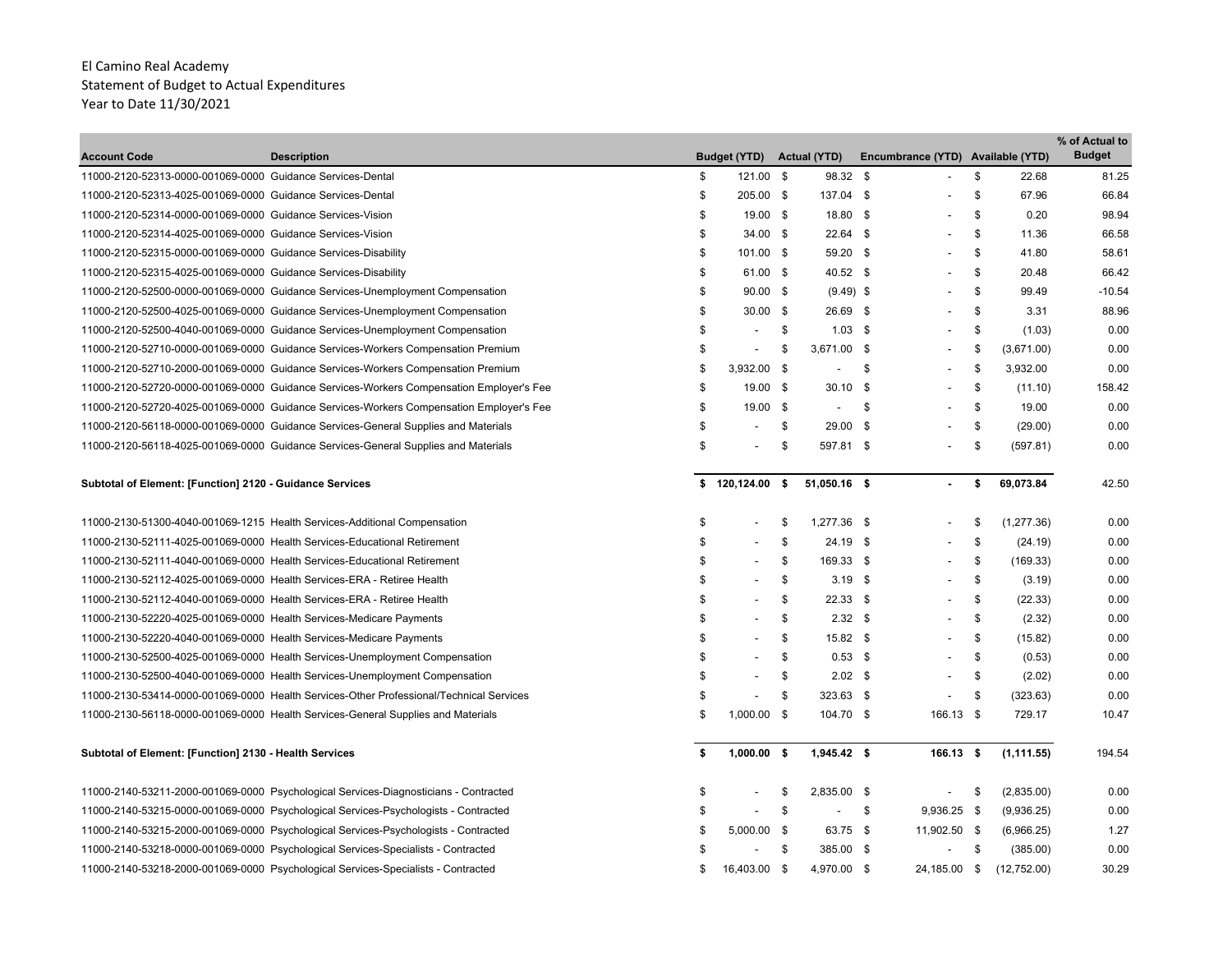| <b>Account Code</b>                                                 | <b>Description</b>                                                                      | <b>Budget (YTD)</b> | <b>Actual (YTD)</b>      | Encumbrance (YTD) Available (YTD) |                   | % of Actual to<br><b>Budget</b> |
|---------------------------------------------------------------------|-----------------------------------------------------------------------------------------|---------------------|--------------------------|-----------------------------------|-------------------|---------------------------------|
| 11000-2120-52313-0000-001069-0000 Guidance Services-Dental          |                                                                                         | \$<br>121.00 \$     | 98.32 \$                 |                                   | \$<br>22.68       | 81.25                           |
| 11000-2120-52313-4025-001069-0000 Guidance Services-Dental          |                                                                                         | \$<br>205.00 \$     | 137.04 \$                |                                   | \$<br>67.96       | 66.84                           |
| 11000-2120-52314-0000-001069-0000 Guidance Services-Vision          |                                                                                         | \$<br>19.00 \$      | 18.80 \$                 |                                   | \$<br>0.20        | 98.94                           |
| 11000-2120-52314-4025-001069-0000 Guidance Services-Vision          |                                                                                         | \$<br>$34.00$ \$    | $22.64$ \$               |                                   | \$<br>11.36       | 66.58                           |
| 11000-2120-52315-0000-001069-0000 Guidance Services-Disability      |                                                                                         | \$<br>101.00 \$     | 59.20 \$                 |                                   | \$<br>41.80       | 58.61                           |
| 11000-2120-52315-4025-001069-0000 Guidance Services-Disability      |                                                                                         | \$<br>61.00 \$      | 40.52 \$                 |                                   | \$<br>20.48       | 66.42                           |
|                                                                     | 11000-2120-52500-0000-001069-0000 Guidance Services-Unemployment Compensation           | \$<br>$90.00$ \$    | $(9.49)$ \$              |                                   | \$<br>99.49       | $-10.54$                        |
|                                                                     | 11000-2120-52500-4025-001069-0000 Guidance Services-Unemployment Compensation           | \$<br>$30.00$ \$    | 26.69 \$                 |                                   | \$<br>3.31        | 88.96                           |
|                                                                     | 11000-2120-52500-4040-001069-0000 Guidance Services-Unemployment Compensation           | \$                  | \$<br>$1.03$ \$          |                                   | \$<br>(1.03)      | 0.00                            |
|                                                                     | 11000-2120-52710-0000-001069-0000 Guidance Services-Workers Compensation Premium        | \$                  | \$<br>3,671.00 \$        |                                   | \$<br>(3,671.00)  | 0.00                            |
|                                                                     | 11000-2120-52710-2000-001069-0000 Guidance Services-Workers Compensation Premium        | \$<br>3,932.00 \$   | $\overline{\phantom{a}}$ | \$                                | \$<br>3,932.00    | 0.00                            |
|                                                                     | 11000-2120-52720-0000-001069-0000 Guidance Services-Workers Compensation Employer's Fee | \$<br>19.00 \$      | $30.10$ \$               |                                   | \$<br>(11.10)     | 158.42                          |
|                                                                     | 11000-2120-52720-4025-001069-0000 Guidance Services-Workers Compensation Employer's Fee | \$<br>19.00 \$      | $\overline{\phantom{a}}$ | \$                                | \$<br>19.00       | 0.00                            |
|                                                                     | 11000-2120-56118-0000-001069-0000 Guidance Services-General Supplies and Materials      | \$                  | \$<br>29.00 \$           |                                   | \$<br>(29.00)     | 0.00                            |
|                                                                     | 11000-2120-56118-4025-001069-0000 Guidance Services-General Supplies and Materials      | \$                  | \$<br>597.81 \$          |                                   | \$<br>(597.81)    | 0.00                            |
| Subtotal of Element: [Function] 2120 - Guidance Services            |                                                                                         | \$<br>120,124.00 \$ | 51,050.16 \$             |                                   | \$<br>69,073.84   | 42.50                           |
|                                                                     | 11000-2130-51300-4040-001069-1215 Health Services-Additional Compensation               | \$                  | \$<br>1,277.36 \$        |                                   | \$<br>(1, 277.36) | 0.00                            |
|                                                                     | 11000-2130-52111-4025-001069-0000 Health Services-Educational Retirement                | \$                  | \$<br>24.19 \$           |                                   | \$<br>(24.19)     | 0.00                            |
|                                                                     | 11000-2130-52111-4040-001069-0000 Health Services-Educational Retirement                | \$                  | \$<br>169.33 \$          |                                   | \$<br>(169.33)    | 0.00                            |
|                                                                     | 11000-2130-52112-4025-001069-0000 Health Services-ERA - Retiree Health                  | \$                  | \$<br>$3.19$ \$          |                                   | \$<br>(3.19)      | 0.00                            |
|                                                                     | 11000-2130-52112-4040-001069-0000 Health Services-ERA - Retiree Health                  | \$                  | \$<br>$22.33$ \$         |                                   | \$<br>(22.33)     | 0.00                            |
| 11000-2130-52220-4025-001069-0000 Health Services-Medicare Payments |                                                                                         | \$                  | \$<br>$2.32$ \$          | $\overline{\phantom{a}}$          | \$<br>(2.32)      | 0.00                            |
| 11000-2130-52220-4040-001069-0000 Health Services-Medicare Payments |                                                                                         | \$                  | \$<br>15.82 \$           |                                   | \$<br>(15.82)     | 0.00                            |
|                                                                     | 11000-2130-52500-4025-001069-0000 Health Services-Unemployment Compensation             | \$                  | \$<br>$0.53$ \$          |                                   | \$<br>(0.53)      | 0.00                            |
|                                                                     | 11000-2130-52500-4040-001069-0000 Health Services-Unemployment Compensation             | \$                  | \$<br>2.02 <sup>5</sup>  | $\overline{\phantom{a}}$          | \$<br>(2.02)      | 0.00                            |
|                                                                     | 11000-2130-53414-0000-001069-0000 Health Services-Other Professional/Technical Services | \$                  | \$<br>323.63 \$          |                                   | \$<br>(323.63)    | 0.00                            |
|                                                                     | 11000-2130-56118-0000-001069-0000 Health Services-General Supplies and Materials        | \$<br>$1,000.00$ \$ | 104.70 \$                | 166.13 \$                         | 729.17            | 10.47                           |
| Subtotal of Element: [Function] 2130 - Health Services              |                                                                                         | \$<br>$1,000.00$ \$ | 1,945.42 \$              | 166.13 \$                         | (1, 111.55)       | 194.54                          |
|                                                                     | 11000-2140-53211-2000-001069-0000 Psychological Services-Diagnosticians - Contracted    | \$                  | \$<br>2,835.00 \$        |                                   | \$<br>(2,835.00)  | 0.00                            |
|                                                                     | 11000-2140-53215-0000-001069-0000 Psychological Services-Psychologists - Contracted     | \$                  | \$<br>$\blacksquare$     | \$<br>9,936.25 \$                 | (9,936.25)        | 0.00                            |
|                                                                     | 11000-2140-53215-2000-001069-0000 Psychological Services-Psychologists - Contracted     | \$<br>$5,000.00$ \$ | 63.75 \$                 | 11,902.50 \$                      | (6,966.25)        | 1.27                            |
|                                                                     | 11000-2140-53218-0000-001069-0000 Psychological Services-Specialists - Contracted       | \$                  | \$<br>385.00 \$          | $\blacksquare$                    | \$<br>(385.00)    | 0.00                            |

11000-2140-53218-2000-001069-0000 Psychological Services-Specialists - Contracted 16,403.00 \$ 4,970.00 \$ 24,185.00 \$ (12,752.00) \$ 30.29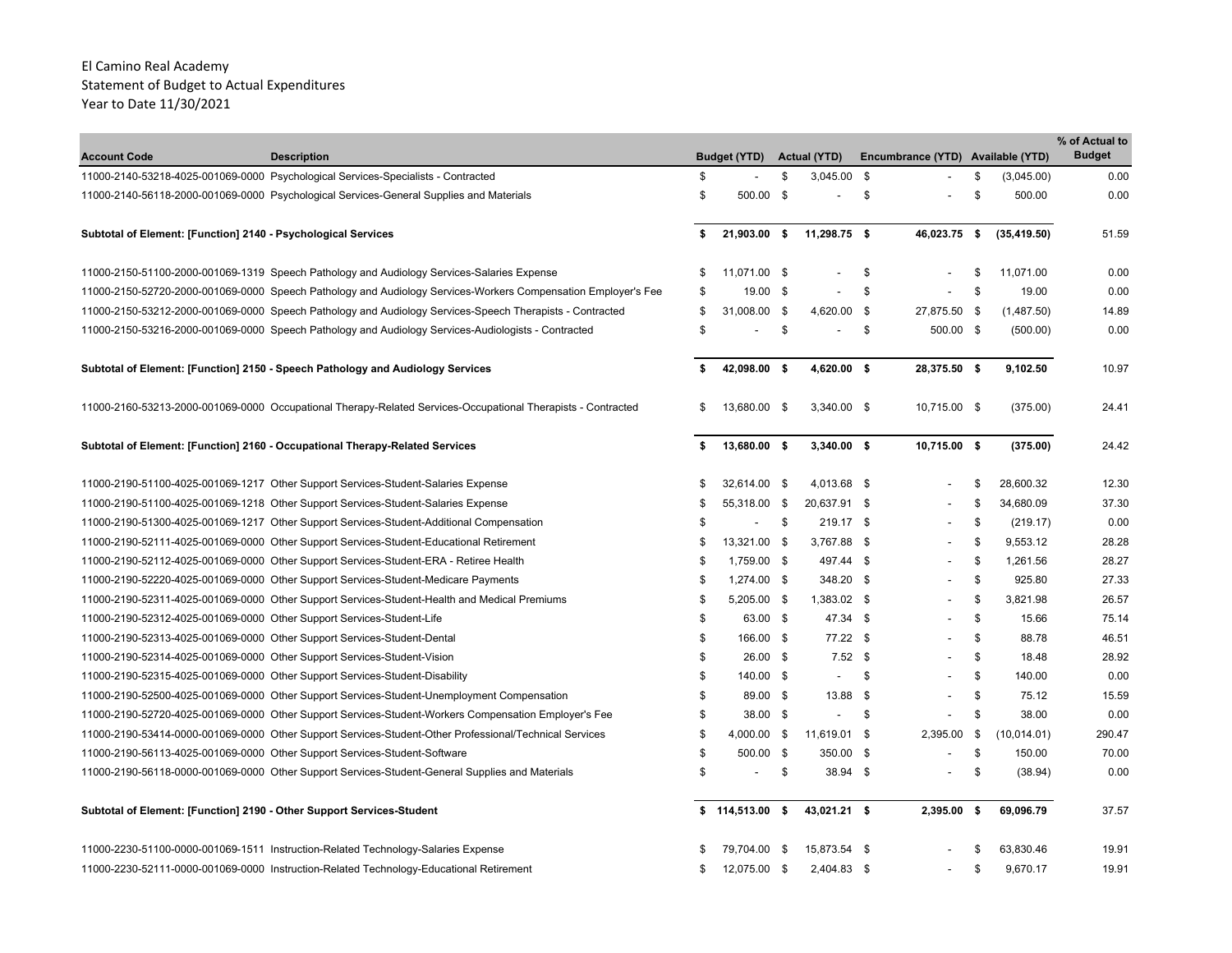| <b>Account Code</b>                                                   | <b>Description</b>                                                                                            |     | <b>Budget (YTD)</b> |              | <b>Actual (YTD)</b>      |     | Encumbrance (YTD) Available (YTD) |            |              | % of Actual to<br><b>Budget</b> |
|-----------------------------------------------------------------------|---------------------------------------------------------------------------------------------------------------|-----|---------------------|--------------|--------------------------|-----|-----------------------------------|------------|--------------|---------------------------------|
|                                                                       | 11000-2140-53218-4025-001069-0000 Psychological Services-Specialists - Contracted                             | \$  |                     | \$           | $3,045.00$ \$            |     |                                   | \$         | (3,045.00)   | 0.00                            |
|                                                                       | 11000-2140-56118-2000-001069-0000 Psychological Services-General Supplies and Materials                       | \$  | 500.00 \$           |              |                          | \$  |                                   | \$         | 500.00       | 0.00                            |
| Subtotal of Element: [Function] 2140 - Psychological Services         |                                                                                                               | \$  | 21,903.00 \$        |              | 11,298.75 \$             |     | 46,023.75                         | $\sqrt{2}$ | (35, 419.50) | 51.59                           |
|                                                                       | 11000-2150-51100-2000-001069-1319 Speech Pathology and Audiology Services-Salaries Expense                    | S   | 11.071.00 \$        |              |                          | \$  |                                   | \$.        | 11,071.00    | 0.00                            |
|                                                                       | 11000-2150-52720-2000-001069-0000 Speech Pathology and Audiology Services-Workers Compensation Employer's Fee | \$  | $19.00 \quad$ \$    |              | $\overline{a}$           | \$  |                                   | \$         | 19.00        | 0.00                            |
|                                                                       | 11000-2150-53212-2000-001069-0000 Speech Pathology and Audiology Services-Speech Therapists - Contracted      | \$  | 31,008.00           | \$           | 4,620.00 \$              |     | 27,875.50 \$                      |            | (1,487.50)   | 14.89                           |
|                                                                       | 11000-2150-53216-2000-001069-0000 Speech Pathology and Audiology Services-Audiologists - Contracted           | \$  |                     | \$           |                          | \$  | 500.00 \$                         |            | (500.00)     | 0.00                            |
|                                                                       | Subtotal of Element: [Function] 2150 - Speech Pathology and Audiology Services                                |     | 42,098.00 \$        |              | 4,620.00 \$              |     | 28,375.50 \$                      |            | 9,102.50     | 10.97                           |
|                                                                       | 11000-2160-53213-2000-001069-0000 Occupational Therapy-Related Services-Occupational Therapists - Contracted  | \$  | 13,680.00 \$        |              | $3,340.00$ \$            |     | 10,715.00 \$                      |            | (375.00)     | 24.41                           |
|                                                                       | Subtotal of Element: [Function] 2160 - Occupational Therapy-Related Services                                  | \$  | 13,680.00 \$        |              | $3,340.00$ \$            |     | 10,715.00 \$                      |            | (375.00)     | 24.42                           |
|                                                                       | 11000-2190-51100-4025-001069-1217 Other Support Services-Student-Salaries Expense                             |     | 32,614.00 \$        |              | 4,013.68 \$              |     |                                   | \$         | 28,600.32    | 12.30                           |
|                                                                       | 11000-2190-51100-4025-001069-1218 Other Support Services-Student-Salaries Expense                             |     | 55,318.00 \$        |              | 20,637.91 \$             |     |                                   | \$         | 34,680.09    | 37.30                           |
|                                                                       | 11000-2190-51300-4025-001069-1217 Other Support Services-Student-Additional Compensation                      | S   |                     | -\$          | 219.17 \$                |     |                                   | \$         | (219.17)     | 0.00                            |
|                                                                       | 11000-2190-52111-4025-001069-0000 Other Support Services-Student-Educational Retirement                       | \$  | 13,321.00 \$        |              | 3,767.88 \$              |     |                                   | \$         | 9,553.12     | 28.28                           |
|                                                                       | 11000-2190-52112-4025-001069-0000 Other Support Services-Student-ERA - Retiree Health                         | \$  | 1.759.00 \$         |              | 497.44 \$                |     |                                   | \$         | 1,261.56     | 28.27                           |
|                                                                       | 11000-2190-52220-4025-001069-0000 Other Support Services-Student-Medicare Payments                            | \$  | 1,274.00 \$         |              | 348.20 \$                |     | $\overline{\phantom{0}}$          | \$         | 925.80       | 27.33                           |
|                                                                       | 11000-2190-52311-4025-001069-0000 Other Support Services-Student-Health and Medical Premiums                  | \$  | 5,205.00 \$         |              | 1,383.02 \$              |     | ٠                                 | \$         | 3,821.98     | 26.57                           |
| 11000-2190-52312-4025-001069-0000 Other Support Services-Student-Life |                                                                                                               | \$  | 63.00 \$            |              | 47.34 \$                 |     |                                   | \$         | 15.66        | 75.14                           |
|                                                                       | 11000-2190-52313-4025-001069-0000 Other Support Services-Student-Dental                                       | \$  | 166.00 \$           |              | 77.22 \$                 |     |                                   | \$         | 88.78        | 46.51                           |
|                                                                       | 11000-2190-52314-4025-001069-0000 Other Support Services-Student-Vision                                       | \$  | $26.00$ \$          |              | $7.52$ \$                |     |                                   | \$         | 18.48        | 28.92                           |
|                                                                       | 11000-2190-52315-4025-001069-0000 Other Support Services-Student-Disability                                   | \$  | 140.00 \$           |              | $\overline{\phantom{a}}$ | -\$ |                                   | \$         | 140.00       | 0.00                            |
|                                                                       | 11000-2190-52500-4025-001069-0000 Other Support Services-Student-Unemployment Compensation                    | \$  | 89.00 \$            |              | 13.88 \$                 |     |                                   | \$         | 75.12        | 15.59                           |
|                                                                       | 11000-2190-52720-4025-001069-0000 Other Support Services-Student-Workers Compensation Employer's Fee          | \$  | 38.00 \$            |              | $\overline{\phantom{a}}$ | \$  |                                   | \$         | 38.00        | 0.00                            |
|                                                                       | 11000-2190-53414-0000-001069-0000 Other Support Services-Student-Other Professional/Technical Services        | \$  | 4,000.00            | $\mathbf{s}$ | 11,619.01 \$             |     | 2,395.00                          | \$         | (10, 014.01) | 290.47                          |
|                                                                       | 11000-2190-56113-4025-001069-0000 Other Support Services-Student-Software                                     | \$  | 500.00 \$           |              | 350.00 \$                |     |                                   | \$         | 150.00       | 70.00                           |
|                                                                       | 11000-2190-56118-0000-001069-0000 Other Support Services-Student-General Supplies and Materials               | \$  |                     | -\$          | 38.94 \$                 |     | $\overline{\phantom{0}}$          | \$         | (38.94)      | 0.00                            |
| Subtotal of Element: [Function] 2190 - Other Support Services-Student |                                                                                                               |     | \$114,513.00\$      |              | 43,021.21 \$             |     | 2,395.00                          | -\$        | 69,096.79    | 37.57                           |
|                                                                       | 11000-2230-51100-0000-001069-1511 Instruction-Related Technology-Salaries Expense                             |     | 79.704.00           | - \$         | 15,873.54 \$             |     |                                   | S          | 63,830.46    | 19.91                           |
|                                                                       | 11000-2230-52111-0000-001069-0000 Instruction-Related Technology-Educational Retirement                       | \$. | 12,075.00           | \$           | 2.404.83 \$              |     |                                   | \$         | 9.670.17     | 19.91                           |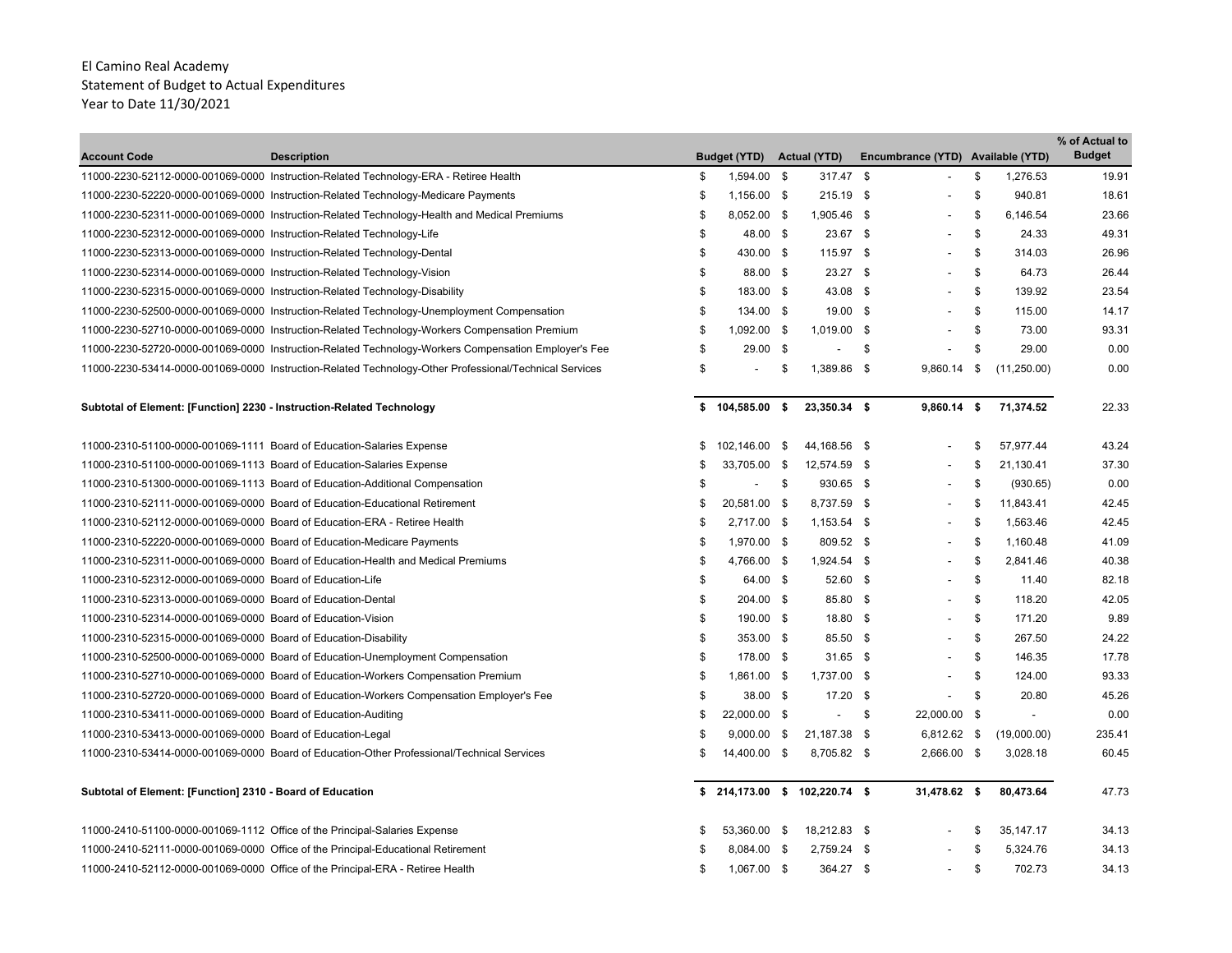| <b>Account Code</b>                                                     | <b>Description</b>                                                                                     | <b>Budget (YTD)</b>             | <b>Actual (YTD)</b>      | Encumbrance (YTD) Available (YTD) |               |             | % of Actual to<br><b>Budget</b> |
|-------------------------------------------------------------------------|--------------------------------------------------------------------------------------------------------|---------------------------------|--------------------------|-----------------------------------|---------------|-------------|---------------------------------|
|                                                                         | 11000-2230-52112-0000-001069-0000 Instruction-Related Technology-ERA - Retiree Health                  | \$<br>1,594.00 \$               | 317.47 \$                |                                   | \$            | 1,276.53    | 19.91                           |
|                                                                         | 11000-2230-52220-0000-001069-0000 Instruction-Related Technology-Medicare Payments                     | \$<br>1,156.00 \$               | 215.19 \$                | $\overline{a}$                    | \$            | 940.81      | 18.61                           |
|                                                                         | 11000-2230-52311-0000-001069-0000 Instruction-Related Technology-Health and Medical Premiums           | \$<br>8,052.00 \$               | 1,905.46 \$              | $\overline{a}$                    | \$            | 6,146.54    | 23.66                           |
| 11000-2230-52312-0000-001069-0000 Instruction-Related Technology-Life   |                                                                                                        | \$<br>48.00 \$                  | 23.67 \$                 | $\overline{\phantom{a}}$          | \$            | 24.33       | 49.31                           |
|                                                                         | 11000-2230-52313-0000-001069-0000 Instruction-Related Technology-Dental                                | \$<br>430.00 \$                 | 115.97 \$                | $\overline{\phantom{a}}$          | \$            | 314.03      | 26.96                           |
| 11000-2230-52314-0000-001069-0000 Instruction-Related Technology-Vision |                                                                                                        | \$<br>88.00 \$                  | $23.27$ \$               |                                   | \$            | 64.73       | 26.44                           |
|                                                                         | 11000-2230-52315-0000-001069-0000 Instruction-Related Technology-Disability                            | \$<br>183.00 \$                 | 43.08 \$                 |                                   | \$            | 139.92      | 23.54                           |
|                                                                         | 11000-2230-52500-0000-001069-0000 Instruction-Related Technology-Unemployment Compensation             | \$<br>134.00 \$                 | 19.00 \$                 |                                   | \$            | 115.00      | 14.17                           |
|                                                                         | 11000-2230-52710-0000-001069-0000 Instruction-Related Technology-Workers Compensation Premium          | \$<br>1,092.00 \$               | 1,019.00 \$              |                                   | \$            | 73.00       | 93.31                           |
|                                                                         | 11000-2230-52720-0000-001069-0000 Instruction-Related Technology-Workers Compensation Employer's Fee   | \$<br>$29.00$ \$                |                          | \$<br>$\overline{\phantom{a}}$    | \$            | 29.00       | 0.00                            |
|                                                                         | 11000-2230-53414-0000-001069-0000 Instruction-Related Technology-Other Professional/Technical Services | \$                              | \$<br>1,389.86 \$        | 9,860.14                          | \$            | (11,250.00) | 0.00                            |
| Subtotal of Element: [Function] 2230 - Instruction-Related Technology   |                                                                                                        | \$104,585.00\$                  | 23,350.34 \$             | $9,860.14$ \$                     |               | 71,374.52   | 22.33                           |
| 11000-2310-51100-0000-001069-1111 Board of Education-Salaries Expense   |                                                                                                        | \$<br>102,146.00 \$             | 44,168.56 \$             |                                   | \$            | 57,977.44   | 43.24                           |
| 11000-2310-51100-0000-001069-1113 Board of Education-Salaries Expense   |                                                                                                        | 33,705.00 \$                    | 12,574.59 \$             |                                   | \$            | 21,130.41   | 37.30                           |
|                                                                         | 11000-2310-51300-0000-001069-1113 Board of Education-Additional Compensation                           |                                 | \$<br>930.65 \$          |                                   | \$            | (930.65)    | 0.00                            |
|                                                                         | 11000-2310-52111-0000-001069-0000 Board of Education-Educational Retirement                            | \$<br>20,581.00 \$              | 8,737.59 \$              |                                   | \$            | 11,843.41   | 42.45                           |
|                                                                         | 11000-2310-52112-0000-001069-0000 Board of Education-ERA - Retiree Health                              | \$<br>2,717.00 \$               | 1,153.54 \$              |                                   | \$            | 1,563.46    | 42.45                           |
|                                                                         | 11000-2310-52220-0000-001069-0000 Board of Education-Medicare Payments                                 | \$<br>1,970.00 \$               | 809.52 \$                | $\overline{a}$                    | S.            | 1,160.48    | 41.09                           |
|                                                                         | 11000-2310-52311-0000-001069-0000 Board of Education-Health and Medical Premiums                       | \$<br>4,766.00 \$               | 1,924.54 \$              | $\overline{\phantom{a}}$          | \$            | 2,841.46    | 40.38                           |
| 11000-2310-52312-0000-001069-0000 Board of Education-Life               |                                                                                                        | \$<br>64.00 \$                  | 52.60 \$                 | $\overline{\phantom{a}}$          | $\mathfrak s$ | 11.40       | 82.18                           |
| 11000-2310-52313-0000-001069-0000 Board of Education-Dental             |                                                                                                        | \$<br>204.00 \$                 | 85.80 \$                 |                                   | \$            | 118.20      | 42.05                           |
| 11000-2310-52314-0000-001069-0000 Board of Education-Vision             |                                                                                                        | \$<br>190.00 \$                 | 18.80 \$                 |                                   | \$            | 171.20      | 9.89                            |
| 11000-2310-52315-0000-001069-0000 Board of Education-Disability         |                                                                                                        | \$<br>353.00 \$                 | 85.50 \$                 |                                   | \$            | 267.50      | 24.22                           |
|                                                                         | 11000-2310-52500-0000-001069-0000 Board of Education-Unemployment Compensation                         | \$<br>178.00 \$                 | $31.65$ \$               |                                   | \$            | 146.35      | 17.78                           |
|                                                                         | 11000-2310-52710-0000-001069-0000 Board of Education-Workers Compensation Premium                      | \$<br>1.861.00 \$               | 1.737.00 \$              |                                   | \$            | 124.00      | 93.33                           |
|                                                                         | 11000-2310-52720-0000-001069-0000 Board of Education-Workers Compensation Employer's Fee               | \$<br>38.00 \$                  | $17.20$ \$               |                                   | $\mathfrak s$ | 20.80       | 45.26                           |
| 11000-2310-53411-0000-001069-0000 Board of Education-Auditing           |                                                                                                        | \$<br>22,000.00 \$              | $\overline{\phantom{a}}$ | \$<br>22,000.00 \$                |               | $\sim$      | 0.00                            |
| 11000-2310-53413-0000-001069-0000 Board of Education-Legal              |                                                                                                        | \$<br>$9,000.00$ \$             | 21,187.38 \$             | 6,812.62 \$                       |               | (19,000.00) | 235.41                          |
|                                                                         | 11000-2310-53414-0000-001069-0000 Board of Education-Other Professional/Technical Services             | \$<br>14,400.00 \$              | 8,705.82 \$              | 2,666.00 \$                       |               | 3,028.18    | 60.45                           |
| Subtotal of Element: [Function] 2310 - Board of Education               |                                                                                                        | $$214,173.00$$ \$ 102,220.74 \$ |                          | 31,478.62 \$                      |               | 80,473.64   | 47.73                           |
|                                                                         | 11000-2410-51100-0000-001069-1112 Office of the Principal-Salaries Expense                             | 53,360.00 \$                    | 18,212.83 \$             |                                   | - \$          | 35, 147. 17 | 34.13                           |
|                                                                         | 11000-2410-52111-0000-001069-0000 Office of the Principal-Educational Retirement                       | 8,084.00 \$                     | 2,759.24 \$              |                                   | \$            | 5,324.76    | 34.13                           |
|                                                                         | 11000-2410-52112-0000-001069-0000 Office of the Principal-ERA - Retiree Health                         | \$<br>1,067.00 \$               | 364.27 \$                |                                   | \$            | 702.73      | 34.13                           |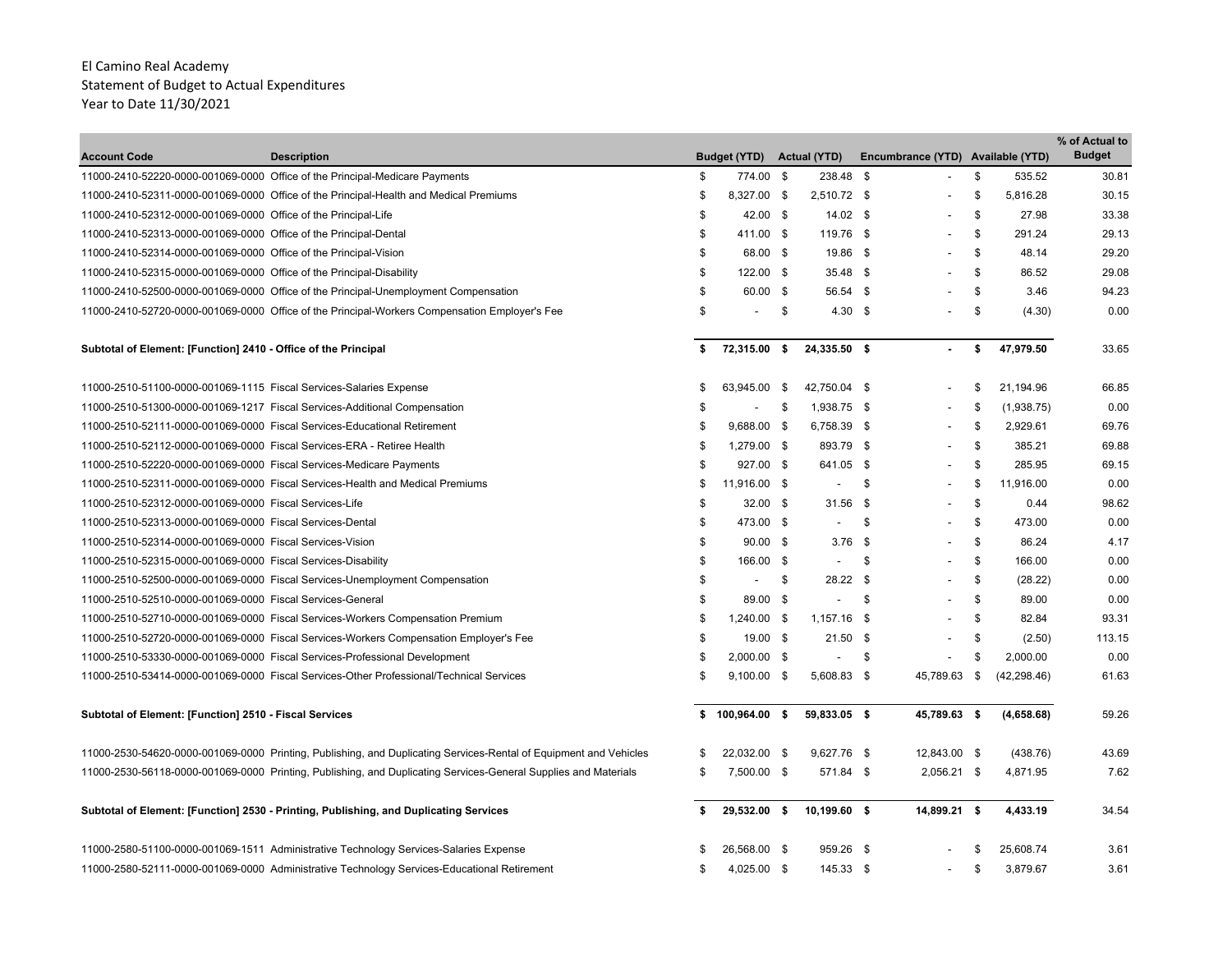| <b>Account Code</b>                                                    | <b>Description</b>                                                                                                |    | <b>Budget (YTD)</b>      |     | <b>Actual (YTD)</b>      | Encumbrance (YTD) Available (YTD) |                  | % of Actual to<br><b>Budget</b> |
|------------------------------------------------------------------------|-------------------------------------------------------------------------------------------------------------------|----|--------------------------|-----|--------------------------|-----------------------------------|------------------|---------------------------------|
|                                                                        | 11000-2410-52220-0000-001069-0000 Office of the Principal-Medicare Payments                                       | \$ | 774.00 \$                |     | 238.48 \$                |                                   | \$<br>535.52     | 30.81                           |
|                                                                        | 11000-2410-52311-0000-001069-0000 Office of the Principal-Health and Medical Premiums                             | \$ | 8,327.00 \$              |     | 2,510.72 \$              |                                   | \$<br>5,816.28   | 30.15                           |
| 11000-2410-52312-0000-001069-0000 Office of the Principal-Life         |                                                                                                                   | \$ | 42.00 \$                 |     | $14.02$ \$               |                                   | \$<br>27.98      | 33.38                           |
| 11000-2410-52313-0000-001069-0000 Office of the Principal-Dental       |                                                                                                                   | \$ | 411.00 \$                |     | 119.76 \$                | $\overline{\phantom{a}}$          | \$<br>291.24     | 29.13                           |
| 11000-2410-52314-0000-001069-0000 Office of the Principal-Vision       |                                                                                                                   | \$ | 68.00 \$                 |     | 19.86 \$                 | $\blacksquare$                    | \$<br>48.14      | 29.20                           |
| 11000-2410-52315-0000-001069-0000 Office of the Principal-Disability   |                                                                                                                   | \$ | 122.00 \$                |     | $35.48$ \$               |                                   | \$<br>86.52      | 29.08                           |
|                                                                        | 11000-2410-52500-0000-001069-0000 Office of the Principal-Unemployment Compensation                               | \$ | 60.00 \$                 |     | 56.54 \$                 |                                   | \$<br>3.46       | 94.23                           |
|                                                                        | 11000-2410-52720-0000-001069-0000 Office of the Principal-Workers Compensation Employer's Fee                     | \$ | $\overline{\phantom{a}}$ | \$  | $4.30\quad$ \$           |                                   | \$<br>(4.30)     | 0.00                            |
|                                                                        |                                                                                                                   |    |                          |     |                          |                                   |                  |                                 |
| Subtotal of Element: [Function] 2410 - Office of the Principal         |                                                                                                                   | \$ | 72,315.00 \$             |     | 24,335.50 \$             | $\blacksquare$                    | \$<br>47,979.50  | 33.65                           |
| 11000-2510-51100-0000-001069-1115 Fiscal Services-Salaries Expense     |                                                                                                                   | \$ | 63,945.00 \$             |     | 42,750.04 \$             | $\overline{a}$                    | \$<br>21.194.96  | 66.85                           |
|                                                                        | 11000-2510-51300-0000-001069-1217    Fiscal Services-Additional Compensation                                      |    |                          | -\$ | 1,938.75 \$              |                                   | \$<br>(1,938.75) | 0.00                            |
|                                                                        | 11000-2510-52111-0000-001069-0000 Fiscal Services-Educational Retirement                                          | \$ | 9,688.00 \$              |     | 6,758.39 \$              |                                   | \$<br>2,929.61   | 69.76                           |
| 11000-2510-52112-0000-001069-0000 Fiscal Services-ERA - Retiree Health |                                                                                                                   | \$ | 1,279.00 \$              |     | 893.79 \$                |                                   | \$<br>385.21     | 69.88                           |
| 11000-2510-52220-0000-001069-0000 Fiscal Services-Medicare Payments    |                                                                                                                   | \$ | 927.00 \$                |     | 641.05 \$                |                                   | \$<br>285.95     | 69.15                           |
|                                                                        | 11000-2510-52311-0000-001069-0000 Fiscal Services-Health and Medical Premiums                                     | \$ | 11,916.00 \$             |     | $\overline{\phantom{a}}$ | \$                                | \$<br>11,916.00  | 0.00                            |
| 11000-2510-52312-0000-001069-0000 Fiscal Services-Life                 |                                                                                                                   | \$ | $32.00$ \$               |     | $31.56$ \$               |                                   | \$<br>0.44       | 98.62                           |
| 11000-2510-52313-0000-001069-0000 Fiscal Services-Dental               |                                                                                                                   | \$ | 473.00 \$                |     | $\overline{\phantom{a}}$ | \$<br>$\overline{a}$              | \$<br>473.00     | 0.00                            |
| 11000-2510-52314-0000-001069-0000 Fiscal Services-Vision               |                                                                                                                   | \$ | $90.00$ \$               |     | $3.76$ \$                |                                   | \$<br>86.24      | 4.17                            |
| 11000-2510-52315-0000-001069-0000 Fiscal Services-Disability           |                                                                                                                   | \$ | 166.00 \$                |     | $\overline{\phantom{a}}$ | \$                                | \$<br>166.00     | 0.00                            |
|                                                                        | 11000-2510-52500-0000-001069-0000 Fiscal Services-Unemployment Compensation                                       | \$ | $\overline{\phantom{a}}$ | \$  | 28.22 \$                 |                                   | \$<br>(28.22)    | 0.00                            |
| 11000-2510-52510-0000-001069-0000 Fiscal Services-General              |                                                                                                                   | \$ | 89.00 \$                 |     | $\overline{\phantom{a}}$ | \$                                | \$<br>89.00      | 0.00                            |
|                                                                        | 11000-2510-52710-0000-001069-0000 Fiscal Services-Workers Compensation Premium                                    | \$ | 1,240.00 \$              |     | $1,157.16$ \$            |                                   | \$<br>82.84      | 93.31                           |
|                                                                        | 11000-2510-52720-0000-001069-0000 Fiscal Services-Workers Compensation Employer's Fee                             | \$ | 19.00 \$                 |     | $21.50$ \$               | $\overline{\phantom{a}}$          | \$<br>(2.50)     | 113.15                          |
|                                                                        | 11000-2510-53330-0000-001069-0000 Fiscal Services-Professional Development                                        | \$ | 2,000.00 \$              |     | $\frac{1}{2}$            | \$                                | \$<br>2,000.00   | 0.00                            |
|                                                                        | 11000-2510-53414-0000-001069-0000 Fiscal Services-Other Professional/Technical Services                           | \$ | $9,100.00$ \$            |     | 5,608.83 \$              | 45,789.63 \$                      | (42, 298.46)     | 61.63                           |
| Subtotal of Element: [Function] 2510 - Fiscal Services                 |                                                                                                                   |    | \$100,964.00\$           |     | 59,833.05 \$             | 45,789.63 \$                      | (4,658.68)       | 59.26                           |
|                                                                        | 11000-2530-54620-0000-001069-0000 Printing, Publishing, and Duplicating Services-Rental of Equipment and Vehicles | S  | 22,032.00 \$             |     | 9,627.76 \$              | 12,843.00 \$                      | (438.76)         | 43.69                           |
|                                                                        | 11000-2530-56118-0000-001069-0000 Printing, Publishing, and Duplicating Services-General Supplies and Materials   | \$ | 7,500.00 \$              |     | 571.84 \$                | $2,056.21$ \$                     | 4,871.95         | 7.62                            |
|                                                                        |                                                                                                                   |    |                          |     |                          |                                   |                  |                                 |
|                                                                        | Subtotal of Element: [Function] 2530 - Printing, Publishing, and Duplicating Services                             |    | 29,532.00 \$             |     | 10,199.60 \$             | 14,899.21 \$                      | 4,433.19         | 34.54                           |
|                                                                        | 11000-2580-51100-0000-001069-1511 Administrative Technology Services-Salaries Expense                             |    | 26,568.00 \$             |     | 959.26 \$                |                                   | 25,608.74        | 3.61                            |
|                                                                        | 11000-2580-52111-0000-001069-0000 Administrative Technology Services-Educational Retirement                       | \$ | 4,025.00 \$              |     | 145.33 \$                |                                   | \$<br>3,879.67   | 3.61                            |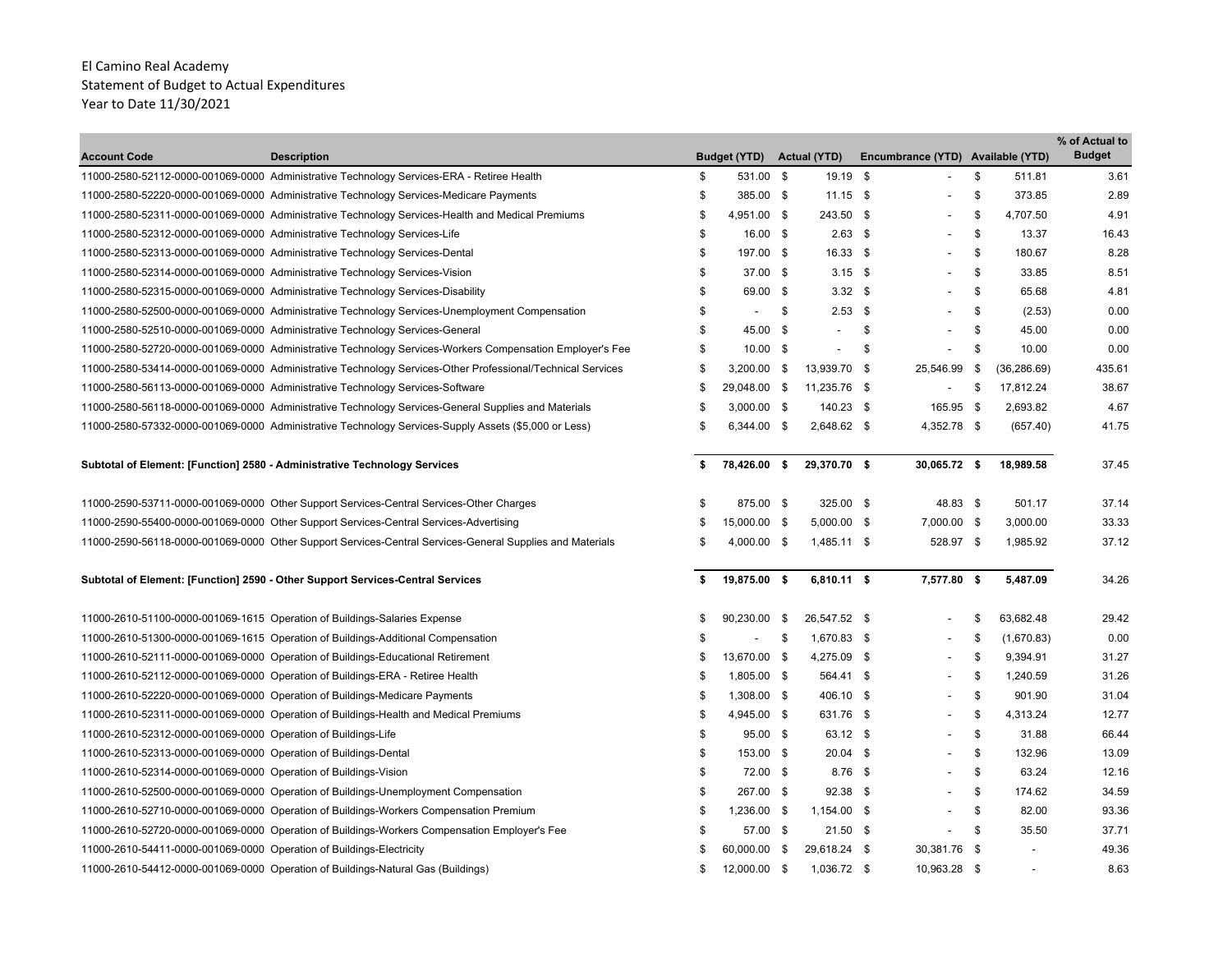| <b>Account Code</b>                                                  | <b>Description</b>                                                                                         | <b>Budget (YTD)</b>  |              | <b>Actual (YTD)</b> | Encumbrance (YTD) Available (YTD) |    |              | % of Actual to<br><b>Budget</b> |
|----------------------------------------------------------------------|------------------------------------------------------------------------------------------------------------|----------------------|--------------|---------------------|-----------------------------------|----|--------------|---------------------------------|
|                                                                      | 11000-2580-52112-0000-001069-0000 Administrative Technology Services-ERA - Retiree Health                  | \$<br>531.00 \$      |              | 19.19 \$            |                                   | \$ | 511.81       | 3.61                            |
|                                                                      | 11000-2580-52220-0000-001069-0000 Administrative Technology Services-Medicare Payments                     | \$<br>385.00 \$      |              | $11.15$ \$          |                                   | \$ | 373.85       | 2.89                            |
|                                                                      | 11000-2580-52311-0000-001069-0000 Administrative Technology Services-Health and Medical Premiums           | \$<br>4,951.00 \$    |              | 243.50 \$           |                                   | \$ | 4,707.50     | 4.91                            |
|                                                                      | 11000-2580-52312-0000-001069-0000 Administrative Technology Services-Life                                  | \$<br>16.00 \$       |              | $2.63$ \$           | $\overline{\phantom{a}}$          | \$ | 13.37        | 16.43                           |
|                                                                      | 11000-2580-52313-0000-001069-0000 Administrative Technology Services-Dental                                | \$<br>197.00 \$      |              | 16.33 \$            | $\overline{\phantom{a}}$          | \$ | 180.67       | 8.28                            |
|                                                                      | 11000-2580-52314-0000-001069-0000 Administrative Technology Services-Vision                                | \$<br>37.00 \$       |              | $3.15$ \$           | $\overline{\phantom{a}}$          | \$ | 33.85        | 8.51                            |
|                                                                      | 11000-2580-52315-0000-001069-0000 Administrative Technology Services-Disability                            | \$<br>69.00 \$       |              | $3.32$ \$           |                                   | \$ | 65.68        | 4.81                            |
|                                                                      | 11000-2580-52500-0000-001069-0000 Administrative Technology Services-Unemployment Compensation             | \$<br>$\blacksquare$ | \$           | $2.53$ \$           |                                   | \$ | (2.53)       | 0.00                            |
|                                                                      | 11000-2580-52510-0000-001069-0000 Administrative Technology Services-General                               | \$<br>45.00          | - \$         | $\overline{a}$      | \$                                | \$ | 45.00        | 0.00                            |
|                                                                      | 11000-2580-52720-0000-001069-0000 Administrative Technology Services-Workers Compensation Employer's Fee   | \$<br>$10.00$ \$     |              |                     | \$                                | \$ | 10.00        | 0.00                            |
|                                                                      | 11000-2580-53414-0000-001069-0000 Administrative Technology Services-Other Professional/Technical Services | \$<br>3,200.00       | $\mathbf{s}$ | 13,939.70 \$        | 25,546.99                         | \$ | (36, 286.69) | 435.61                          |
|                                                                      | 11000-2580-56113-0000-001069-0000 Administrative Technology Services-Software                              | \$<br>29,048.00 \$   |              | 11,235.76 \$        |                                   | \$ | 17,812.24    | 38.67                           |
|                                                                      | 11000-2580-56118-0000-001069-0000 Administrative Technology Services-General Supplies and Materials        | \$<br>$3,000.00$ \$  |              | 140.23 \$           | 165.95 \$                         |    | 2,693.82     | 4.67                            |
|                                                                      | 11000-2580-57332-0000-001069-0000 Administrative Technology Services-Supply Assets (\$5,000 or Less)       | \$<br>6,344.00 \$    |              | 2,648.62 \$         | 4,352.78 \$                       |    | (657.40)     | 41.75                           |
|                                                                      | Subtotal of Element: [Function] 2580 - Administrative Technology Services                                  | \$<br>78,426.00 \$   |              | 29,370.70 \$        | 30,065.72 \$                      |    | 18,989.58    | 37.45                           |
|                                                                      | 11000-2590-53711-0000-001069-0000 Other Support Services-Central Services-Other Charges                    | \$<br>875.00 \$      |              | 325.00 \$           | 48.83 \$                          |    | 501.17       | 37.14                           |
|                                                                      | 11000-2590-55400-0000-001069-0000 Other Support Services-Central Services-Advertising                      | \$<br>15,000.00 \$   |              | $5,000.00$ \$       | 7,000.00 \$                       |    | 3,000.00     | 33.33                           |
|                                                                      | 11000-2590-56118-0000-001069-0000 Other Support Services-Central Services-General Supplies and Materials   | \$<br>4,000.00 \$    |              | 1,485.11 \$         | 528.97 \$                         |    | 1,985.92     | 37.12                           |
|                                                                      | Subtotal of Element: [Function] 2590 - Other Support Services-Central Services                             | \$<br>19,875.00 \$   |              | 6,810.11 \$         | 7,577.80 \$                       |    | 5.487.09     | 34.26                           |
|                                                                      | 11000-2610-51100-0000-001069-1615 Operation of Buildings-Salaries Expense                                  | \$<br>90,230.00      | - \$         | 26,547.52 \$        |                                   | \$ | 63,682.48    | 29.42                           |
|                                                                      | 11000-2610-51300-0000-001069-1615 Operation of Buildings-Additional Compensation                           | \$<br>$\blacksquare$ | \$           | 1,670.83 \$         |                                   | \$ | (1,670.83)   | 0.00                            |
|                                                                      | 11000-2610-52111-0000-001069-0000 Operation of Buildings-Educational Retirement                            | \$<br>13,670.00      | - \$         | 4,275.09 \$         |                                   | Ŝ. | 9,394.91     | 31.27                           |
|                                                                      | 11000-2610-52112-0000-001069-0000 Operation of Buildings-ERA - Retiree Health                              | \$<br>1,805.00 \$    |              | 564.41 \$           |                                   | \$ | 1,240.59     | 31.26                           |
|                                                                      | 11000-2610-52220-0000-001069-0000 Operation of Buildings-Medicare Payments                                 | \$<br>1,308.00 \$    |              | 406.10 \$           | $\overline{\phantom{a}}$          | \$ | 901.90       | 31.04                           |
|                                                                      | 11000-2610-52311-0000-001069-0000 Operation of Buildings-Health and Medical Premiums                       | \$<br>4,945.00 \$    |              | 631.76 \$           | $\blacksquare$                    | Ŝ. | 4,313.24     | 12.77                           |
| 11000-2610-52312-0000-001069-0000 Operation of Buildings-Life        |                                                                                                            | \$<br>95.00 \$       |              | 63.12 \$            | $\overline{\phantom{a}}$          | \$ | 31.88        | 66.44                           |
| 11000-2610-52313-0000-001069-0000 Operation of Buildings-Dental      |                                                                                                            | \$<br>153.00 \$      |              | $20.04$ \$          | $\overline{a}$                    | \$ | 132.96       | 13.09                           |
| 11000-2610-52314-0000-001069-0000 Operation of Buildings-Vision      |                                                                                                            | \$<br>72.00 \$       |              | $8.76$ \$           |                                   | \$ | 63.24        | 12.16                           |
|                                                                      | 11000-2610-52500-0000-001069-0000 Operation of Buildings-Unemployment Compensation                         | \$<br>267.00 \$      |              | $92.38$ \$          |                                   | \$ | 174.62       | 34.59                           |
|                                                                      | 11000-2610-52710-0000-001069-0000 Operation of Buildings-Workers Compensation Premium                      | \$<br>1,236.00 \$    |              | 1,154.00 \$         |                                   | \$ | 82.00        | 93.36                           |
|                                                                      | 11000-2610-52720-0000-001069-0000 Operation of Buildings-Workers Compensation Employer's Fee               | \$<br>57.00 \$       |              | $21.50$ \$          |                                   | \$ | 35.50        | 37.71                           |
| 11000-2610-54411-0000-001069-0000 Operation of Buildings-Electricity |                                                                                                            | \$<br>60,000.00      | $^{\circ}$   | 29,618.24 \$        | 30,381.76 \$                      |    | ÷            | 49.36                           |
|                                                                      | 11000-2610-54412-0000-001069-0000 Operation of Buildings-Natural Gas (Buildings)                           | \$<br>12,000.00 \$   |              | 1,036.72 \$         | 10,963.28 \$                      |    |              | 8.63                            |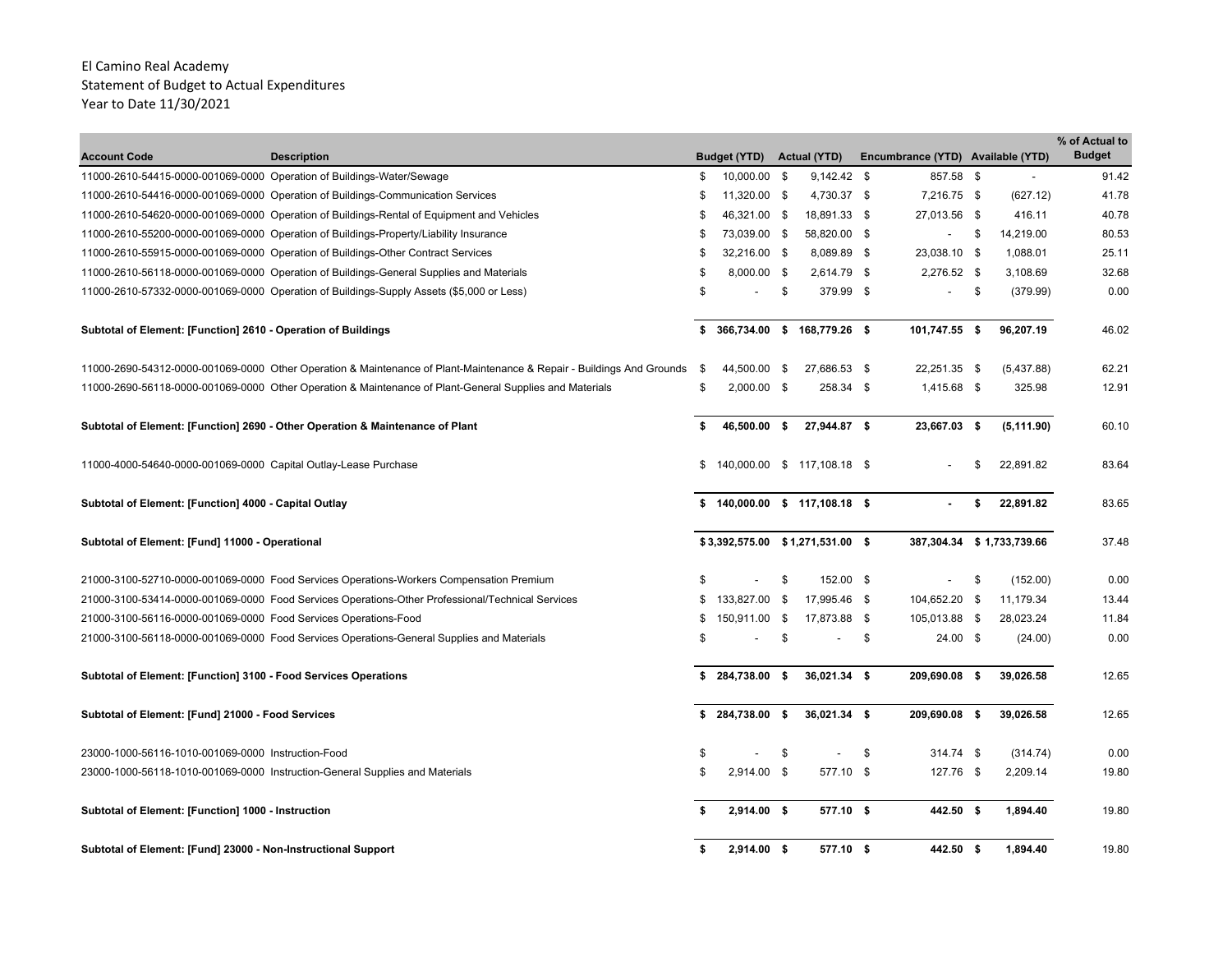| <b>Account Code</b>                                                   | <b>Description</b>                                                                                                    |    | <b>Budget (YTD)</b>              |            | <b>Actual (YTD)</b>         | Encumbrance (YTD) Available (YTD) |     |                           | % of Actual to<br><b>Budget</b> |
|-----------------------------------------------------------------------|-----------------------------------------------------------------------------------------------------------------------|----|----------------------------------|------------|-----------------------------|-----------------------------------|-----|---------------------------|---------------------------------|
| 11000-2610-54415-0000-001069-0000 Operation of Buildings-Water/Sewage |                                                                                                                       | \$ | 10,000.00 \$                     |            | $9,142.42$ \$               | 857.58 \$                         |     |                           | 91.42                           |
|                                                                       | 11000-2610-54416-0000-001069-0000 Operation of Buildings-Communication Services                                       | \$ | 11,320.00 \$                     |            | 4,730.37 \$                 | 7,216.75 \$                       |     | (627.12)                  | 41.78                           |
|                                                                       | 11000-2610-54620-0000-001069-0000 Operation of Buildings-Rental of Equipment and Vehicles                             | \$ | 46,321.00 \$                     |            | 18,891.33 \$                | 27,013.56 \$                      |     | 416.11                    | 40.78                           |
|                                                                       | 11000-2610-55200-0000-001069-0000 Operation of Buildings-Property/Liability Insurance                                 | \$ | 73,039.00 \$                     |            | 58,820.00 \$                |                                   | -\$ | 14,219.00                 | 80.53                           |
|                                                                       | 11000-2610-55915-0000-001069-0000 Operation of Buildings-Other Contract Services                                      | S  | 32,216.00 \$                     |            | 8,089.89 \$                 | 23,038.10 \$                      |     | 1,088.01                  | 25.11                           |
|                                                                       | 11000-2610-56118-0000-001069-0000 Operation of Buildings-General Supplies and Materials                               | \$ | 8,000.00 \$                      |            | 2,614.79 \$                 | 2,276.52 \$                       |     | 3,108.69                  | 32.68                           |
|                                                                       | 11000-2610-57332-0000-001069-0000 Operation of Buildings-Supply Assets (\$5,000 or Less)                              | \$ |                                  | \$         | 379.99 \$                   |                                   | \$  | (379.99)                  | 0.00                            |
|                                                                       |                                                                                                                       |    |                                  |            |                             |                                   |     |                           |                                 |
| Subtotal of Element: [Function] 2610 - Operation of Buildings         |                                                                                                                       |    | \$ 366,734.00 \$ 168,779.26 \$   |            |                             | 101,747.55 \$                     |     | 96,207.19                 | 46.02                           |
|                                                                       | 11000-2690-54312-0000-001069-0000 Other Operation & Maintenance of Plant-Maintenance & Repair - Buildings And Grounds | \$ | 44,500.00                        | - \$       | 27,686.53 \$                | 22,251.35 \$                      |     | (5,437.88)                | 62.21                           |
|                                                                       | 11000-2690-56118-0000-001069-0000 Other Operation & Maintenance of Plant-General Supplies and Materials               | \$ | $2,000.00$ \$                    |            | 258.34 \$                   | 1,415.68 \$                       |     | 325.98                    | 12.91                           |
|                                                                       | Subtotal of Element: [Function] 2690 - Other Operation & Maintenance of Plant                                         | \$ | 46,500.00 \$                     |            | 27,944.87 \$                | 23,667.03 \$                      |     | (5, 111.90)               | 60.10                           |
| 11000-4000-54640-0000-001069-0000 Capital Outlay-Lease Purchase       |                                                                                                                       | \$ |                                  |            | 140,000.00 \$ 117,108.18 \$ |                                   | \$  | 22,891.82                 | 83.64                           |
| Subtotal of Element: [Function] 4000 - Capital Outlay                 |                                                                                                                       |    | $$140,000.00$$ \$ 117,108.18 \$  |            |                             |                                   | \$  | 22,891.82                 | 83.65                           |
| Subtotal of Element: [Fund] 11000 - Operational                       |                                                                                                                       |    | \$3,392,575.00 \$1,271,531.00 \$ |            |                             |                                   |     | 387,304.34 \$1,733,739.66 | 37.48                           |
|                                                                       | 21000-3100-52710-0000-001069-0000 Food Services Operations-Workers Compensation Premium                               | \$ |                                  | \$         | 152.00 \$                   |                                   | \$  | (152.00)                  | 0.00                            |
|                                                                       | 21000-3100-53414-0000-001069-0000 Food Services Operations-Other Professional/Technical Services                      | \$ | 133,827.00                       | $\sqrt{3}$ | 17,995.46 \$                | 104,652.20 \$                     |     | 11,179.34                 | 13.44                           |
| 21000-3100-56116-0000-001069-0000 Food Services Operations-Food       |                                                                                                                       | \$ | 150,911.00 \$                    |            | 17,873.88 \$                | 105,013.88 \$                     |     | 28,023.24                 | 11.84                           |
|                                                                       | 21000-3100-56118-0000-001069-0000 Food Services Operations-General Supplies and Materials                             | \$ |                                  | \$         |                             | \$<br>$24.00$ \$                  |     | (24.00)                   | 0.00                            |
| Subtotal of Element: [Function] 3100 - Food Services Operations       |                                                                                                                       | \$ | 284,738.00 \$                    |            | 36,021.34 \$                | 209,690.08 \$                     |     | 39,026.58                 | 12.65                           |
| Subtotal of Element: [Fund] 21000 - Food Services                     |                                                                                                                       |    | \$284,738.00\$                   |            | 36,021.34 \$                | 209,690.08 \$                     |     | 39,026.58                 | 12.65                           |
| 23000-1000-56116-1010-001069-0000 Instruction-Food                    |                                                                                                                       | \$ |                                  | \$         |                             | \$<br>314.74 \$                   |     | (314.74)                  | 0.00                            |
|                                                                       | 23000-1000-56118-1010-001069-0000 Instruction-General Supplies and Materials                                          | \$ | 2,914.00 \$                      |            | 577.10 \$                   | 127.76 \$                         |     | 2,209.14                  | 19.80                           |
| Subtotal of Element: [Function] 1000 - Instruction                    |                                                                                                                       |    | 2,914.00 \$                      |            | 577.10 \$                   | 442.50 \$                         |     | 1,894.40                  | 19.80                           |
| Subtotal of Element: [Fund] 23000 - Non-Instructional Support         |                                                                                                                       | s. | 2,914.00 \$                      |            | 577.10 \$                   | 442.50 \$                         |     | 1,894.40                  | 19.80                           |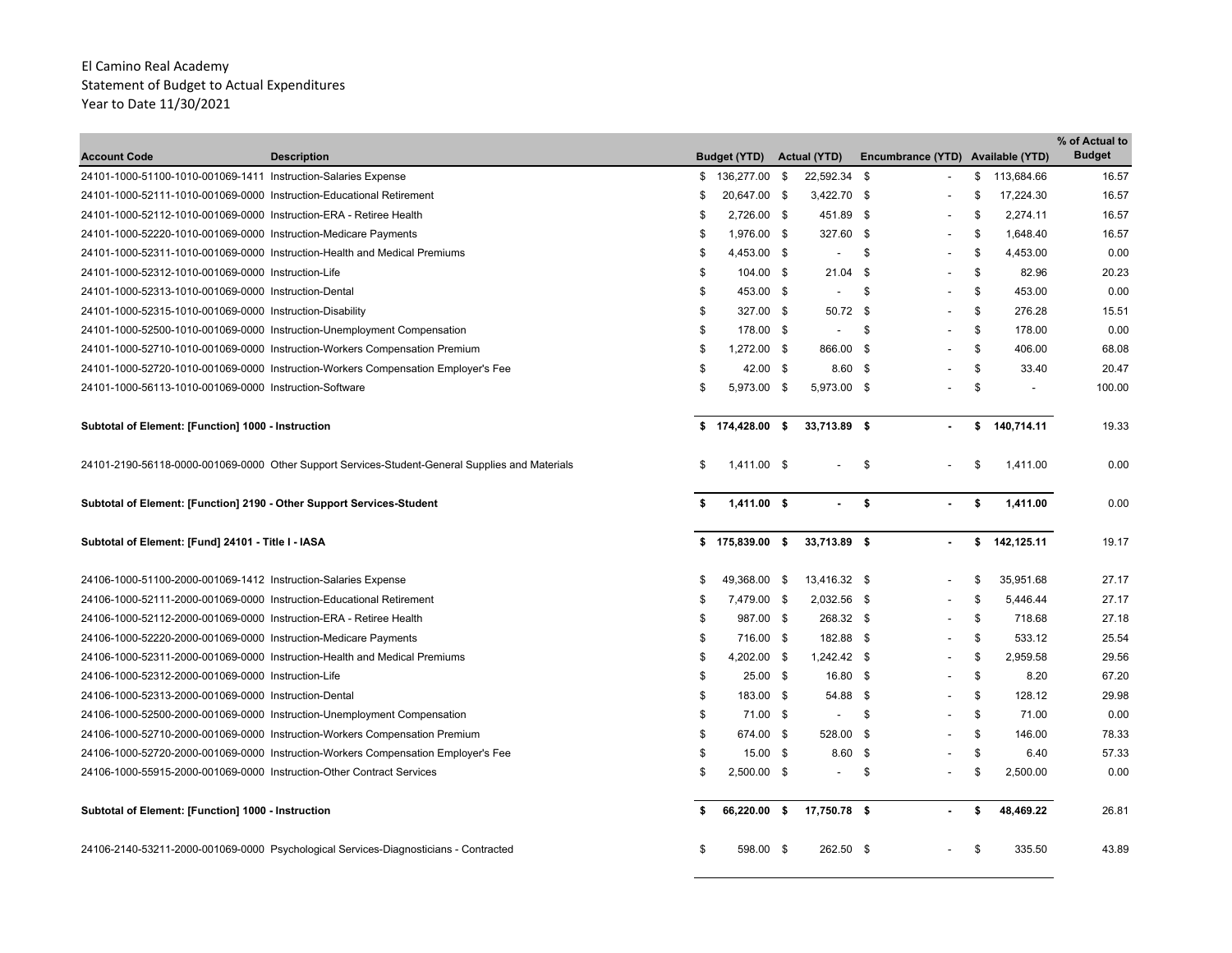| <b>Account Code</b>                                                   | <b>Description</b>                                                                              |    | <b>Budget (YTD)</b> |      | <b>Actual (YTD)</b> | Encumbrance (YTD) Available (YTD) |               |                          | % of Actual to<br><b>Budget</b> |
|-----------------------------------------------------------------------|-------------------------------------------------------------------------------------------------|----|---------------------|------|---------------------|-----------------------------------|---------------|--------------------------|---------------------------------|
| 24101-1000-51100-1010-001069-1411 Instruction-Salaries Expense        |                                                                                                 | \$ | 136,277.00          | \$   | 22,592.34 \$        |                                   | \$            | 113,684.66               | 16.57                           |
| 24101-1000-52111-1010-001069-0000 Instruction-Educational Retirement  |                                                                                                 | S  | 20,647.00 \$        |      | 3,422.70 \$         |                                   | \$            | 17,224.30                | 16.57                           |
| 24101-1000-52112-1010-001069-0000 Instruction-ERA - Retiree Health    |                                                                                                 | \$ | 2,726.00 \$         |      | 451.89 \$           |                                   | -S            | 2,274.11                 | 16.57                           |
| 24101-1000-52220-1010-001069-0000 Instruction-Medicare Payments       |                                                                                                 | \$ | 1,976.00 \$         |      | 327.60 \$           |                                   | \$            | 1,648.40                 | 16.57                           |
|                                                                       | 24101-1000-52311-1010-001069-0000 Instruction-Health and Medical Premiums                       | \$ | 4,453.00 \$         |      |                     | \$                                | \$            | 4,453.00                 | 0.00                            |
| 24101-1000-52312-1010-001069-0000 Instruction-Life                    |                                                                                                 | \$ | 104.00 \$           |      | $21.04$ \$          |                                   | \$            | 82.96                    | 20.23                           |
| 24101-1000-52313-1010-001069-0000 Instruction-Dental                  |                                                                                                 | \$ | 453.00 \$           |      |                     | \$                                | \$            | 453.00                   | 0.00                            |
| 24101-1000-52315-1010-001069-0000 Instruction-Disability              |                                                                                                 | \$ | 327.00 \$           |      | 50.72 \$            |                                   | $\mathfrak s$ | 276.28                   | 15.51                           |
|                                                                       | 24101-1000-52500-1010-001069-0000 Instruction-Unemployment Compensation                         | \$ | 178.00 \$           |      |                     | - \$                              | \$            | 178.00                   | 0.00                            |
|                                                                       | 24101-1000-52710-1010-001069-0000 Instruction-Workers Compensation Premium                      | \$ | 1,272.00 \$         |      | 866.00 \$           |                                   | \$            | 406.00                   | 68.08                           |
|                                                                       | 24101-1000-52720-1010-001069-0000 Instruction-Workers Compensation Employer's Fee               | \$ | 42.00 \$            |      | $8.60$ \$           |                                   | \$            | 33.40                    | 20.47                           |
| 24101-1000-56113-1010-001069-0000 Instruction-Software                |                                                                                                 | \$ | 5,973.00 \$         |      | 5,973.00 \$         |                                   | \$            | $\overline{\phantom{a}}$ | 100.00                          |
| Subtotal of Element: [Function] 1000 - Instruction                    |                                                                                                 | \$ | 174,428.00 \$       |      | 33,713.89 \$        |                                   | \$            | 140,714.11               | 19.33                           |
|                                                                       | 24101-2190-56118-0000-001069-0000 Other Support Services-Student-General Supplies and Materials | £. | $1.411.00$ \$       |      |                     | \$                                | - \$          | 1,411.00                 | 0.00                            |
| Subtotal of Element: [Function] 2190 - Other Support Services-Student |                                                                                                 |    | 1,411.00 \$         |      | $\blacksquare$      | \$                                | s.            | 1,411.00                 | 0.00                            |
| Subtotal of Element: [Fund] 24101 - Title I - IASA                    |                                                                                                 | \$ | 175,839.00 \$       |      | 33,713.89 \$        |                                   | \$            | 142,125.11               | 19.17                           |
| 24106-1000-51100-2000-001069-1412 Instruction-Salaries Expense        |                                                                                                 | \$ | 49.368.00           | - \$ | 13,416.32 \$        |                                   | - \$          | 35.951.68                | 27.17                           |
| 24106-1000-52111-2000-001069-0000 Instruction-Educational Retirement  |                                                                                                 | \$ | 7,479.00 \$         |      | 2,032.56 \$         |                                   | \$            | 5,446.44                 | 27.17                           |
| 24106-1000-52112-2000-001069-0000 Instruction-ERA - Retiree Health    |                                                                                                 | \$ | 987.00 \$           |      | 268.32 \$           |                                   | \$            | 718.68                   | 27.18                           |
| 24106-1000-52220-2000-001069-0000 Instruction-Medicare Payments       |                                                                                                 | \$ | 716.00 \$           |      | 182.88 \$           |                                   | S.            | 533.12                   | 25.54                           |
|                                                                       | 24106-1000-52311-2000-001069-0000 Instruction-Health and Medical Premiums                       | \$ | 4,202.00 \$         |      | 1,242.42 \$         |                                   | \$            | 2,959.58                 | 29.56                           |
| 24106-1000-52312-2000-001069-0000 Instruction-Life                    |                                                                                                 | \$ | 25.00 \$            |      | 16.80 \$            |                                   | \$            | 8.20                     | 67.20                           |
| 24106-1000-52313-2000-001069-0000 Instruction-Dental                  |                                                                                                 | \$ | 183.00 \$           |      | 54.88 \$            |                                   | S.            | 128.12                   | 29.98                           |
|                                                                       | 24106-1000-52500-2000-001069-0000 Instruction-Unemployment Compensation                         | \$ | 71.00 \$            |      |                     | \$                                | \$            | 71.00                    | 0.00                            |
|                                                                       | 24106-1000-52710-2000-001069-0000 Instruction-Workers Compensation Premium                      | \$ | 674.00 \$           |      | 528.00 \$           |                                   | \$            | 146.00                   | 78.33                           |
|                                                                       | 24106-1000-52720-2000-001069-0000 Instruction-Workers Compensation Employer's Fee               | \$ | 15.00 \$            |      | 8.60 <sup>5</sup>   |                                   | \$            | 6.40                     | 57.33                           |
| 24106-1000-55915-2000-001069-0000 Instruction-Other Contract Services |                                                                                                 | \$ | 2,500.00 \$         |      |                     | \$                                | Ŝ.            | 2,500.00                 | 0.00                            |
| Subtotal of Element: [Function] 1000 - Instruction                    |                                                                                                 |    | 66,220.00 \$        |      | 17,750.78 \$        |                                   | \$            | 48,469.22                | 26.81                           |
|                                                                       | 24106-2140-53211-2000-001069-0000 Psychological Services-Diagnosticians - Contracted            | \$ | 598.00 \$           |      | 262.50 \$           |                                   | \$            | 335.50                   | 43.89                           |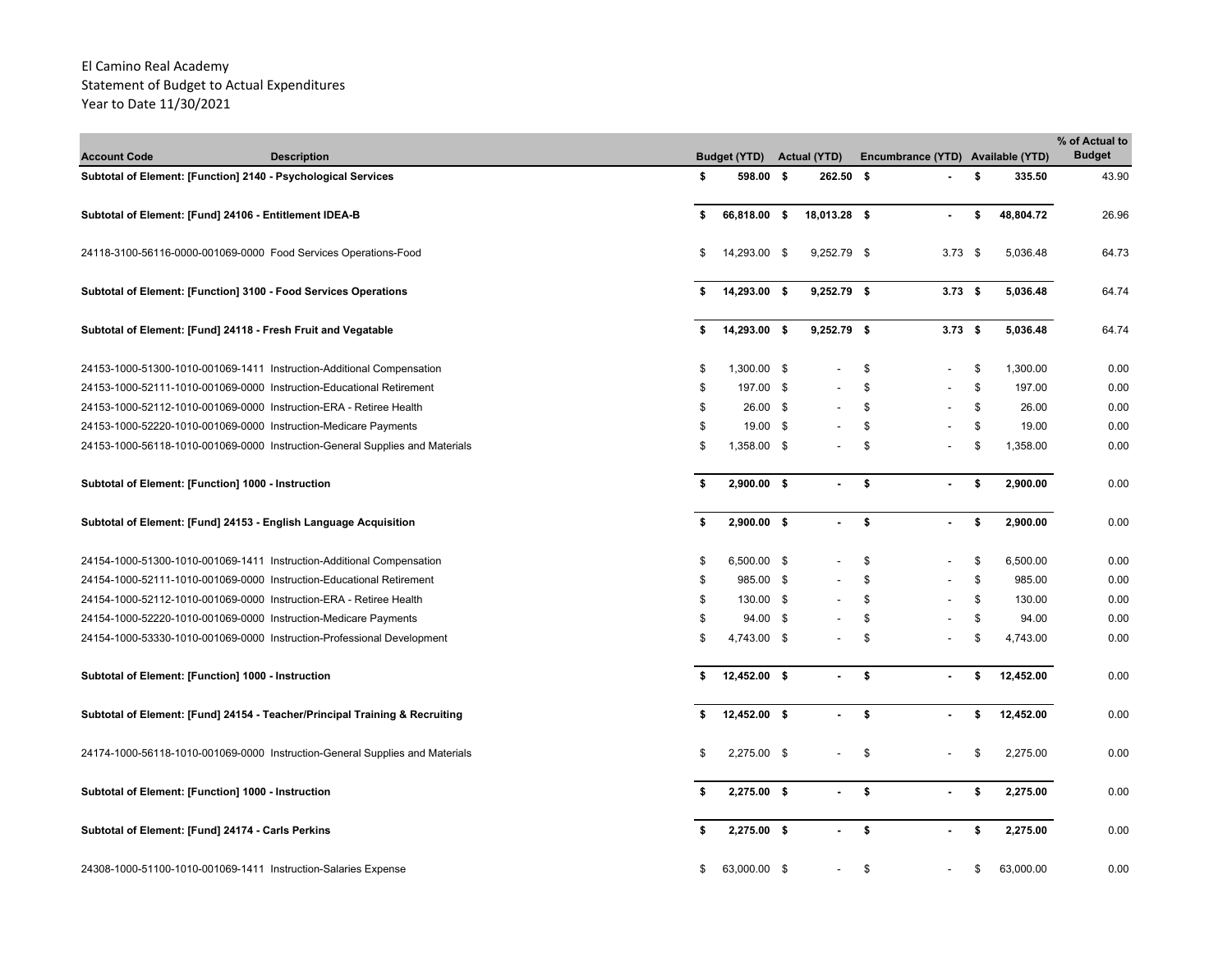| <b>Account Code</b>                                | <b>Description</b>                                                           |    | <b>Budget (YTD)</b> | <b>Actual (YTD)</b> |     | Encumbrance (YTD) Available (YTD) |    |           | % of Actual to<br><b>Budget</b> |
|----------------------------------------------------|------------------------------------------------------------------------------|----|---------------------|---------------------|-----|-----------------------------------|----|-----------|---------------------------------|
|                                                    | Subtotal of Element: [Function] 2140 - Psychological Services                | \$ | 598.00 \$           | 262.50 \$           |     |                                   | \$ | 335.50    | 43.90                           |
|                                                    | Subtotal of Element: [Fund] 24106 - Entitlement IDEA-B                       | \$ | 66,818.00 \$        | 18,013.28 \$        |     | ٠                                 | \$ | 48,804.72 | 26.96                           |
|                                                    | 24118-3100-56116-0000-001069-0000 Food Services Operations-Food              | S  | 14,293.00 \$        | 9,252.79 \$         |     | $3.73$ \$                         |    | 5,036.48  | 64.73                           |
|                                                    | Subtotal of Element: [Function] 3100 - Food Services Operations              |    | 14,293.00 \$        | $9,252.79$ \$       |     | $3.73$ \$                         |    | 5,036.48  | 64.74                           |
|                                                    | Subtotal of Element: [Fund] 24118 - Fresh Fruit and Vegatable                |    | 14,293.00 \$        | $9,252.79$ \$       |     | $3.73$ \$                         |    | 5,036.48  | 64.74                           |
|                                                    | 24153-1000-51300-1010-001069-1411 Instruction-Additional Compensation        | \$ | 1,300.00 \$         |                     | \$  | $\overline{a}$                    | \$ | 1,300.00  | 0.00                            |
|                                                    | 24153-1000-52111-1010-001069-0000 Instruction-Educational Retirement         | \$ | 197.00 \$           |                     | \$  |                                   | \$ | 197.00    | 0.00                            |
|                                                    | 24153-1000-52112-1010-001069-0000 Instruction-ERA - Retiree Health           | \$ | 26.00 \$            |                     | \$  |                                   | \$ | 26.00     | 0.00                            |
|                                                    | 24153-1000-52220-1010-001069-0000 Instruction-Medicare Payments              | \$ | 19.00 \$            |                     | \$  |                                   | \$ | 19.00     | 0.00                            |
|                                                    | 24153-1000-56118-1010-001069-0000 Instruction-General Supplies and Materials | \$ | 1,358.00 \$         |                     | \$  |                                   | \$ | 1,358.00  | 0.00                            |
| Subtotal of Element: [Function] 1000 - Instruction |                                                                              | \$ | $2,900.00$ \$       |                     | \$  |                                   | \$ | 2,900.00  | 0.00                            |
|                                                    | Subtotal of Element: [Fund] 24153 - English Language Acquisition             | \$ | $2,900.00$ \$       | $\blacksquare$      | \$  | ٠                                 | \$ | 2,900.00  | 0.00                            |
|                                                    | 24154-1000-51300-1010-001069-1411 Instruction-Additional Compensation        | \$ | 6,500.00 \$         |                     | \$  | $\overline{a}$                    | \$ | 6,500.00  | 0.00                            |
|                                                    | 24154-1000-52111-1010-001069-0000 Instruction-Educational Retirement         | \$ | 985.00 \$           |                     | \$  |                                   | \$ | 985.00    | 0.00                            |
|                                                    | 24154-1000-52112-1010-001069-0000 Instruction-ERA - Retiree Health           | \$ | 130.00 \$           |                     | \$  |                                   | \$ | 130.00    | 0.00                            |
|                                                    | 24154-1000-52220-1010-001069-0000 Instruction-Medicare Payments              | \$ | 94.00 \$            |                     | \$  |                                   | \$ | 94.00     | 0.00                            |
|                                                    | 24154-1000-53330-1010-001069-0000 Instruction-Professional Development       | \$ | 4,743.00 \$         |                     | \$  |                                   | \$ | 4,743.00  | 0.00                            |
| Subtotal of Element: [Function] 1000 - Instruction |                                                                              | \$ | 12,452.00 \$        | $\sim$              | \$  | $\blacksquare$                    | \$ | 12,452.00 | 0.00                            |
|                                                    | Subtotal of Element: [Fund] 24154 - Teacher/Principal Training & Recruiting  | \$ | 12,452.00 \$        | $\sim$              | -\$ | ٠                                 | \$ | 12,452.00 | 0.00                            |
|                                                    | 24174-1000-56118-1010-001069-0000 Instruction-General Supplies and Materials | \$ | 2,275.00 \$         |                     | \$  |                                   | S. | 2,275.00  | 0.00                            |
| Subtotal of Element: [Function] 1000 - Instruction |                                                                              | \$ | 2,275.00 \$         |                     | \$  |                                   | \$ | 2,275.00  | 0.00                            |
| Subtotal of Element: [Fund] 24174 - Carls Perkins  |                                                                              |    | 2,275.00 \$         |                     | \$  |                                   | \$ | 2,275.00  | 0.00                            |
|                                                    | 24308-1000-51100-1010-001069-1411 Instruction-Salaries Expense               | \$ | 63,000.00 \$        |                     | \$  |                                   | \$ | 63,000.00 | 0.00                            |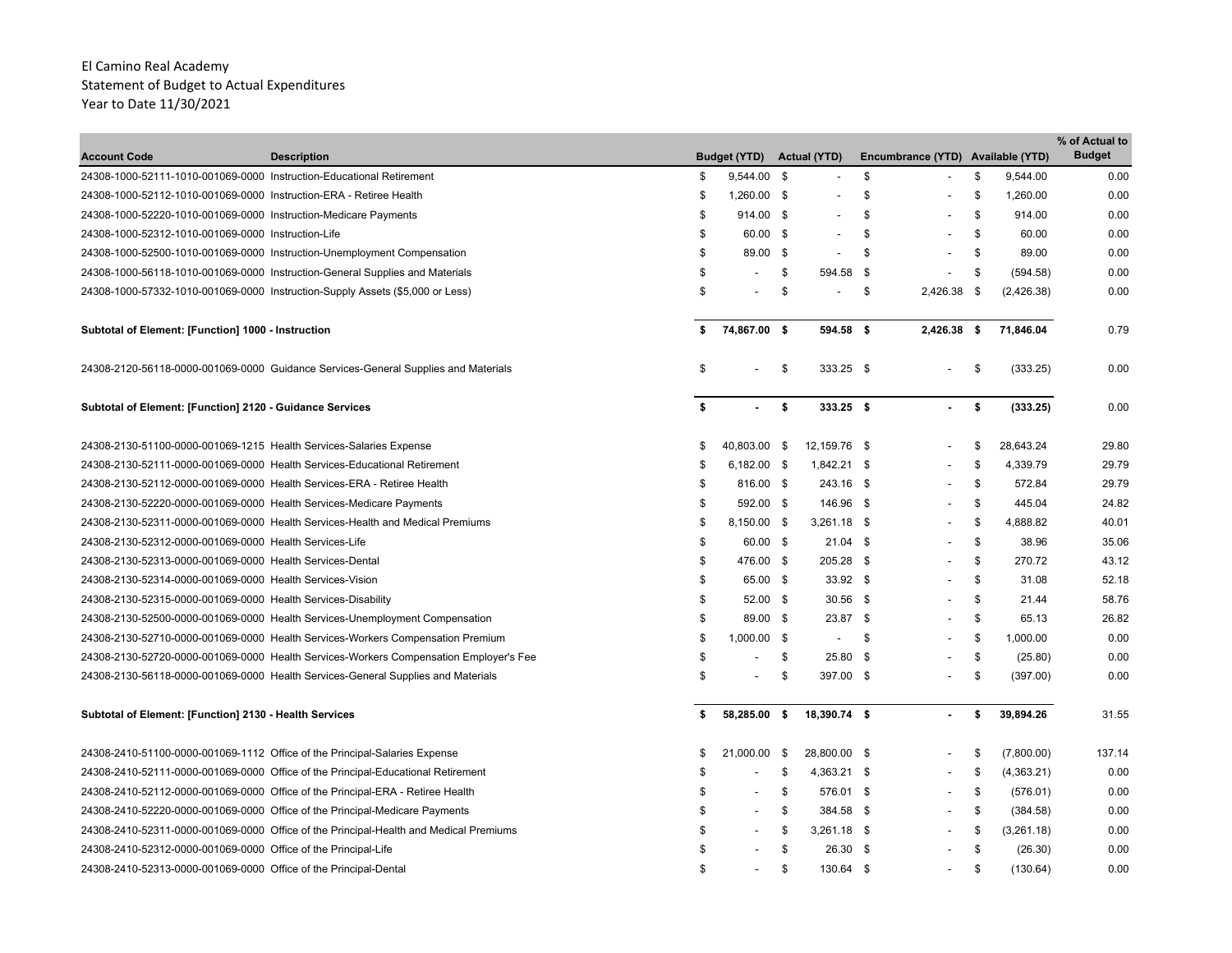| <b>Account Code</b>                                                    | <b>Description</b>                                                                    |    | <b>Budget (YTD)</b>      |      | <b>Actual (YTD)</b>      |     | Encumbrance (YTD) Available (YTD) |               |            | % of Actual to<br><b>Budget</b> |
|------------------------------------------------------------------------|---------------------------------------------------------------------------------------|----|--------------------------|------|--------------------------|-----|-----------------------------------|---------------|------------|---------------------------------|
| 24308-1000-52111-1010-001069-0000 Instruction-Educational Retirement   |                                                                                       | \$ | 9,544.00 \$              |      | $\blacksquare$           | \$  |                                   | \$            | 9,544.00   | 0.00                            |
| 24308-1000-52112-1010-001069-0000 Instruction-ERA - Retiree Health     |                                                                                       | \$ | 1,260.00 \$              |      |                          | \$  |                                   | \$            | 1,260.00   | 0.00                            |
| 24308-1000-52220-1010-001069-0000 Instruction-Medicare Payments        |                                                                                       | \$ | 914.00 \$                |      |                          | \$  |                                   | \$            | 914.00     | 0.00                            |
| 24308-1000-52312-1010-001069-0000 Instruction-Life                     |                                                                                       | \$ | 60.00 \$                 |      | $\overline{\phantom{a}}$ | \$  | $\overline{\phantom{a}}$          | \$            | 60.00      | 0.00                            |
|                                                                        | 24308-1000-52500-1010-001069-0000 Instruction-Unemployment Compensation               | \$ | 89.00 \$                 |      | $\overline{a}$           | \$  | $\overline{\phantom{a}}$          | \$            | 89.00      | 0.00                            |
|                                                                        | 24308-1000-56118-1010-001069-0000 Instruction-General Supplies and Materials          | \$ |                          | \$   | 594.58 \$                |     | $\overline{a}$                    | \$            | (594.58)   | 0.00                            |
|                                                                        | 24308-1000-57332-1010-001069-0000 Instruction-Supply Assets (\$5,000 or Less)         | \$ |                          | \$   | $\overline{\phantom{a}}$ | \$  | 2.426.38                          | - \$          | (2,426.38) | 0.00                            |
| Subtotal of Element: [Function] 1000 - Instruction                     |                                                                                       | S  | 74,867.00 \$             |      | 594.58 \$                |     | 2,426.38 \$                       |               | 71,846.04  | 0.79                            |
|                                                                        | 24308-2120-56118-0000-001069-0000 Guidance Services-General Supplies and Materials    | \$ |                          | \$   | 333.25 \$                |     |                                   | \$            | (333.25)   | 0.00                            |
| Subtotal of Element: [Function] 2120 - Guidance Services               |                                                                                       | \$ | $\sim$                   | -\$  | 333.25 \$                |     | $\mathbf{r}$                      | \$            | (333.25)   | 0.00                            |
| 24308-2130-51100-0000-001069-1215 Health Services-Salaries Expense     |                                                                                       | \$ | 40,803.00 \$             |      | 12,159.76 \$             |     |                                   | -\$           | 28,643.24  | 29.80                           |
|                                                                        | 24308-2130-52111-0000-001069-0000 Health Services-Educational Retirement              | S  | 6,182.00 \$              |      | 1,842.21 \$              |     |                                   | -\$           | 4,339.79   | 29.79                           |
| 24308-2130-52112-0000-001069-0000 Health Services-ERA - Retiree Health |                                                                                       | \$ | 816.00 \$                |      | 243.16 \$                |     | $\overline{\phantom{a}}$          | S.            | 572.84     | 29.79                           |
| 24308-2130-52220-0000-001069-0000 Health Services-Medicare Payments    |                                                                                       | \$ | 592.00 \$                |      | 146.96 \$                |     |                                   | \$            | 445.04     | 24.82                           |
|                                                                        | 24308-2130-52311-0000-001069-0000 Health Services-Health and Medical Premiums         | \$ | 8,150.00 \$              |      | $3,261.18$ \$            |     |                                   | \$            | 4,888.82   | 40.01                           |
| 24308-2130-52312-0000-001069-0000 Health Services-Life                 |                                                                                       | \$ | 60.00 \$                 |      | $21.04$ \$               |     |                                   | $\mathfrak s$ | 38.96      | 35.06                           |
| 24308-2130-52313-0000-001069-0000 Health Services-Dental               |                                                                                       | \$ | 476.00 \$                |      | 205.28 \$                |     |                                   | \$            | 270.72     | 43.12                           |
| 24308-2130-52314-0000-001069-0000 Health Services-Vision               |                                                                                       | \$ | 65.00 \$                 |      | 33.92 \$                 |     |                                   | \$            | 31.08      | 52.18                           |
| 24308-2130-52315-0000-001069-0000 Health Services-Disability           |                                                                                       | \$ | $52.00$ \$               |      | $30.56$ \$               |     |                                   | \$            | 21.44      | 58.76                           |
|                                                                        | 24308-2130-52500-0000-001069-0000 Health Services-Unemployment Compensation           | \$ | 89.00 \$                 |      | 23.87 \$                 |     |                                   | \$            | 65.13      | 26.82                           |
|                                                                        | 24308-2130-52710-0000-001069-0000 Health Services-Workers Compensation Premium        | \$ | $1,000.00$ \$            |      | $\overline{\phantom{a}}$ | -\$ |                                   | \$            | 1,000.00   | 0.00                            |
|                                                                        | 24308-2130-52720-0000-001069-0000 Health Services-Workers Compensation Employer's Fee | \$ |                          | \$   | 25.80 \$                 |     |                                   | \$            | (25.80)    | 0.00                            |
|                                                                        | 24308-2130-56118-0000-001069-0000 Health Services-General Supplies and Materials      | \$ | $\overline{\phantom{a}}$ | \$   | 397.00 \$                |     |                                   | \$            | (397.00)   | 0.00                            |
| Subtotal of Element: [Function] 2130 - Health Services                 |                                                                                       | \$ | 58,285.00 \$             |      | 18,390.74 \$             |     |                                   | \$            | 39,894.26  | 31.55                           |
|                                                                        | 24308-2410-51100-0000-001069-1112 Office of the Principal-Salaries Expense            | \$ | 21,000.00                | - \$ | 28,800.00 \$             |     | $\overline{a}$                    | Ŝ.            | (7,800.00) | 137.14                          |
|                                                                        | 24308-2410-52111-0000-001069-0000 Office of the Principal-Educational Retirement      | \$ |                          | \$   | 4,363.21 \$              |     | $\overline{\phantom{a}}$          | \$            | (4,363.21) | 0.00                            |
|                                                                        | 24308-2410-52112-0000-001069-0000 Office of the Principal-ERA - Retiree Health        | \$ | $\overline{\phantom{a}}$ | \$   | 576.01 \$                |     | $\overline{\phantom{a}}$          | \$            | (576.01)   | 0.00                            |
|                                                                        | 24308-2410-52220-0000-001069-0000 Office of the Principal-Medicare Payments           | \$ |                          | \$   | 384.58 \$                |     |                                   | S.            | (384.58)   | 0.00                            |
|                                                                        | 24308-2410-52311-0000-001069-0000 Office of the Principal-Health and Medical Premiums | \$ |                          | \$   | $3,261.18$ \$            |     |                                   | \$            | (3,261.18) | 0.00                            |
| 24308-2410-52312-0000-001069-0000 Office of the Principal-Life         |                                                                                       | S  |                          | \$   | 26.30 \$                 |     |                                   | \$            | (26.30)    | 0.00                            |
| 24308-2410-52313-0000-001069-0000 Office of the Principal-Dental       |                                                                                       | \$ |                          | \$   | 130.64 \$                |     |                                   | $\mathbf{s}$  | (130.64)   | 0.00                            |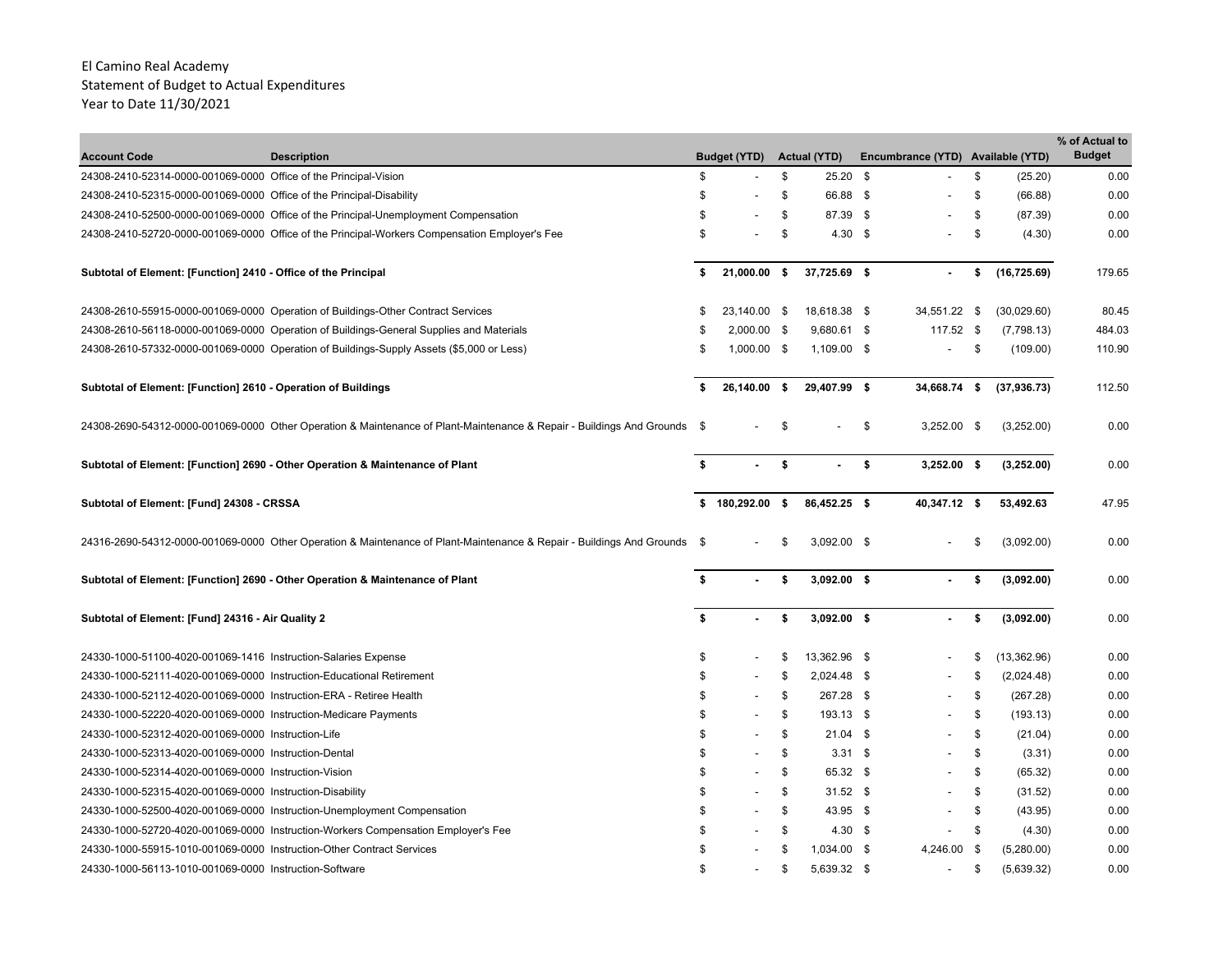|                                                                       |                                                                                                                          |     |                          |        |                     |                                   |    |              | % of Actual to |
|-----------------------------------------------------------------------|--------------------------------------------------------------------------------------------------------------------------|-----|--------------------------|--------|---------------------|-----------------------------------|----|--------------|----------------|
| <b>Account Code</b>                                                   | <b>Description</b>                                                                                                       |     | <b>Budget (YTD)</b>      |        | <b>Actual (YTD)</b> | Encumbrance (YTD) Available (YTD) |    |              | <b>Budget</b>  |
| 24308-2410-52314-0000-001069-0000 Office of the Principal-Vision      |                                                                                                                          | \$  |                          | \$     | $25.20$ \$          |                                   | \$ | (25.20)      | 0.00           |
| 24308-2410-52315-0000-001069-0000 Office of the Principal-Disability  |                                                                                                                          | \$  |                          | \$     | 66.88 \$            |                                   | \$ | (66.88)      | 0.00           |
|                                                                       | 24308-2410-52500-0000-001069-0000 Office of the Principal-Unemployment Compensation                                      | \$  |                          | \$     | 87.39 \$            |                                   | \$ | (87.39)      | 0.00           |
|                                                                       | 24308-2410-52720-0000-001069-0000 Office of the Principal-Workers Compensation Employer's Fee                            | \$  |                          | \$     | $4.30\quad$ \$      |                                   | \$ | (4.30)       | 0.00           |
| Subtotal of Element: [Function] 2410 - Office of the Principal        |                                                                                                                          | \$  | 21,000.00 \$             |        | 37,725.69 \$        |                                   | \$ | (16, 725.69) | 179.65         |
|                                                                       | 24308-2610-55915-0000-001069-0000 Operation of Buildings-Other Contract Services                                         | \$. | 23,140.00 \$             |        | 18,618.38 \$        | 34,551.22 \$                      |    | (30,029.60)  | 80.45          |
|                                                                       | 24308-2610-56118-0000-001069-0000 Operation of Buildings-General Supplies and Materials                                  | \$  | $2,000.00$ \$            |        | 9,680.61 \$         | 117.52 \$                         |    | (7,798.13)   | 484.03         |
|                                                                       | 24308-2610-57332-0000-001069-0000 Operation of Buildings-Supply Assets (\$5,000 or Less)                                 | \$  | $1,000.00$ \$            |        | 1,109.00 \$         | $\overline{a}$                    | \$ | (109.00)     | 110.90         |
| Subtotal of Element: [Function] 2610 - Operation of Buildings         |                                                                                                                          | S   | 26,140.00                | $\sim$ | 29,407.99 \$        | 34,668.74 \$                      |    | (37, 936.73) | 112.50         |
|                                                                       | 24308-2690-54312-0000-001069-0000 Other Operation & Maintenance of Plant-Maintenance & Repair - Buildings And Grounds \$ |     |                          | \$     |                     | \$<br>$3,252.00$ \$               |    | (3,252.00)   | 0.00           |
|                                                                       | Subtotal of Element: [Function] 2690 - Other Operation & Maintenance of Plant                                            | S.  |                          | \$     | $\sim$              | \$<br>$3,252.00$ \$               |    | (3,252.00)   | 0.00           |
| Subtotal of Element: [Fund] 24308 - CRSSA                             |                                                                                                                          |     | \$180,292.00\$           |        | 86,452.25 \$        | 40,347.12 \$                      |    | 53,492.63    | 47.95          |
|                                                                       | 24316-2690-54312-0000-001069-0000 Other Operation & Maintenance of Plant-Maintenance & Repair - Buildings And Grounds \$ |     |                          | \$     | $3,092.00$ \$       |                                   | \$ | (3,092.00)   | 0.00           |
|                                                                       | Subtotal of Element: [Function] 2690 - Other Operation & Maintenance of Plant                                            | S.  |                          | \$     | $3,092.00$ \$       |                                   | \$ | (3,092.00)   | 0.00           |
| Subtotal of Element: [Fund] 24316 - Air Quality 2                     |                                                                                                                          | \$  |                          | \$     | $3,092.00$ \$       |                                   | \$ | (3,092.00)   | 0.00           |
| 24330-1000-51100-4020-001069-1416 Instruction-Salaries Expense        |                                                                                                                          | \$  |                          | \$     | 13,362.96 \$        |                                   | S. | (13,362.96)  | 0.00           |
| 24330-1000-52111-4020-001069-0000 Instruction-Educational Retirement  |                                                                                                                          | \$  |                          | \$     | 2,024.48 \$         |                                   | \$ | (2,024.48)   | 0.00           |
| 24330-1000-52112-4020-001069-0000 Instruction-ERA - Retiree Health    |                                                                                                                          | \$  |                          | \$     | 267.28 \$           |                                   | \$ | (267.28)     | 0.00           |
| 24330-1000-52220-4020-001069-0000 Instruction-Medicare Payments       |                                                                                                                          | \$  | $\overline{\phantom{a}}$ | \$     | 193.13 \$           | $\overline{\phantom{a}}$          | \$ | (193.13)     | 0.00           |
| 24330-1000-52312-4020-001069-0000 Instruction-Life                    |                                                                                                                          | \$  |                          | \$     | $21.04$ \$          | $\overline{\phantom{a}}$          | \$ | (21.04)      | 0.00           |
| 24330-1000-52313-4020-001069-0000 Instruction-Dental                  |                                                                                                                          | \$  |                          | \$     | $3.31$ \$           | $\overline{a}$                    | \$ | (3.31)       | 0.00           |
| 24330-1000-52314-4020-001069-0000 Instruction-Vision                  |                                                                                                                          | \$  |                          | \$     | 65.32 \$            |                                   | \$ | (65.32)      | 0.00           |
| 24330-1000-52315-4020-001069-0000 Instruction-Disability              |                                                                                                                          | \$  |                          | \$     | $31.52$ \$          | $\overline{a}$                    | \$ | (31.52)      | 0.00           |
|                                                                       | 24330-1000-52500-4020-001069-0000 Instruction-Unemployment Compensation                                                  | \$  |                          | \$     | 43.95 \$            |                                   | \$ | (43.95)      | 0.00           |
|                                                                       | 24330-1000-52720-4020-001069-0000 Instruction-Workers Compensation Employer's Fee                                        | \$  |                          | \$     | $4.30\quad$ \$      |                                   | \$ | (4.30)       | 0.00           |
| 24330-1000-55915-1010-001069-0000 Instruction-Other Contract Services |                                                                                                                          | \$  |                          | \$     | 1,034.00 \$         | 4,246.00 \$                       |    | (5,280.00)   | 0.00           |
| 24330-1000-56113-1010-001069-0000 Instruction-Software                |                                                                                                                          | \$  |                          | \$     | 5,639.32 \$         | $\overline{a}$                    | \$ | (5,639.32)   | 0.00           |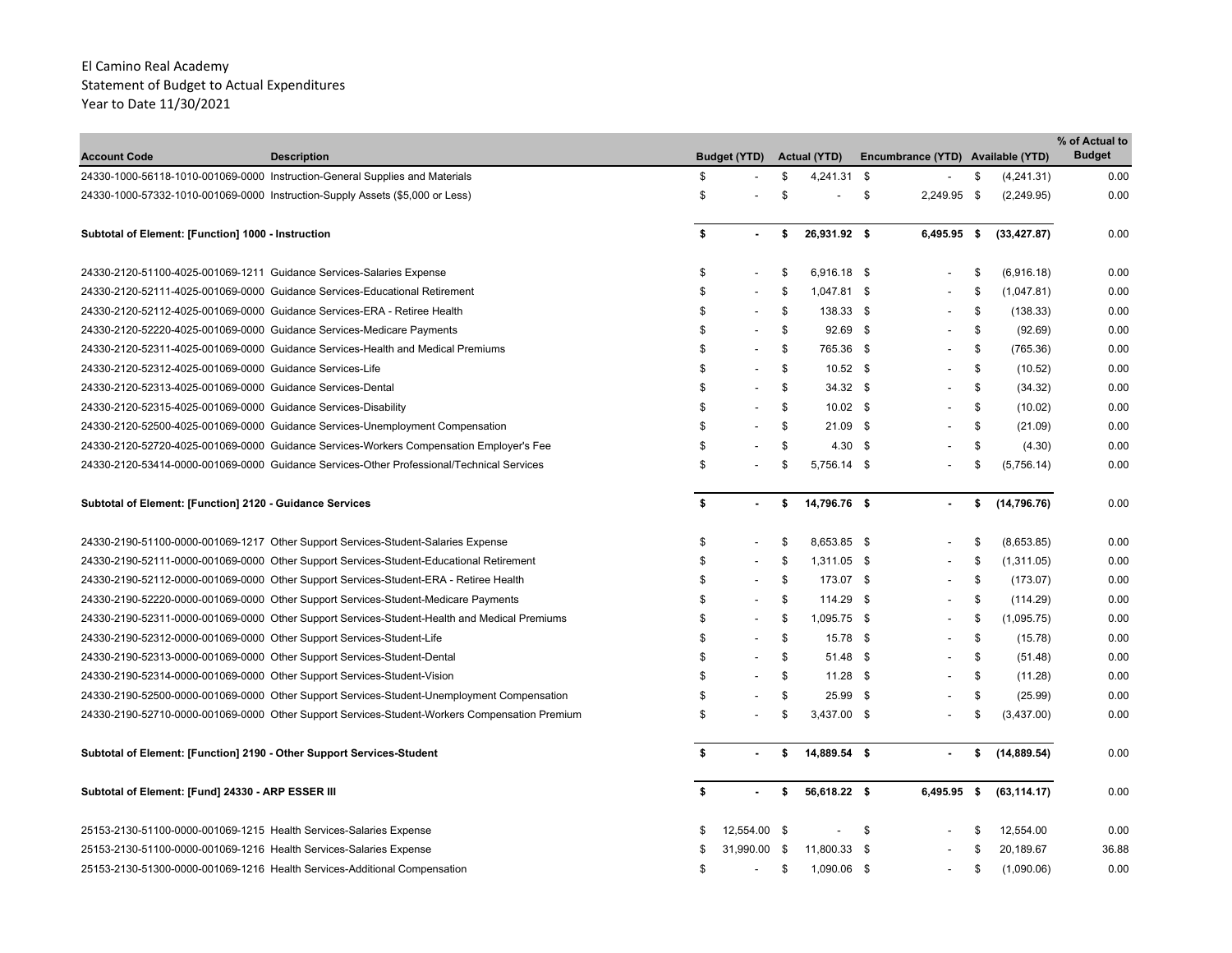| <b>Account Code</b><br><b>Description</b>                                          |                                                                                               |    | <b>Budget (YTD)</b> |      | <b>Actual (YTD)</b> | Encumbrance (YTD) Available (YTD) |      |              | % of Actual to<br><b>Budget</b> |
|------------------------------------------------------------------------------------|-----------------------------------------------------------------------------------------------|----|---------------------|------|---------------------|-----------------------------------|------|--------------|---------------------------------|
| 24330-1000-56118-1010-001069-0000 Instruction-General Supplies and Materials       |                                                                                               | \$ |                     | \$   | 4,241.31 \$         |                                   | \$   | (4, 241.31)  | 0.00                            |
| 24330-1000-57332-1010-001069-0000 Instruction-Supply Assets (\$5,000 or Less)      |                                                                                               | \$ |                     | \$   |                     | \$<br>2,249.95 \$                 |      | (2, 249.95)  | 0.00                            |
|                                                                                    |                                                                                               |    |                     |      |                     |                                   |      |              |                                 |
| Subtotal of Element: [Function] 1000 - Instruction                                 |                                                                                               | \$ |                     | \$   | 26,931.92 \$        | 6,495.95 \$                       |      | (33, 427.87) | 0.00                            |
| 24330-2120-51100-4025-001069-1211 Guidance Services-Salaries Expense               |                                                                                               | \$ |                     | \$   | 6,916.18 \$         |                                   | \$   | (6,916.18)   | 0.00                            |
| 24330-2120-52111-4025-001069-0000 Guidance Services-Educational Retirement         |                                                                                               | \$ |                     | \$   | 1,047.81 \$         |                                   | \$   | (1,047.81)   | 0.00                            |
| 24330-2120-52112-4025-001069-0000 Guidance Services-ERA - Retiree Health           |                                                                                               | \$ |                     | \$   | 138.33 \$           | $\overline{a}$                    | \$   | (138.33)     | 0.00                            |
| 24330-2120-52220-4025-001069-0000 Guidance Services-Medicare Payments              |                                                                                               | \$ |                     | \$   | $92.69$ \$          |                                   | \$   | (92.69)      | 0.00                            |
| 24330-2120-52311-4025-001069-0000 Guidance Services-Health and Medical Premiums    |                                                                                               | \$ |                     | \$   | 765.36 \$           |                                   | \$   | (765.36)     | 0.00                            |
| 24330-2120-52312-4025-001069-0000 Guidance Services-Life                           |                                                                                               | \$ |                     | \$   | $10.52$ \$          |                                   | \$   | (10.52)      | 0.00                            |
| 24330-2120-52313-4025-001069-0000 Guidance Services-Dental                         |                                                                                               | \$ |                     | \$   | $34.32$ \$          |                                   | \$   | (34.32)      | 0.00                            |
| 24330-2120-52315-4025-001069-0000 Guidance Services-Disability                     |                                                                                               | \$ |                     | \$   | $10.02$ \$          |                                   | \$   | (10.02)      | 0.00                            |
| 24330-2120-52500-4025-001069-0000 Guidance Services-Unemployment Compensation      |                                                                                               | \$ |                     | \$   | $21.09$ \$          |                                   | \$   | (21.09)      | 0.00                            |
|                                                                                    | 24330-2120-52720-4025-001069-0000 Guidance Services-Workers Compensation Employer's Fee       | \$ |                     | \$   | $4.30\quad$ \$      |                                   | S.   | (4.30)       | 0.00                            |
|                                                                                    | 24330-2120-53414-0000-001069-0000 Guidance Services-Other Professional/Technical Services     | \$ |                     | \$   | 5,756.14 \$         |                                   | \$   | (5,756.14)   | 0.00                            |
| Subtotal of Element: [Function] 2120 - Guidance Services                           |                                                                                               | \$ |                     | \$   | 14,796.76 \$        |                                   | \$   | (14, 796.76) | 0.00                            |
| 24330-2190-51100-0000-001069-1217 Other Support Services-Student-Salaries Expense  |                                                                                               | \$ |                     | \$   | 8,653.85 \$         |                                   | \$   | (8,653.85)   | 0.00                            |
|                                                                                    | 24330-2190-52111-0000-001069-0000 Other Support Services-Student-Educational Retirement       | \$ |                     | \$   | 1,311.05 \$         |                                   | \$   | (1,311.05)   | 0.00                            |
|                                                                                    | 24330-2190-52112-0000-001069-0000 Other Support Services-Student-ERA - Retiree Health         | \$ |                     | \$   | 173.07 \$           |                                   | \$   | (173.07)     | 0.00                            |
| 24330-2190-52220-0000-001069-0000 Other Support Services-Student-Medicare Payments |                                                                                               | \$ |                     | \$   | 114.29 \$           |                                   | \$   | (114.29)     | 0.00                            |
|                                                                                    | 24330-2190-52311-0000-001069-0000 Other Support Services-Student-Health and Medical Premiums  | \$ |                     | \$   | 1,095.75 \$         |                                   | \$   | (1,095.75)   | 0.00                            |
| 24330-2190-52312-0000-001069-0000 Other Support Services-Student-Life              |                                                                                               | \$ |                     | \$   | 15.78 \$            |                                   | \$   | (15.78)      | 0.00                            |
| 24330-2190-52313-0000-001069-0000 Other Support Services-Student-Dental            |                                                                                               | \$ |                     | \$   | 51.48 \$            |                                   | \$   | (51.48)      | 0.00                            |
| 24330-2190-52314-0000-001069-0000 Other Support Services-Student-Vision            |                                                                                               | \$ |                     | \$   | $11.28$ \$          |                                   | \$   | (11.28)      | 0.00                            |
|                                                                                    | 24330-2190-52500-0000-001069-0000 Other Support Services-Student-Unemployment Compensation    | \$ |                     | \$   | $25.99$ \$          |                                   | \$   | (25.99)      | 0.00                            |
|                                                                                    | 24330-2190-52710-0000-001069-0000 Other Support Services-Student-Workers Compensation Premium | \$ |                     | \$   | 3,437.00 \$         |                                   | \$   | (3,437.00)   | 0.00                            |
| Subtotal of Element: [Function] 2190 - Other Support Services-Student              |                                                                                               | S. |                     | \$   | 14,889.54 \$        |                                   | \$   | (14, 889.54) | 0.00                            |
| Subtotal of Element: [Fund] 24330 - ARP ESSER III                                  |                                                                                               | \$ |                     | \$   | 56,618.22 \$        | 6,495.95                          | - \$ | (63, 114.17) | 0.00                            |
| 25153-2130-51100-0000-001069-1215 Health Services-Salaries Expense                 |                                                                                               |    | 12,554.00           | - \$ |                     | \$                                | S    | 12,554.00    | 0.00                            |
| 25153-2130-51100-0000-001069-1216 Health Services-Salaries Expense                 |                                                                                               |    | 31,990.00           | -\$  | 11,800.33 \$        |                                   | \$   | 20,189.67    | 36.88                           |
| 25153-2130-51300-0000-001069-1216 Health Services-Additional Compensation          |                                                                                               | \$ |                     | \$   | 1,090.06 \$         |                                   | \$   | (1,090.06)   | 0.00                            |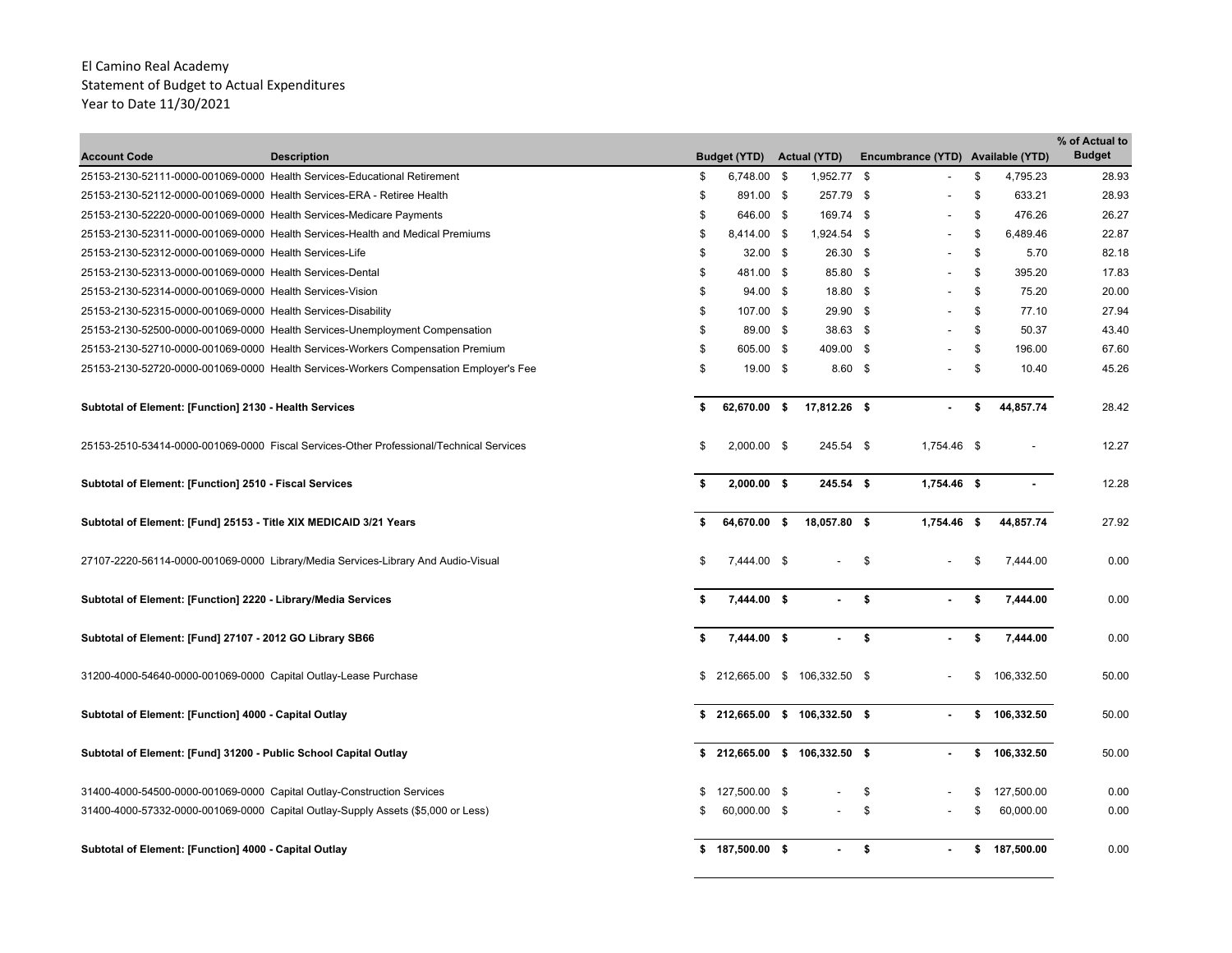| <b>Account Code</b>                                                    | <b>Description</b>                                                                      | <b>Budget (YTD)</b> | <b>Actual (YTD)</b>          |    | Encumbrance (YTD) Available (YTD) |                  | % of Actual to<br><b>Budget</b> |
|------------------------------------------------------------------------|-----------------------------------------------------------------------------------------|---------------------|------------------------------|----|-----------------------------------|------------------|---------------------------------|
|                                                                        | 25153-2130-52111-0000-001069-0000 Health Services-Educational Retirement                | \$<br>6,748.00 \$   | 1,952.77 \$                  |    |                                   | \$<br>4,795.23   | 28.93                           |
| 25153-2130-52112-0000-001069-0000 Health Services-ERA - Retiree Health |                                                                                         | \$<br>891.00 \$     | 257.79 \$                    |    |                                   | \$<br>633.21     | 28.93                           |
| 25153-2130-52220-0000-001069-0000 Health Services-Medicare Payments    |                                                                                         | \$<br>646.00 \$     | 169.74 \$                    |    |                                   | \$<br>476.26     | 26.27                           |
|                                                                        | 25153-2130-52311-0000-001069-0000 Health Services-Health and Medical Premiums           | \$<br>8,414.00 \$   | 1,924.54 \$                  |    |                                   | \$<br>6,489.46   | 22.87                           |
| 25153-2130-52312-0000-001069-0000 Health Services-Life                 |                                                                                         | \$<br>$32.00$ \$    | 26.30 \$                     |    |                                   | \$<br>5.70       | 82.18                           |
| 25153-2130-52313-0000-001069-0000 Health Services-Dental               |                                                                                         | \$<br>481.00 \$     | 85.80 \$                     |    | $\overline{\phantom{a}}$          | \$<br>395.20     | 17.83                           |
| 25153-2130-52314-0000-001069-0000 Health Services-Vision               |                                                                                         | \$<br>94.00 \$      | 18.80 \$                     |    |                                   | \$<br>75.20      | 20.00                           |
| 25153-2130-52315-0000-001069-0000 Health Services-Disability           |                                                                                         | \$<br>107.00 \$     | 29.90 \$                     |    |                                   | \$<br>77.10      | 27.94                           |
|                                                                        | 25153-2130-52500-0000-001069-0000 Health Services-Unemployment Compensation             | \$<br>89.00 \$      | 38.63 \$                     |    | $\overline{\phantom{a}}$          | \$<br>50.37      | 43.40                           |
|                                                                        | 25153-2130-52710-0000-001069-0000 Health Services-Workers Compensation Premium          | \$<br>605.00 \$     | 409.00 \$                    |    | $\blacksquare$                    | \$<br>196.00     | 67.60                           |
|                                                                        | 25153-2130-52720-0000-001069-0000 Health Services-Workers Compensation Employer's Fee   | \$<br>19.00 \$      | $8.60$ \$                    |    |                                   | \$<br>10.40      | 45.26                           |
| Subtotal of Element: [Function] 2130 - Health Services                 |                                                                                         | \$<br>62,670.00 \$  | 17,812.26 \$                 |    |                                   | \$<br>44,857.74  | 28.42                           |
|                                                                        | 25153-2510-53414-0000-001069-0000 Fiscal Services-Other Professional/Technical Services | \$<br>2,000.00 \$   | 245.54 \$                    |    | 1,754.46 \$                       |                  | 12.27                           |
| Subtotal of Element: [Function] 2510 - Fiscal Services                 |                                                                                         | \$<br>$2,000.00$ \$ | 245.54 \$                    |    | 1,754.46 \$                       |                  | 12.28                           |
| Subtotal of Element: [Fund] 25153 - Title XIX MEDICAID 3/21 Years      |                                                                                         | 64,670.00 \$        | 18,057.80 \$                 |    | 1,754.46 \$                       | 44,857.74        | 27.92                           |
|                                                                        | 27107-2220-56114-0000-001069-0000 Library/Media Services-Library And Audio-Visual       | \$<br>7,444.00 \$   |                              | \$ |                                   | \$<br>7,444.00   | 0.00                            |
| Subtotal of Element: [Function] 2220 - Library/Media Services          |                                                                                         | \$<br>7,444.00 \$   | $\overline{\phantom{0}}$     | \$ |                                   | \$<br>7,444.00   | 0.00                            |
| Subtotal of Element: [Fund] 27107 - 2012 GO Library SB66               |                                                                                         | \$<br>7,444.00 \$   | $\blacksquare$               | \$ |                                   | \$<br>7,444.00   | 0.00                            |
| 31200-4000-54640-0000-001069-0000 Capital Outlay-Lease Purchase        |                                                                                         | \$                  | 212,665.00 \$ 106,332.50 \$  |    |                                   | \$<br>106,332.50 | 50.00                           |
| Subtotal of Element: [Function] 4000 - Capital Outlay                  |                                                                                         |                     | \$212,665.00 \$106,332.50 \$ |    | $\blacksquare$                    | \$106,332.50     | 50.00                           |
| Subtotal of Element: [Fund] 31200 - Public School Capital Outlay       |                                                                                         |                     | \$212,665.00 \$106,332.50 \$ |    |                                   | \$<br>106,332.50 | 50.00                           |
| 31400-4000-54500-0000-001069-0000 Capital Outlay-Construction Services |                                                                                         | 127,500.00 \$       |                              | \$ |                                   | 127,500.00       | 0.00                            |
|                                                                        | 31400-4000-57332-0000-001069-0000 Capital Outlay-Supply Assets (\$5,000 or Less)        | 60.000.00 \$        |                              | \$ |                                   | \$<br>60,000.00  | 0.00                            |
| Subtotal of Element: [Function] 4000 - Capital Outlay                  |                                                                                         | \$187,500.00\$      | $\blacksquare$               | S. |                                   | \$ 187,500.00    | 0.00                            |